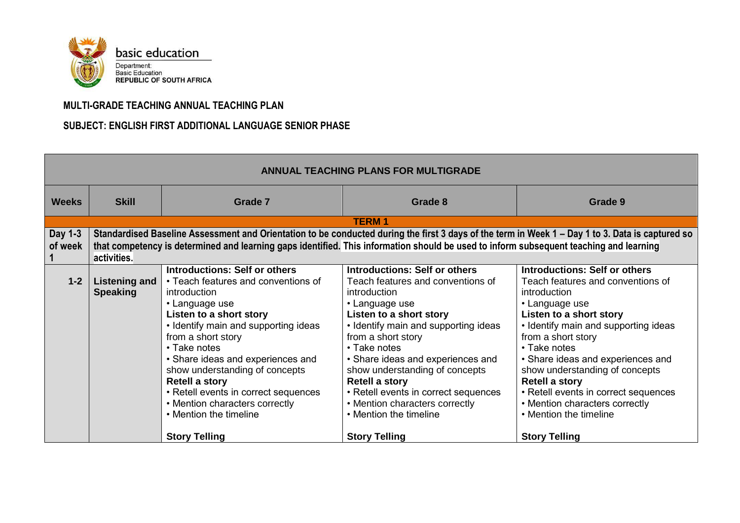

## **MULTI-GRADE TEACHING ANNUAL TEACHING PLAN**

## **SUBJECT: ENGLISH FIRST ADDITIONAL LANGUAGE SENIOR PHASE**

| <b>ANNUAL TEACHING PLANS FOR MULTIGRADE</b> |                                                                                                                                                                                                                                                                                                           |                                                                                                                                                                                                                                                                                                                                                                                                                                                    |                                                                                                                                                                                                                                                                                                                                                                                                                                                  |                                                                                                                                                                                                                                                                                                                                                                                                                                                  |
|---------------------------------------------|-----------------------------------------------------------------------------------------------------------------------------------------------------------------------------------------------------------------------------------------------------------------------------------------------------------|----------------------------------------------------------------------------------------------------------------------------------------------------------------------------------------------------------------------------------------------------------------------------------------------------------------------------------------------------------------------------------------------------------------------------------------------------|--------------------------------------------------------------------------------------------------------------------------------------------------------------------------------------------------------------------------------------------------------------------------------------------------------------------------------------------------------------------------------------------------------------------------------------------------|--------------------------------------------------------------------------------------------------------------------------------------------------------------------------------------------------------------------------------------------------------------------------------------------------------------------------------------------------------------------------------------------------------------------------------------------------|
| <b>Weeks</b>                                | <b>Skill</b>                                                                                                                                                                                                                                                                                              | Grade 7                                                                                                                                                                                                                                                                                                                                                                                                                                            | Grade 8                                                                                                                                                                                                                                                                                                                                                                                                                                          | Grade 9                                                                                                                                                                                                                                                                                                                                                                                                                                          |
|                                             |                                                                                                                                                                                                                                                                                                           |                                                                                                                                                                                                                                                                                                                                                                                                                                                    | <b>TERM1</b>                                                                                                                                                                                                                                                                                                                                                                                                                                     |                                                                                                                                                                                                                                                                                                                                                                                                                                                  |
| Day 1-3<br>of week                          | Standardised Baseline Assessment and Orientation to be conducted during the first 3 days of the term in Week 1 – Day 1 to 3. Data is captured so<br>that competency is determined and learning gaps identified. This information should be used to inform subsequent teaching and learning<br>activities. |                                                                                                                                                                                                                                                                                                                                                                                                                                                    |                                                                                                                                                                                                                                                                                                                                                                                                                                                  |                                                                                                                                                                                                                                                                                                                                                                                                                                                  |
| $1 - 2$                                     | Listening and<br><b>Speaking</b>                                                                                                                                                                                                                                                                          | <b>Introductions: Self or others</b><br>• Teach features and conventions of<br>introduction<br>• Language use<br>Listen to a short story<br>• Identify main and supporting ideas<br>from a short story<br>• Take notes<br>• Share ideas and experiences and<br>show understanding of concepts<br><b>Retell a story</b><br>• Retell events in correct sequences<br>• Mention characters correctly<br>• Mention the timeline<br><b>Story Telling</b> | <b>Introductions: Self or others</b><br>Teach features and conventions of<br>introduction<br>• Language use<br>Listen to a short story<br>• Identify main and supporting ideas<br>from a short story<br>• Take notes<br>• Share ideas and experiences and<br>show understanding of concepts<br><b>Retell a story</b><br>• Retell events in correct sequences<br>• Mention characters correctly<br>• Mention the timeline<br><b>Story Telling</b> | <b>Introductions: Self or others</b><br>Teach features and conventions of<br>introduction<br>• Language use<br>Listen to a short story<br>• Identify main and supporting ideas<br>from a short story<br>• Take notes<br>• Share ideas and experiences and<br>show understanding of concepts<br><b>Retell a story</b><br>• Retell events in correct sequences<br>• Mention characters correctly<br>• Mention the timeline<br><b>Story Telling</b> |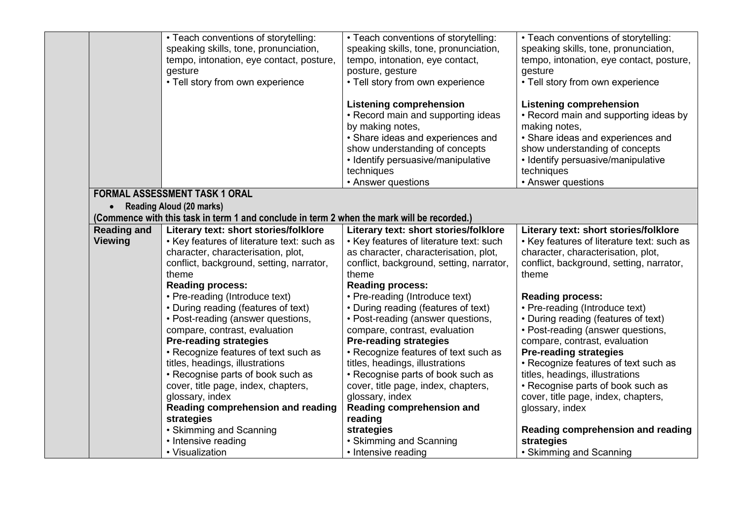|                    | • Teach conventions of storytelling:                                                       | • Teach conventions of storytelling:     | • Teach conventions of storytelling:       |
|--------------------|--------------------------------------------------------------------------------------------|------------------------------------------|--------------------------------------------|
|                    | speaking skills, tone, pronunciation,                                                      | speaking skills, tone, pronunciation,    | speaking skills, tone, pronunciation,      |
|                    | tempo, intonation, eye contact, posture,                                                   | tempo, intonation, eye contact,          | tempo, intonation, eye contact, posture,   |
|                    | gesture                                                                                    | posture, gesture                         | gesture                                    |
|                    | • Tell story from own experience                                                           | • Tell story from own experience         | • Tell story from own experience           |
|                    |                                                                                            |                                          |                                            |
|                    |                                                                                            | <b>Listening comprehension</b>           | <b>Listening comprehension</b>             |
|                    |                                                                                            | • Record main and supporting ideas       | • Record main and supporting ideas by      |
|                    |                                                                                            | by making notes,                         | making notes,                              |
|                    |                                                                                            | • Share ideas and experiences and        | • Share ideas and experiences and          |
|                    |                                                                                            | show understanding of concepts           | show understanding of concepts             |
|                    |                                                                                            | • Identify persuasive/manipulative       | • Identify persuasive/manipulative         |
|                    |                                                                                            | techniques                               | techniques                                 |
|                    |                                                                                            | • Answer questions                       | • Answer questions                         |
|                    | <b>FORMAL ASSESSMENT TASK 1 ORAL</b>                                                       |                                          |                                            |
|                    | • Reading Aloud (20 marks)                                                                 |                                          |                                            |
|                    | (Commence with this task in term 1 and conclude in term 2 when the mark will be recorded.) |                                          |                                            |
| <b>Reading and</b> | Literary text: short stories/folklore                                                      | Literary text: short stories/folklore    | Literary text: short stories/folklore      |
| <b>Viewing</b>     | • Key features of literature text: such as                                                 | • Key features of literature text: such  | • Key features of literature text: such as |
|                    | character, characterisation, plot,                                                         | as character, characterisation, plot,    | character, characterisation, plot,         |
|                    | conflict, background, setting, narrator,                                                   | conflict, background, setting, narrator, | conflict, background, setting, narrator,   |
|                    | theme                                                                                      | theme                                    | theme                                      |
|                    | <b>Reading process:</b>                                                                    | <b>Reading process:</b>                  |                                            |
|                    | • Pre-reading (Introduce text)                                                             | • Pre-reading (Introduce text)           | <b>Reading process:</b>                    |
|                    | • During reading (features of text)                                                        | • During reading (features of text)      | • Pre-reading (Introduce text)             |
|                    | • Post-reading (answer questions,                                                          | • Post-reading (answer questions,        | • During reading (features of text)        |
|                    | compare, contrast, evaluation                                                              | compare, contrast, evaluation            | • Post-reading (answer questions,          |
|                    | <b>Pre-reading strategies</b>                                                              | <b>Pre-reading strategies</b>            | compare, contrast, evaluation              |
|                    | • Recognize features of text such as                                                       | • Recognize features of text such as     | <b>Pre-reading strategies</b>              |
|                    | titles, headings, illustrations                                                            | titles, headings, illustrations          | • Recognize features of text such as       |
|                    | • Recognise parts of book such as                                                          | • Recognise parts of book such as        | titles, headings, illustrations            |
|                    | cover, title page, index, chapters,                                                        | cover, title page, index, chapters,      | • Recognise parts of book such as          |
|                    | glossary, index                                                                            | glossary, index                          | cover, title page, index, chapters,        |
|                    | Reading comprehension and reading                                                          | Reading comprehension and                | glossary, index                            |
|                    | strategies                                                                                 | reading                                  |                                            |
|                    | • Skimming and Scanning                                                                    | strategies                               | Reading comprehension and reading          |
|                    | • Intensive reading                                                                        | • Skimming and Scanning                  | strategies                                 |
|                    | • Visualization                                                                            | • Intensive reading                      | • Skimming and Scanning                    |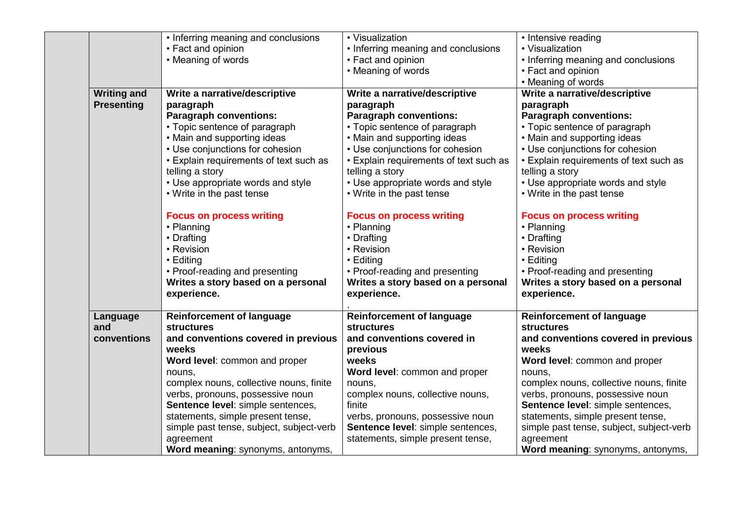|                    | • Inferring meaning and conclusions      | • Visualization                        | • Intensive reading                      |
|--------------------|------------------------------------------|----------------------------------------|------------------------------------------|
|                    | • Fact and opinion                       | • Inferring meaning and conclusions    | • Visualization                          |
|                    | • Meaning of words                       | • Fact and opinion                     | • Inferring meaning and conclusions      |
|                    |                                          | • Meaning of words                     | • Fact and opinion                       |
|                    |                                          |                                        | • Meaning of words                       |
| <b>Writing and</b> | Write a narrative/descriptive            | Write a narrative/descriptive          | Write a narrative/descriptive            |
| <b>Presenting</b>  | paragraph                                | paragraph                              | paragraph                                |
|                    | <b>Paragraph conventions:</b>            | <b>Paragraph conventions:</b>          | <b>Paragraph conventions:</b>            |
|                    | • Topic sentence of paragraph            | • Topic sentence of paragraph          | • Topic sentence of paragraph            |
|                    | • Main and supporting ideas              | • Main and supporting ideas            | • Main and supporting ideas              |
|                    | • Use conjunctions for cohesion          | • Use conjunctions for cohesion        | • Use conjunctions for cohesion          |
|                    | • Explain requirements of text such as   | • Explain requirements of text such as | • Explain requirements of text such as   |
|                    | telling a story                          | telling a story                        | telling a story                          |
|                    | • Use appropriate words and style        | • Use appropriate words and style      | • Use appropriate words and style        |
|                    | • Write in the past tense                | • Write in the past tense              | • Write in the past tense                |
|                    | <b>Focus on process writing</b>          | <b>Focus on process writing</b>        | <b>Focus on process writing</b>          |
|                    | • Planning                               | • Planning                             | • Planning                               |
|                    | • Drafting                               | • Drafting                             | • Drafting                               |
|                    | • Revision                               | • Revision                             | • Revision                               |
|                    | • Editing                                | • Editing                              | • Editing                                |
|                    | • Proof-reading and presenting           | • Proof-reading and presenting         | • Proof-reading and presenting           |
|                    | Writes a story based on a personal       | Writes a story based on a personal     | Writes a story based on a personal       |
|                    | experience.                              | experience.                            | experience.                              |
| Language           | <b>Reinforcement of language</b>         | <b>Reinforcement of language</b>       | <b>Reinforcement of language</b>         |
| and                | <b>structures</b>                        | <b>structures</b>                      | <b>structures</b>                        |
| conventions        | and conventions covered in previous      | and conventions covered in             | and conventions covered in previous      |
|                    | weeks                                    | previous                               | weeks                                    |
|                    | Word level: common and proper            | weeks                                  | Word level: common and proper            |
|                    | nouns,                                   | Word level: common and proper          | nouns,                                   |
|                    | complex nouns, collective nouns, finite  | nouns,                                 | complex nouns, collective nouns, finite  |
|                    | verbs, pronouns, possessive noun         | complex nouns, collective nouns,       | verbs, pronouns, possessive noun         |
|                    | Sentence level: simple sentences,        | finite                                 | Sentence level: simple sentences,        |
|                    | statements, simple present tense,        | verbs, pronouns, possessive noun       | statements, simple present tense,        |
|                    | simple past tense, subject, subject-verb | Sentence level: simple sentences,      | simple past tense, subject, subject-verb |
|                    | agreement                                | statements, simple present tense,      | agreement                                |
|                    | Word meaning: synonyms, antonyms,        |                                        | Word meaning: synonyms, antonyms,        |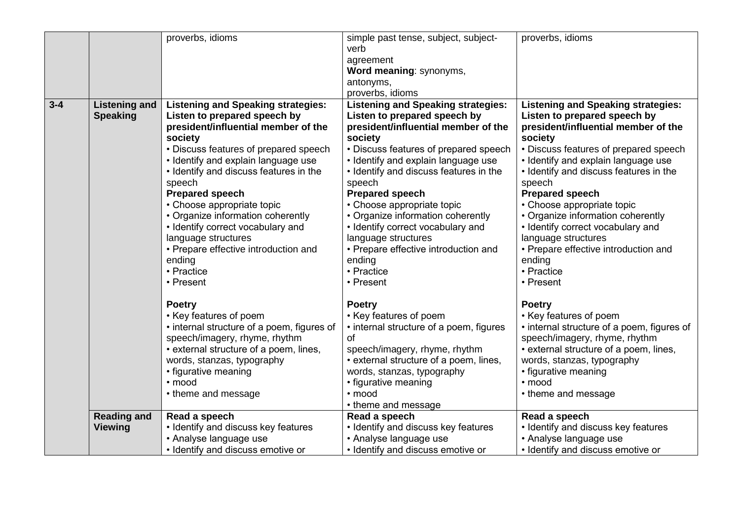|         |                      | proverbs, idioms                           | simple past tense, subject, subject-      | proverbs, idioms                           |
|---------|----------------------|--------------------------------------------|-------------------------------------------|--------------------------------------------|
|         |                      |                                            | verb                                      |                                            |
|         |                      |                                            | agreement                                 |                                            |
|         |                      |                                            | Word meaning: synonyms,                   |                                            |
|         |                      |                                            | antonyms,                                 |                                            |
|         |                      |                                            | proverbs, idioms                          |                                            |
| $3 - 4$ | <b>Listening and</b> | <b>Listening and Speaking strategies:</b>  | <b>Listening and Speaking strategies:</b> | <b>Listening and Speaking strategies:</b>  |
|         | <b>Speaking</b>      | Listen to prepared speech by               | Listen to prepared speech by              | Listen to prepared speech by               |
|         |                      | president/influential member of the        | president/influential member of the       | president/influential member of the        |
|         |                      | society                                    | society                                   | society                                    |
|         |                      | • Discuss features of prepared speech      | • Discuss features of prepared speech     | • Discuss features of prepared speech      |
|         |                      | • Identify and explain language use        | • Identify and explain language use       | • Identify and explain language use        |
|         |                      | • Identify and discuss features in the     | • Identify and discuss features in the    | • Identify and discuss features in the     |
|         |                      | speech                                     | speech                                    | speech                                     |
|         |                      | <b>Prepared speech</b>                     | <b>Prepared speech</b>                    | <b>Prepared speech</b>                     |
|         |                      | • Choose appropriate topic                 | • Choose appropriate topic                | • Choose appropriate topic                 |
|         |                      | • Organize information coherently          | • Organize information coherently         | • Organize information coherently          |
|         |                      | • Identify correct vocabulary and          | • Identify correct vocabulary and         | • Identify correct vocabulary and          |
|         |                      | language structures                        | language structures                       | language structures                        |
|         |                      | • Prepare effective introduction and       | • Prepare effective introduction and      | • Prepare effective introduction and       |
|         |                      | ending                                     | ending                                    | ending                                     |
|         |                      | • Practice                                 | • Practice                                | • Practice                                 |
|         |                      | • Present                                  | • Present                                 | • Present                                  |
|         |                      | <b>Poetry</b>                              | <b>Poetry</b>                             | <b>Poetry</b>                              |
|         |                      | • Key features of poem                     | • Key features of poem                    | • Key features of poem                     |
|         |                      | • internal structure of a poem, figures of | • internal structure of a poem, figures   | • internal structure of a poem, figures of |
|         |                      | speech/imagery, rhyme, rhythm              | 0f                                        | speech/imagery, rhyme, rhythm              |
|         |                      | • external structure of a poem, lines,     | speech/imagery, rhyme, rhythm             | • external structure of a poem, lines,     |
|         |                      | words, stanzas, typography                 | • external structure of a poem, lines,    | words, stanzas, typography                 |
|         |                      | • figurative meaning                       | words, stanzas, typography                | • figurative meaning                       |
|         |                      | · mood                                     | • figurative meaning                      | • mood                                     |
|         |                      | • theme and message                        | · mood                                    | • theme and message                        |
|         |                      |                                            | • theme and message                       |                                            |
|         | <b>Reading and</b>   | Read a speech                              | Read a speech                             | Read a speech                              |
|         | <b>Viewing</b>       | • Identify and discuss key features        | • Identify and discuss key features       | • Identify and discuss key features        |
|         |                      | • Analyse language use                     | • Analyse language use                    | • Analyse language use                     |
|         |                      | • Identify and discuss emotive or          | • Identify and discuss emotive or         | • Identify and discuss emotive or          |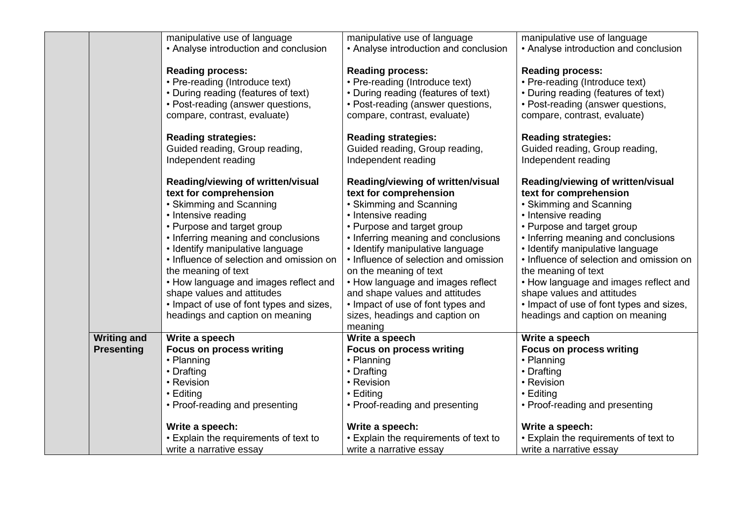|                                         | manipulative use of language<br>• Analyse introduction and conclusion                                                                                                                                                                                                                                                                                                                                                                           | manipulative use of language<br>• Analyse introduction and conclusion                                                                                                                                                                                                                                                                                                                                                                              | manipulative use of language<br>• Analyse introduction and conclusion                                                                                                                                                                                                                                                                                                                                                                           |
|-----------------------------------------|-------------------------------------------------------------------------------------------------------------------------------------------------------------------------------------------------------------------------------------------------------------------------------------------------------------------------------------------------------------------------------------------------------------------------------------------------|----------------------------------------------------------------------------------------------------------------------------------------------------------------------------------------------------------------------------------------------------------------------------------------------------------------------------------------------------------------------------------------------------------------------------------------------------|-------------------------------------------------------------------------------------------------------------------------------------------------------------------------------------------------------------------------------------------------------------------------------------------------------------------------------------------------------------------------------------------------------------------------------------------------|
|                                         | <b>Reading process:</b><br>• Pre-reading (Introduce text)<br>• During reading (features of text)<br>• Post-reading (answer questions,<br>compare, contrast, evaluate)                                                                                                                                                                                                                                                                           | <b>Reading process:</b><br>• Pre-reading (Introduce text)<br>• During reading (features of text)<br>• Post-reading (answer questions,<br>compare, contrast, evaluate)                                                                                                                                                                                                                                                                              | <b>Reading process:</b><br>• Pre-reading (Introduce text)<br>• During reading (features of text)<br>• Post-reading (answer questions,<br>compare, contrast, evaluate)                                                                                                                                                                                                                                                                           |
|                                         | <b>Reading strategies:</b><br>Guided reading, Group reading,<br>Independent reading                                                                                                                                                                                                                                                                                                                                                             | <b>Reading strategies:</b><br>Guided reading, Group reading,<br>Independent reading                                                                                                                                                                                                                                                                                                                                                                | <b>Reading strategies:</b><br>Guided reading, Group reading,<br>Independent reading                                                                                                                                                                                                                                                                                                                                                             |
|                                         | Reading/viewing of written/visual<br>text for comprehension<br>• Skimming and Scanning<br>• Intensive reading<br>• Purpose and target group<br>• Inferring meaning and conclusions<br>• Identify manipulative language<br>• Influence of selection and omission on<br>the meaning of text<br>• How language and images reflect and<br>shape values and attitudes<br>• Impact of use of font types and sizes,<br>headings and caption on meaning | Reading/viewing of written/visual<br>text for comprehension<br>• Skimming and Scanning<br>• Intensive reading<br>• Purpose and target group<br>• Inferring meaning and conclusions<br>• Identify manipulative language<br>• Influence of selection and omission<br>on the meaning of text<br>• How language and images reflect<br>and shape values and attitudes<br>• Impact of use of font types and<br>sizes, headings and caption on<br>meaning | Reading/viewing of written/visual<br>text for comprehension<br>• Skimming and Scanning<br>• Intensive reading<br>• Purpose and target group<br>• Inferring meaning and conclusions<br>• Identify manipulative language<br>• Influence of selection and omission on<br>the meaning of text<br>• How language and images reflect and<br>shape values and attitudes<br>• Impact of use of font types and sizes,<br>headings and caption on meaning |
| <b>Writing and</b><br><b>Presenting</b> | Write a speech<br><b>Focus on process writing</b><br>• Planning<br>• Drafting<br>• Revision<br>$\cdot$ Editing<br>• Proof-reading and presenting                                                                                                                                                                                                                                                                                                | Write a speech<br><b>Focus on process writing</b><br>• Planning<br>• Drafting<br>• Revision<br>• Editing<br>• Proof-reading and presenting                                                                                                                                                                                                                                                                                                         | Write a speech<br><b>Focus on process writing</b><br>• Planning<br>• Drafting<br>• Revision<br>• Editing<br>• Proof-reading and presenting                                                                                                                                                                                                                                                                                                      |
|                                         | Write a speech:<br>• Explain the requirements of text to<br>write a narrative essay                                                                                                                                                                                                                                                                                                                                                             | Write a speech:<br>• Explain the requirements of text to<br>write a narrative essay                                                                                                                                                                                                                                                                                                                                                                | Write a speech:<br>• Explain the requirements of text to<br>write a narrative essay                                                                                                                                                                                                                                                                                                                                                             |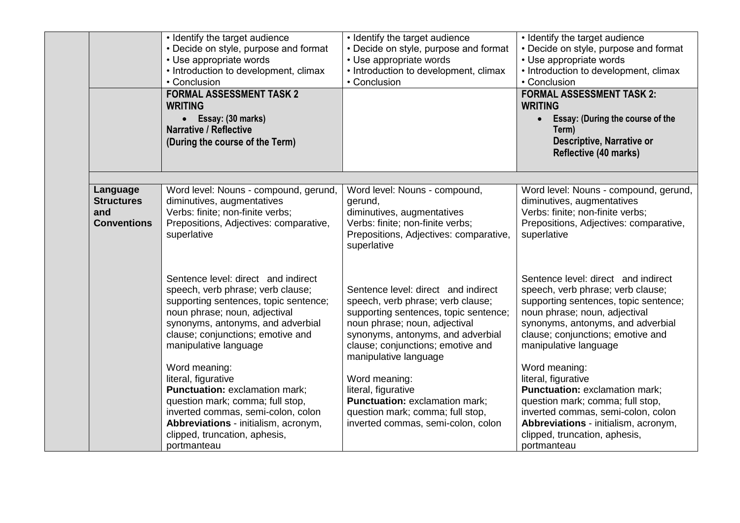|                           | • Identify the target audience<br>• Decide on style, purpose and format<br>• Use appropriate words<br>• Introduction to development, climax<br>• Conclusion<br><b>FORMAL ASSESSMENT TASK 2</b><br><b>WRITING</b><br>• Essay: (30 marks)<br><b>Narrative / Reflective</b><br>(During the course of the Term) | • Identify the target audience<br>• Decide on style, purpose and format<br>• Use appropriate words<br>• Introduction to development, climax<br>• Conclusion | • Identify the target audience<br>• Decide on style, purpose and format<br>• Use appropriate words<br>• Introduction to development, climax<br>• Conclusion<br><b>FORMAL ASSESSMENT TASK 2:</b><br><b>WRITING</b><br><b>Essay: (During the course of the</b><br>$\bullet$<br>Term)<br>Descriptive, Narrative or<br><b>Reflective (40 marks)</b> |
|---------------------------|-------------------------------------------------------------------------------------------------------------------------------------------------------------------------------------------------------------------------------------------------------------------------------------------------------------|-------------------------------------------------------------------------------------------------------------------------------------------------------------|-------------------------------------------------------------------------------------------------------------------------------------------------------------------------------------------------------------------------------------------------------------------------------------------------------------------------------------------------|
| Language                  | Word level: Nouns - compound, gerund,                                                                                                                                                                                                                                                                       | Word level: Nouns - compound,                                                                                                                               | Word level: Nouns - compound, gerund,                                                                                                                                                                                                                                                                                                           |
| <b>Structures</b>         | diminutives, augmentatives                                                                                                                                                                                                                                                                                  | gerund,                                                                                                                                                     | diminutives, augmentatives                                                                                                                                                                                                                                                                                                                      |
| and<br><b>Conventions</b> | Verbs: finite; non-finite verbs;<br>Prepositions, Adjectives: comparative,                                                                                                                                                                                                                                  | diminutives, augmentatives<br>Verbs: finite; non-finite verbs;                                                                                              | Verbs: finite; non-finite verbs;<br>Prepositions, Adjectives: comparative,                                                                                                                                                                                                                                                                      |
|                           | superlative                                                                                                                                                                                                                                                                                                 | Prepositions, Adjectives: comparative,<br>superlative                                                                                                       | superlative                                                                                                                                                                                                                                                                                                                                     |
|                           | Sentence level: direct and indirect                                                                                                                                                                                                                                                                         |                                                                                                                                                             | Sentence level: direct and indirect                                                                                                                                                                                                                                                                                                             |
|                           | speech, verb phrase; verb clause;<br>supporting sentences, topic sentence;                                                                                                                                                                                                                                  | Sentence level: direct and indirect<br>speech, verb phrase; verb clause;                                                                                    | speech, verb phrase; verb clause;<br>supporting sentences, topic sentence;                                                                                                                                                                                                                                                                      |
|                           | noun phrase; noun, adjectival                                                                                                                                                                                                                                                                               | supporting sentences, topic sentence;                                                                                                                       | noun phrase; noun, adjectival                                                                                                                                                                                                                                                                                                                   |
|                           | synonyms, antonyms, and adverbial                                                                                                                                                                                                                                                                           | noun phrase; noun, adjectival                                                                                                                               | synonyms, antonyms, and adverbial                                                                                                                                                                                                                                                                                                               |
|                           | clause; conjunctions; emotive and<br>manipulative language                                                                                                                                                                                                                                                  | synonyms, antonyms, and adverbial<br>clause; conjunctions; emotive and<br>manipulative language                                                             | clause; conjunctions; emotive and<br>manipulative language                                                                                                                                                                                                                                                                                      |
|                           | Word meaning:                                                                                                                                                                                                                                                                                               |                                                                                                                                                             | Word meaning:                                                                                                                                                                                                                                                                                                                                   |
|                           | literal, figurative<br><b>Punctuation: exclamation mark;</b>                                                                                                                                                                                                                                                | Word meaning:<br>literal, figurative                                                                                                                        | literal, figurative<br>Punctuation: exclamation mark;                                                                                                                                                                                                                                                                                           |
|                           | question mark; comma; full stop,                                                                                                                                                                                                                                                                            | Punctuation: exclamation mark;                                                                                                                              | question mark; comma; full stop,                                                                                                                                                                                                                                                                                                                |
|                           | inverted commas, semi-colon, colon                                                                                                                                                                                                                                                                          | question mark; comma; full stop,                                                                                                                            | inverted commas, semi-colon, colon                                                                                                                                                                                                                                                                                                              |
|                           | Abbreviations - initialism, acronym,                                                                                                                                                                                                                                                                        | inverted commas, semi-colon, colon                                                                                                                          | Abbreviations - initialism, acronym,                                                                                                                                                                                                                                                                                                            |
|                           | clipped, truncation, aphesis,<br>portmanteau                                                                                                                                                                                                                                                                |                                                                                                                                                             | clipped, truncation, aphesis,<br>portmanteau                                                                                                                                                                                                                                                                                                    |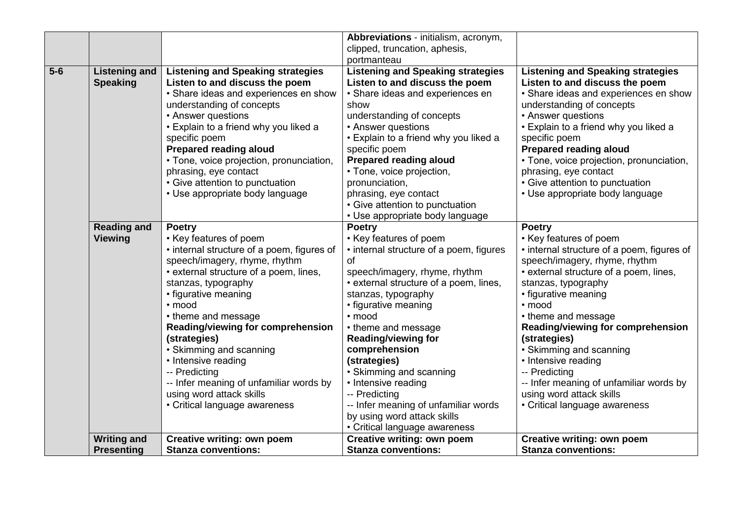|       |                      |                                            | Abbreviations - initialism, acronym,     |                                            |
|-------|----------------------|--------------------------------------------|------------------------------------------|--------------------------------------------|
|       |                      |                                            | clipped, truncation, aphesis,            |                                            |
|       |                      |                                            | portmanteau                              |                                            |
| $5-6$ | <b>Listening and</b> | <b>Listening and Speaking strategies</b>   | <b>Listening and Speaking strategies</b> | <b>Listening and Speaking strategies</b>   |
|       | <b>Speaking</b>      | Listen to and discuss the poem             | Listen to and discuss the poem           | Listen to and discuss the poem             |
|       |                      | • Share ideas and experiences en show      | • Share ideas and experiences en         | • Share ideas and experiences en show      |
|       |                      | understanding of concepts                  | show                                     | understanding of concepts                  |
|       |                      | • Answer questions                         | understanding of concepts                | • Answer questions                         |
|       |                      | • Explain to a friend why you liked a      | • Answer questions                       | • Explain to a friend why you liked a      |
|       |                      | specific poem                              | • Explain to a friend why you liked a    | specific poem                              |
|       |                      | <b>Prepared reading aloud</b>              | specific poem                            | <b>Prepared reading aloud</b>              |
|       |                      | • Tone, voice projection, pronunciation,   | <b>Prepared reading aloud</b>            | • Tone, voice projection, pronunciation,   |
|       |                      | phrasing, eye contact                      | • Tone, voice projection,                | phrasing, eye contact                      |
|       |                      | • Give attention to punctuation            | pronunciation,                           | • Give attention to punctuation            |
|       |                      | • Use appropriate body language            | phrasing, eye contact                    | • Use appropriate body language            |
|       |                      |                                            | • Give attention to punctuation          |                                            |
|       |                      |                                            | • Use appropriate body language          |                                            |
|       | <b>Reading and</b>   | <b>Poetry</b>                              | <b>Poetry</b>                            | <b>Poetry</b>                              |
|       | <b>Viewing</b>       | • Key features of poem                     | • Key features of poem                   | • Key features of poem                     |
|       |                      | • internal structure of a poem, figures of | • internal structure of a poem, figures  | • internal structure of a poem, figures of |
|       |                      | speech/imagery, rhyme, rhythm              | <b>of</b>                                | speech/imagery, rhyme, rhythm              |
|       |                      | • external structure of a poem, lines,     | speech/imagery, rhyme, rhythm            | • external structure of a poem, lines,     |
|       |                      | stanzas, typography                        | • external structure of a poem, lines,   | stanzas, typography                        |
|       |                      | • figurative meaning                       | stanzas, typography                      | • figurative meaning                       |
|       |                      | • mood                                     | • figurative meaning                     | · mood                                     |
|       |                      | • theme and message                        | · mood                                   | • theme and message                        |
|       |                      | Reading/viewing for comprehension          | • theme and message                      | Reading/viewing for comprehension          |
|       |                      | (strategies)                               | <b>Reading/viewing for</b>               | (strategies)                               |
|       |                      | • Skimming and scanning                    | comprehension                            | • Skimming and scanning                    |
|       |                      | • Intensive reading                        | (strategies)                             | • Intensive reading                        |
|       |                      | -- Predicting                              | • Skimming and scanning                  | -- Predicting                              |
|       |                      | -- Infer meaning of unfamiliar words by    | • Intensive reading                      | -- Infer meaning of unfamiliar words by    |
|       |                      | using word attack skills                   | -- Predicting                            | using word attack skills                   |
|       |                      | • Critical language awareness              | -- Infer meaning of unfamiliar words     | • Critical language awareness              |
|       |                      |                                            | by using word attack skills              |                                            |
|       |                      |                                            | • Critical language awareness            |                                            |
|       | <b>Writing and</b>   | Creative writing: own poem                 | <b>Creative writing: own poem</b>        | <b>Creative writing: own poem</b>          |
|       | <b>Presenting</b>    | <b>Stanza conventions:</b>                 | <b>Stanza conventions:</b>               | <b>Stanza conventions:</b>                 |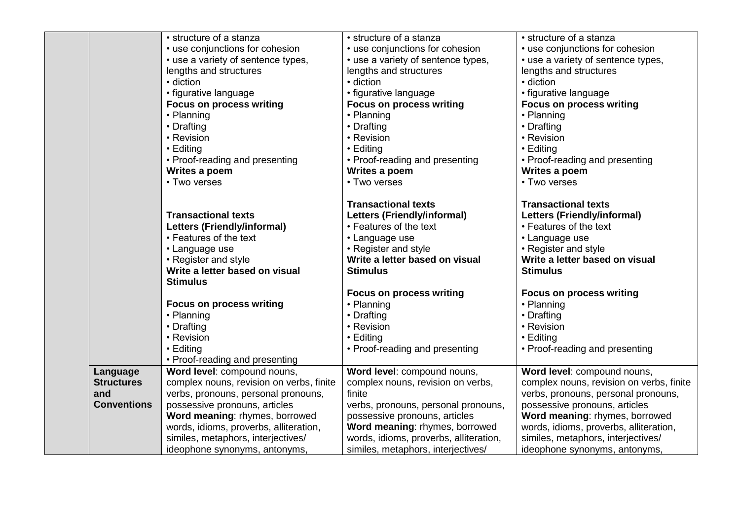|                    | • structure of a stanza                  | • structure of a stanza                | • structure of a stanza                  |
|--------------------|------------------------------------------|----------------------------------------|------------------------------------------|
|                    | • use conjunctions for cohesion          | • use conjunctions for cohesion        | • use conjunctions for cohesion          |
|                    | • use a variety of sentence types,       | • use a variety of sentence types,     | • use a variety of sentence types,       |
|                    | lengths and structures                   | lengths and structures                 | lengths and structures                   |
|                    | · diction                                | • diction                              | • diction                                |
|                    | • figurative language                    | • figurative language                  | • figurative language                    |
|                    | <b>Focus on process writing</b>          | <b>Focus on process writing</b>        | <b>Focus on process writing</b>          |
|                    | • Planning                               | • Planning                             | • Planning                               |
|                    | • Drafting                               | • Drafting                             | • Drafting                               |
|                    | • Revision                               | • Revision                             | • Revision                               |
|                    | • Editing                                | • Editing                              | • Editing                                |
|                    | • Proof-reading and presenting           | • Proof-reading and presenting         | • Proof-reading and presenting           |
|                    | Writes a poem                            | Writes a poem                          | Writes a poem                            |
|                    | • Two verses                             | • Two verses                           | • Two verses                             |
|                    |                                          | <b>Transactional texts</b>             | <b>Transactional texts</b>               |
|                    | <b>Transactional texts</b>               | <b>Letters (Friendly/informal)</b>     | <b>Letters (Friendly/informal)</b>       |
|                    | <b>Letters (Friendly/informal)</b>       | • Features of the text                 | • Features of the text                   |
|                    | • Features of the text                   | • Language use                         | • Language use                           |
|                    | • Language use                           | • Register and style                   | • Register and style                     |
|                    | • Register and style                     | Write a letter based on visual         | Write a letter based on visual           |
|                    | Write a letter based on visual           | <b>Stimulus</b>                        | <b>Stimulus</b>                          |
|                    | <b>Stimulus</b>                          |                                        |                                          |
|                    |                                          | <b>Focus on process writing</b>        | <b>Focus on process writing</b>          |
|                    | <b>Focus on process writing</b>          | • Planning                             | • Planning                               |
|                    | • Planning                               | • Drafting                             | • Drafting                               |
|                    | • Drafting                               | • Revision                             | • Revision                               |
|                    | • Revision                               | • Editing                              | • Editing                                |
|                    | • Editing                                | • Proof-reading and presenting         | • Proof-reading and presenting           |
|                    | • Proof-reading and presenting           |                                        |                                          |
| Language           | Word level: compound nouns,              | Word level: compound nouns,            | Word level: compound nouns,              |
| <b>Structures</b>  | complex nouns, revision on verbs, finite | complex nouns, revision on verbs,      | complex nouns, revision on verbs, finite |
| and                | verbs, pronouns, personal pronouns,      | finite                                 | verbs, pronouns, personal pronouns,      |
| <b>Conventions</b> | possessive pronouns, articles            | verbs, pronouns, personal pronouns,    | possessive pronouns, articles            |
|                    | Word meaning: rhymes, borrowed           | possessive pronouns, articles          | Word meaning: rhymes, borrowed           |
|                    | words, idioms, proverbs, alliteration,   | Word meaning: rhymes, borrowed         | words, idioms, proverbs, alliteration,   |
|                    | similes, metaphors, interjectives/       | words, idioms, proverbs, alliteration, | similes, metaphors, interjectives/       |
|                    | ideophone synonyms, antonyms,            | similes, metaphors, interjectives/     | ideophone synonyms, antonyms,            |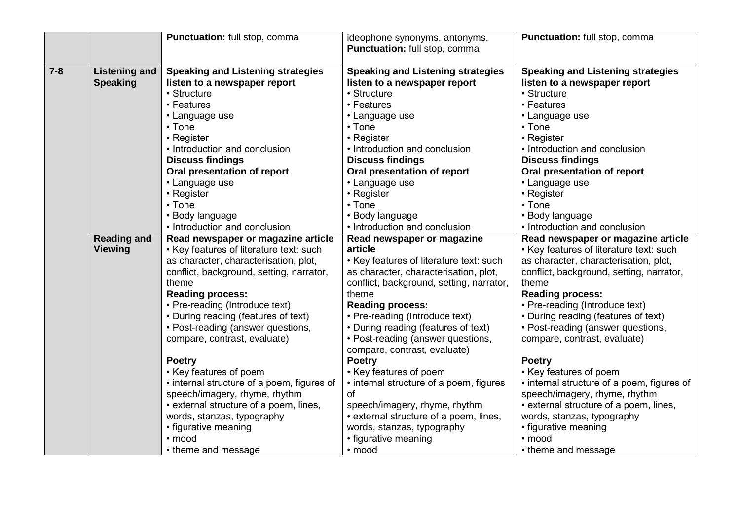|         |                      | Punctuation: full stop, comma              | ideophone synonyms, antonyms,<br>Punctuation: full stop, comma | Punctuation: full stop, comma              |
|---------|----------------------|--------------------------------------------|----------------------------------------------------------------|--------------------------------------------|
| $7 - 8$ | <b>Listening and</b> | <b>Speaking and Listening strategies</b>   | <b>Speaking and Listening strategies</b>                       | <b>Speaking and Listening strategies</b>   |
|         | <b>Speaking</b>      | listen to a newspaper report               | listen to a newspaper report                                   | listen to a newspaper report               |
|         |                      | • Structure                                | • Structure                                                    | • Structure                                |
|         |                      | • Features                                 | • Features                                                     | • Features                                 |
|         |                      | • Language use                             | • Language use                                                 | • Language use                             |
|         |                      | • Tone                                     | • Tone                                                         | • Tone                                     |
|         |                      | • Register                                 | • Register                                                     | • Register                                 |
|         |                      | • Introduction and conclusion              | • Introduction and conclusion                                  | • Introduction and conclusion              |
|         |                      | <b>Discuss findings</b>                    | <b>Discuss findings</b>                                        | <b>Discuss findings</b>                    |
|         |                      | Oral presentation of report                | Oral presentation of report                                    | Oral presentation of report                |
|         |                      | • Language use                             | • Language use                                                 | • Language use                             |
|         |                      | • Register                                 | • Register                                                     | • Register                                 |
|         |                      | • Tone                                     | • Tone                                                         | • Tone                                     |
|         |                      | • Body language                            | • Body language                                                | • Body language                            |
|         |                      | • Introduction and conclusion              | • Introduction and conclusion                                  | • Introduction and conclusion              |
|         | <b>Reading and</b>   | Read newspaper or magazine article         | Read newspaper or magazine                                     | Read newspaper or magazine article         |
|         | <b>Viewing</b>       | • Key features of literature text: such    | article                                                        | • Key features of literature text: such    |
|         |                      | as character, characterisation, plot,      | • Key features of literature text: such                        | as character, characterisation, plot,      |
|         |                      | conflict, background, setting, narrator,   | as character, characterisation, plot,                          | conflict, background, setting, narrator,   |
|         |                      | theme                                      | conflict, background, setting, narrator,                       | theme                                      |
|         |                      | <b>Reading process:</b>                    | theme                                                          | <b>Reading process:</b>                    |
|         |                      | • Pre-reading (Introduce text)             | <b>Reading process:</b>                                        | • Pre-reading (Introduce text)             |
|         |                      | • During reading (features of text)        | • Pre-reading (Introduce text)                                 | • During reading (features of text)        |
|         |                      | • Post-reading (answer questions,          | • During reading (features of text)                            | • Post-reading (answer questions,          |
|         |                      | compare, contrast, evaluate)               | • Post-reading (answer questions,                              | compare, contrast, evaluate)               |
|         |                      |                                            | compare, contrast, evaluate)                                   |                                            |
|         |                      | <b>Poetry</b>                              | <b>Poetry</b>                                                  | <b>Poetry</b>                              |
|         |                      | • Key features of poem                     | • Key features of poem                                         | • Key features of poem                     |
|         |                      | • internal structure of a poem, figures of | • internal structure of a poem, figures                        | • internal structure of a poem, figures of |
|         |                      | speech/imagery, rhyme, rhythm              | of                                                             | speech/imagery, rhyme, rhythm              |
|         |                      | • external structure of a poem, lines,     | speech/imagery, rhyme, rhythm                                  | • external structure of a poem, lines,     |
|         |                      | words, stanzas, typography                 | • external structure of a poem, lines,                         | words, stanzas, typography                 |
|         |                      | • figurative meaning                       | words, stanzas, typography                                     | • figurative meaning                       |
|         |                      | · mood                                     | • figurative meaning                                           | • mood                                     |
|         |                      | • theme and message                        | • mood                                                         | • theme and message                        |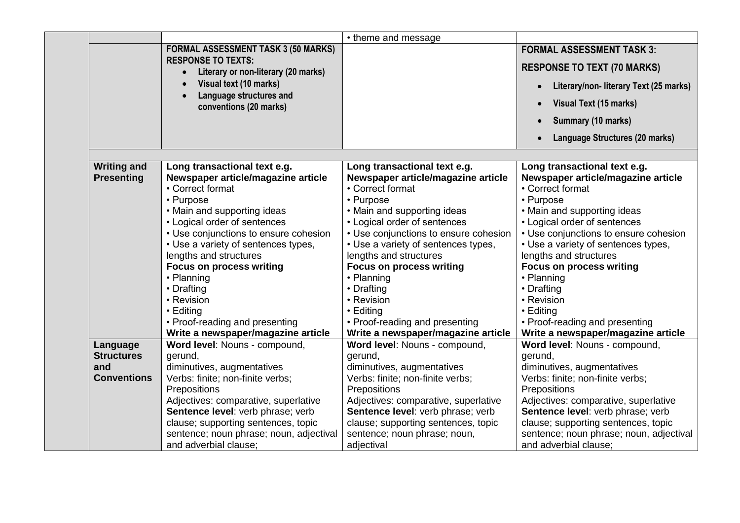|                    |                                                           | • theme and message                                           |                                               |
|--------------------|-----------------------------------------------------------|---------------------------------------------------------------|-----------------------------------------------|
|                    | <b>FORMAL ASSESSMENT TASK 3 (50 MARKS)</b>                |                                                               | <b>FORMAL ASSESSMENT TASK 3:</b>              |
|                    | <b>RESPONSE TO TEXTS:</b>                                 |                                                               | <b>RESPONSE TO TEXT (70 MARKS)</b>            |
|                    | Literary or non-literary (20 marks)<br>$\bullet$          |                                                               |                                               |
|                    | Visual text (10 marks)                                    |                                                               | Literary/non- literary Text (25 marks)        |
|                    | Language structures and<br>conventions (20 marks)         |                                                               | Visual Text (15 marks)                        |
|                    |                                                           |                                                               | Summary (10 marks)                            |
|                    |                                                           |                                                               | Language Structures (20 marks)                |
|                    |                                                           |                                                               |                                               |
| <b>Writing and</b> | Long transactional text e.g.                              | Long transactional text e.g.                                  | Long transactional text e.g.                  |
| <b>Presenting</b>  | Newspaper article/magazine article                        | Newspaper article/magazine article                            | Newspaper article/magazine article            |
|                    | • Correct format                                          | • Correct format                                              | • Correct format                              |
|                    | • Purpose                                                 | • Purpose                                                     | • Purpose                                     |
|                    | • Main and supporting ideas                               | • Main and supporting ideas                                   | • Main and supporting ideas                   |
|                    | • Logical order of sentences                              | • Logical order of sentences                                  | • Logical order of sentences                  |
|                    | • Use conjunctions to ensure cohesion                     | • Use conjunctions to ensure cohesion                         | • Use conjunctions to ensure cohesion         |
|                    | • Use a variety of sentences types,                       | • Use a variety of sentences types,<br>lengths and structures | • Use a variety of sentences types,           |
|                    | lengths and structures<br><b>Focus on process writing</b> |                                                               | lengths and structures                        |
|                    | • Planning                                                | <b>Focus on process writing</b><br>• Planning                 | <b>Focus on process writing</b><br>• Planning |
|                    | • Drafting                                                | • Drafting                                                    | • Drafting                                    |
|                    | • Revision                                                | • Revision                                                    | • Revision                                    |
|                    | • Editing                                                 | • Editing                                                     | • Editing                                     |
|                    | • Proof-reading and presenting                            | • Proof-reading and presenting                                | • Proof-reading and presenting                |
|                    | Write a newspaper/magazine article                        | Write a newspaper/magazine article                            | Write a newspaper/magazine article            |
| Language           | Word level: Nouns - compound,                             | Word level: Nouns - compound,                                 | Word level: Nouns - compound,                 |
| <b>Structures</b>  | gerund,                                                   | gerund,                                                       | gerund,                                       |
| and                | diminutives, augmentatives                                | diminutives, augmentatives                                    | diminutives, augmentatives                    |
| <b>Conventions</b> | Verbs: finite; non-finite verbs;                          | Verbs: finite; non-finite verbs;                              | Verbs: finite; non-finite verbs;              |
|                    | Prepositions                                              | Prepositions                                                  | Prepositions                                  |
|                    | Adjectives: comparative, superlative                      | Adjectives: comparative, superlative                          | Adjectives: comparative, superlative          |
|                    | Sentence level: verb phrase; verb                         | Sentence level: verb phrase; verb                             | Sentence level: verb phrase; verb             |
|                    | clause; supporting sentences, topic                       | clause; supporting sentences, topic                           | clause; supporting sentences, topic           |
|                    | sentence; noun phrase; noun, adjectival                   | sentence; noun phrase; noun,                                  | sentence; noun phrase; noun, adjectival       |
|                    | and adverbial clause;                                     | adjectival                                                    | and adverbial clause;                         |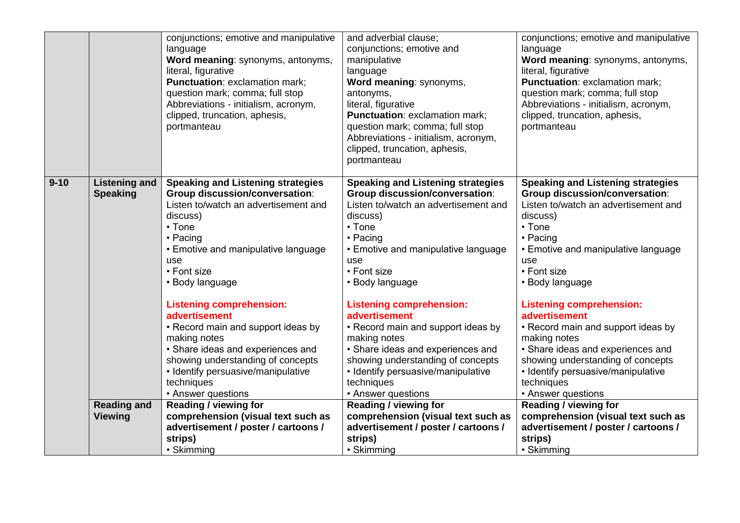|          |                                         | conjunctions; emotive and manipulative<br>language                         | and adverbial clause;<br>conjunctions; emotive and                         | conjunctions; emotive and manipulative<br>language                         |
|----------|-----------------------------------------|----------------------------------------------------------------------------|----------------------------------------------------------------------------|----------------------------------------------------------------------------|
|          |                                         | Word meaning: synonyms, antonyms,                                          | manipulative                                                               | Word meaning: synonyms, antonyms,                                          |
|          |                                         | literal, figurative                                                        | language                                                                   | literal, figurative                                                        |
|          |                                         | <b>Punctuation: exclamation mark;</b>                                      | Word meaning: synonyms,                                                    | <b>Punctuation: exclamation mark;</b>                                      |
|          |                                         | question mark; comma; full stop                                            | antonyms,                                                                  | question mark; comma; full stop                                            |
|          |                                         | Abbreviations - initialism, acronym,                                       | literal, figurative                                                        | Abbreviations - initialism, acronym,                                       |
|          |                                         | clipped, truncation, aphesis,                                              | Punctuation: exclamation mark;                                             | clipped, truncation, aphesis,                                              |
|          |                                         | portmanteau                                                                | question mark; comma; full stop                                            | portmanteau                                                                |
|          |                                         |                                                                            | Abbreviations - initialism, acronym,                                       |                                                                            |
|          |                                         |                                                                            | clipped, truncation, aphesis,                                              |                                                                            |
|          |                                         |                                                                            | portmanteau                                                                |                                                                            |
| $9 - 10$ |                                         |                                                                            |                                                                            |                                                                            |
|          | <b>Listening and</b><br><b>Speaking</b> | <b>Speaking and Listening strategies</b><br>Group discussion/conversation: | <b>Speaking and Listening strategies</b><br>Group discussion/conversation: | <b>Speaking and Listening strategies</b><br>Group discussion/conversation: |
|          |                                         | Listen to/watch an advertisement and                                       | Listen to/watch an advertisement and                                       | Listen to/watch an advertisement and                                       |
|          |                                         | discuss)                                                                   | discuss)                                                                   | discuss)                                                                   |
|          |                                         | • Tone                                                                     | $\cdot$ Tone                                                               | • Tone                                                                     |
|          |                                         | • Pacing                                                                   | • Pacing                                                                   | • Pacing                                                                   |
|          |                                         | • Emotive and manipulative language                                        | • Emotive and manipulative language                                        | • Emotive and manipulative language                                        |
|          |                                         | use                                                                        | use                                                                        | use                                                                        |
|          |                                         | • Font size                                                                | • Font size                                                                | • Font size                                                                |
|          |                                         | • Body language                                                            | • Body language                                                            | • Body language                                                            |
|          |                                         |                                                                            |                                                                            |                                                                            |
|          |                                         | <b>Listening comprehension:</b>                                            | <b>Listening comprehension:</b>                                            | <b>Listening comprehension:</b>                                            |
|          |                                         | advertisement                                                              | advertisement                                                              | advertisement                                                              |
|          |                                         | • Record main and support ideas by                                         | • Record main and support ideas by                                         | • Record main and support ideas by                                         |
|          |                                         | making notes                                                               | making notes                                                               | making notes                                                               |
|          |                                         | • Share ideas and experiences and                                          | • Share ideas and experiences and                                          | • Share ideas and experiences and                                          |
|          |                                         | showing understanding of concepts                                          | showing understanding of concepts                                          | showing understanding of concepts                                          |
|          |                                         | • Identify persuasive/manipulative                                         | • Identify persuasive/manipulative                                         | • Identify persuasive/manipulative                                         |
|          |                                         | techniques                                                                 | techniques                                                                 | techniques                                                                 |
|          | <b>Reading and</b>                      | • Answer questions<br><b>Reading / viewing for</b>                         | • Answer questions                                                         | • Answer questions                                                         |
|          | <b>Viewing</b>                          | comprehension (visual text such as                                         | Reading / viewing for<br>comprehension (visual text such as                | <b>Reading / viewing for</b><br>comprehension (visual text such as         |
|          |                                         | advertisement / poster / cartoons /                                        | advertisement / poster / cartoons /                                        | advertisement / poster / cartoons /                                        |
|          |                                         | strips)                                                                    | strips)                                                                    | strips)                                                                    |
|          |                                         | • Skimming                                                                 | • Skimming                                                                 | • Skimming                                                                 |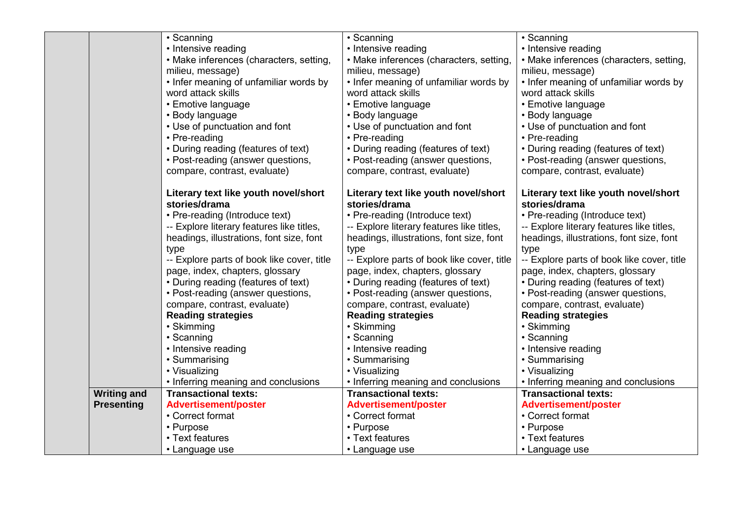|                    | • Scanning                                 | • Scanning                                 | • Scanning                                 |
|--------------------|--------------------------------------------|--------------------------------------------|--------------------------------------------|
|                    | • Intensive reading                        | • Intensive reading                        | • Intensive reading                        |
|                    | • Make inferences (characters, setting,    | • Make inferences (characters, setting,    | • Make inferences (characters, setting,    |
|                    | milieu, message)                           | milieu, message)                           | milieu, message)                           |
|                    | • Infer meaning of unfamiliar words by     | • Infer meaning of unfamiliar words by     | • Infer meaning of unfamiliar words by     |
|                    | word attack skills                         | word attack skills                         | word attack skills                         |
|                    | • Emotive language                         | • Emotive language                         | • Emotive language                         |
|                    | • Body language                            | • Body language                            | • Body language                            |
|                    | • Use of punctuation and font              | • Use of punctuation and font              | • Use of punctuation and font              |
|                    | • Pre-reading                              | • Pre-reading                              | • Pre-reading                              |
|                    | • During reading (features of text)        | • During reading (features of text)        | • During reading (features of text)        |
|                    | • Post-reading (answer questions,          | • Post-reading (answer questions,          | • Post-reading (answer questions,          |
|                    | compare, contrast, evaluate)               | compare, contrast, evaluate)               | compare, contrast, evaluate)               |
|                    |                                            |                                            |                                            |
|                    | Literary text like youth novel/short       | Literary text like youth novel/short       | Literary text like youth novel/short       |
|                    | stories/drama                              | stories/drama                              | stories/drama                              |
|                    | • Pre-reading (Introduce text)             | • Pre-reading (Introduce text)             | • Pre-reading (Introduce text)             |
|                    | -- Explore literary features like titles,  | -- Explore literary features like titles,  | -- Explore literary features like titles,  |
|                    | headings, illustrations, font size, font   | headings, illustrations, font size, font   | headings, illustrations, font size, font   |
|                    | type                                       | type                                       | type                                       |
|                    | -- Explore parts of book like cover, title | -- Explore parts of book like cover, title | -- Explore parts of book like cover, title |
|                    | page, index, chapters, glossary            | page, index, chapters, glossary            | page, index, chapters, glossary            |
|                    | • During reading (features of text)        | • During reading (features of text)        | • During reading (features of text)        |
|                    | • Post-reading (answer questions,          | • Post-reading (answer questions,          | • Post-reading (answer questions,          |
|                    | compare, contrast, evaluate)               | compare, contrast, evaluate)               | compare, contrast, evaluate)               |
|                    | <b>Reading strategies</b>                  | <b>Reading strategies</b>                  | <b>Reading strategies</b>                  |
|                    | • Skimming                                 | • Skimming                                 | • Skimming                                 |
|                    | • Scanning                                 | • Scanning                                 | • Scanning                                 |
|                    | • Intensive reading                        | • Intensive reading                        | • Intensive reading                        |
|                    | • Summarising                              | • Summarising                              | • Summarising                              |
|                    | • Visualizing                              | • Visualizing                              | • Visualizing                              |
|                    | • Inferring meaning and conclusions        | • Inferring meaning and conclusions        | • Inferring meaning and conclusions        |
| <b>Writing and</b> | <b>Transactional texts:</b>                | <b>Transactional texts:</b>                | <b>Transactional texts:</b>                |
| <b>Presenting</b>  | <b>Advertisement/poster</b>                | <b>Advertisement/poster</b>                | <b>Advertisement/poster</b>                |
|                    | • Correct format                           | • Correct format                           | • Correct format                           |
|                    | • Purpose                                  | • Purpose                                  | • Purpose                                  |
|                    | • Text features                            | • Text features                            | • Text features                            |
|                    | • Language use                             | • Language use                             | • Language use                             |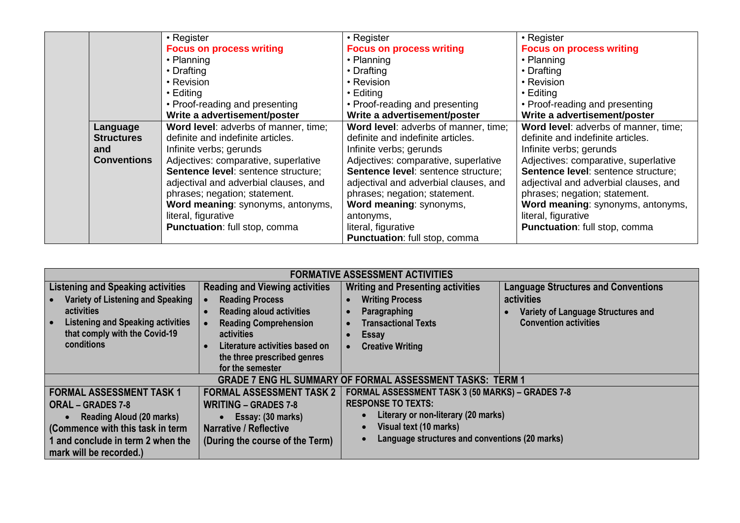|                    | • Register                            | • Register                            | • Register                                 |
|--------------------|---------------------------------------|---------------------------------------|--------------------------------------------|
|                    | <b>Focus on process writing</b>       | <b>Focus on process writing</b>       | <b>Focus on process writing</b>            |
|                    | • Planning                            | • Planning                            | • Planning                                 |
|                    | • Drafting                            | • Drafting                            | • Drafting                                 |
|                    | • Revision                            | • Revision                            | • Revision                                 |
|                    | $\cdot$ Editing                       | • Editing                             | • Editing                                  |
|                    | • Proof-reading and presenting        | • Proof-reading and presenting        | • Proof-reading and presenting             |
|                    | Write a advertisement/poster          | Write a advertisement/poster          | Write a advertisement/poster               |
| Language           | Word level: adverbs of manner, time;  | Word level: adverbs of manner, time;  | Word level: adverbs of manner, time;       |
| <b>Structures</b>  | definite and indefinite articles.     | definite and indefinite articles.     | definite and indefinite articles.          |
| and                | Infinite verbs; gerunds               | Infinite verbs; gerunds               | Infinite verbs; gerunds                    |
| <b>Conventions</b> | Adjectives: comparative, superlative  | Adjectives: comparative, superlative  | Adjectives: comparative, superlative       |
|                    | Sentence level: sentence structure;   | Sentence level: sentence structure;   | <b>Sentence level:</b> sentence structure; |
|                    | adjectival and adverbial clauses, and | adjectival and adverbial clauses, and | adjectival and adverbial clauses, and      |
|                    | phrases; negation; statement.         | phrases; negation; statement.         | phrases; negation; statement.              |
|                    | Word meaning: synonyms, antonyms,     | Word meaning: synonyms,               | Word meaning: synonyms, antonyms,          |
|                    | literal, figurative                   | antonyms,                             | literal, figurative                        |
|                    | Punctuation: full stop, comma         | literal, figurative                   | <b>Punctuation:</b> full stop, comma       |
|                    |                                       | Punctuation: full stop, comma         |                                            |

| <b>FORMATIVE ASSESSMENT ACTIVITIES</b>               |                                       |                                                                  |                                            |  |
|------------------------------------------------------|---------------------------------------|------------------------------------------------------------------|--------------------------------------------|--|
| <b>Listening and Speaking activities</b>             | <b>Reading and Viewing activities</b> | <b>Writing and Presenting activities</b>                         | <b>Language Structures and Conventions</b> |  |
| Variety of Listening and Speaking                    | <b>Reading Process</b>                | <b>Writing Process</b>                                           | activities                                 |  |
| <b>activities</b>                                    | <b>Reading aloud activities</b>       | Paragraphing                                                     | Variety of Language Structures and         |  |
| <b>Listening and Speaking activities</b>             | <b>Reading Comprehension</b>          | <b>Transactional Texts</b>                                       | <b>Convention activities</b>               |  |
| that comply with the Covid-19                        | activities                            | <b>Essay</b>                                                     |                                            |  |
| conditions                                           | Literature activities based on        | <b>Creative Writing</b>                                          |                                            |  |
|                                                      | the three prescribed genres           |                                                                  |                                            |  |
|                                                      | for the semester                      |                                                                  |                                            |  |
|                                                      |                                       | <b>GRADE 7 ENG HL SUMMARY OF FORMAL ASSESSMENT TASKS: TERM 1</b> |                                            |  |
| <b>FORMAL ASSESSMENT TASK 1</b>                      | <b>FORMAL ASSESSMENT TASK 2</b>       | <b>FORMAL ASSESSMENT TASK 3 (50 MARKS) - GRADES 7-8</b>          |                                            |  |
| <b>ORAL – GRADES 7-8</b>                             | <b>WRITING - GRADES 7-8</b>           | <b>RESPONSE TO TEXTS:</b>                                        |                                            |  |
| <b>Reading Aloud (20 marks)</b><br>Essay: (30 marks) |                                       | Literary or non-literary (20 marks)                              |                                            |  |
| (Commence with this task in term                     | <b>Narrative / Reflective</b>         | Visual text (10 marks)<br>$\bullet$                              |                                            |  |
| 1 and conclude in term 2 when the                    | (During the course of the Term)       | Language structures and conventions (20 marks)                   |                                            |  |
| mark will be recorded.)                              |                                       |                                                                  |                                            |  |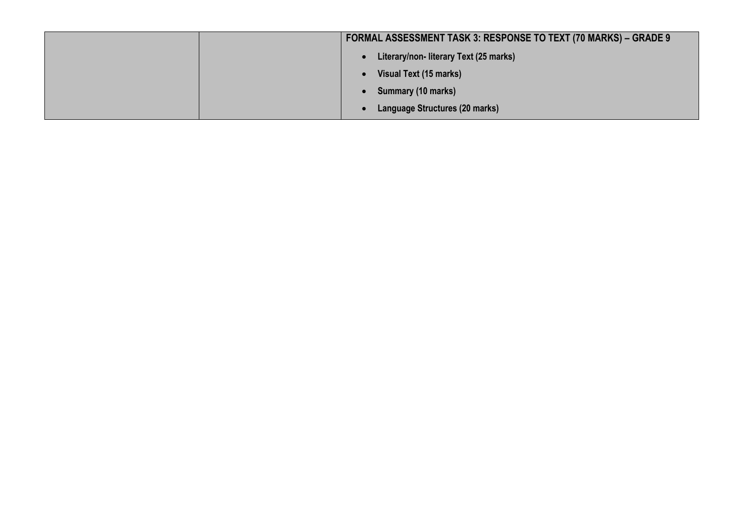| <b>FORMAL ASSESSMENT TASK 3: RESPONSE TO TEXT (70 MARKS) – GRADE 9</b> |
|------------------------------------------------------------------------|
| Literary/non-literary Text (25 marks)                                  |
| Visual Text (15 marks)                                                 |
| Summary (10 marks)                                                     |
| Language Structures (20 marks)                                         |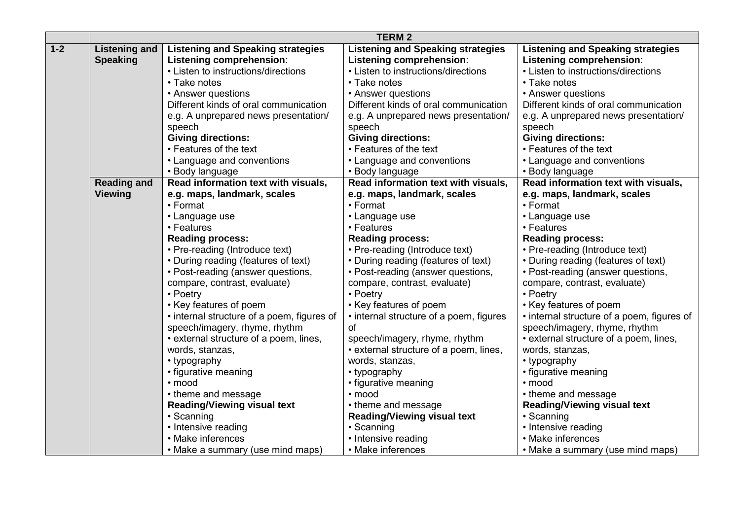|       |                      |                                            | <b>TERM 2</b>                            |                                            |
|-------|----------------------|--------------------------------------------|------------------------------------------|--------------------------------------------|
| $1-2$ | <b>Listening and</b> | <b>Listening and Speaking strategies</b>   | <b>Listening and Speaking strategies</b> | <b>Listening and Speaking strategies</b>   |
|       | <b>Speaking</b>      | Listening comprehension:                   | Listening comprehension:                 | <b>Listening comprehension:</b>            |
|       |                      | • Listen to instructions/directions        | • Listen to instructions/directions      | • Listen to instructions/directions        |
|       |                      | • Take notes                               | • Take notes                             | • Take notes                               |
|       |                      | • Answer questions                         | • Answer questions                       | • Answer questions                         |
|       |                      | Different kinds of oral communication      | Different kinds of oral communication    | Different kinds of oral communication      |
|       |                      | e.g. A unprepared news presentation/       | e.g. A unprepared news presentation/     | e.g. A unprepared news presentation/       |
|       |                      | speech                                     | speech                                   | speech                                     |
|       |                      | <b>Giving directions:</b>                  | <b>Giving directions:</b>                | <b>Giving directions:</b>                  |
|       |                      | • Features of the text                     | • Features of the text                   | • Features of the text                     |
|       |                      | • Language and conventions                 | • Language and conventions               | • Language and conventions                 |
|       |                      | • Body language                            | • Body language                          | • Body language                            |
|       | <b>Reading and</b>   | Read information text with visuals,        | Read information text with visuals,      | Read information text with visuals,        |
|       | <b>Viewing</b>       | e.g. maps, landmark, scales                | e.g. maps, landmark, scales              | e.g. maps, landmark, scales                |
|       |                      | • Format                                   | • Format                                 | • Format                                   |
|       |                      | • Language use                             | • Language use                           | • Language use                             |
|       |                      | • Features                                 | • Features                               | • Features                                 |
|       |                      | <b>Reading process:</b>                    | <b>Reading process:</b>                  | <b>Reading process:</b>                    |
|       |                      | • Pre-reading (Introduce text)             | • Pre-reading (Introduce text)           | • Pre-reading (Introduce text)             |
|       |                      | • During reading (features of text)        | • During reading (features of text)      | • During reading (features of text)        |
|       |                      | • Post-reading (answer questions,          | • Post-reading (answer questions,        | • Post-reading (answer questions,          |
|       |                      | compare, contrast, evaluate)               | compare, contrast, evaluate)             | compare, contrast, evaluate)               |
|       |                      | • Poetry                                   | • Poetry                                 | • Poetry                                   |
|       |                      | • Key features of poem                     | • Key features of poem                   | • Key features of poem                     |
|       |                      | • internal structure of a poem, figures of | • internal structure of a poem, figures  | • internal structure of a poem, figures of |
|       |                      | speech/imagery, rhyme, rhythm              | of                                       | speech/imagery, rhyme, rhythm              |
|       |                      | • external structure of a poem, lines,     | speech/imagery, rhyme, rhythm            | • external structure of a poem, lines,     |
|       |                      | words, stanzas,                            | • external structure of a poem, lines,   | words, stanzas,                            |
|       |                      | • typography                               | words, stanzas,                          | • typography                               |
|       |                      | • figurative meaning                       | • typography                             | • figurative meaning                       |
|       |                      | $\cdot$ mood                               | • figurative meaning                     | • mood                                     |
|       |                      | • theme and message                        | · mood                                   | • theme and message                        |
|       |                      | <b>Reading/Viewing visual text</b>         | • theme and message                      | <b>Reading/Viewing visual text</b>         |
|       |                      | • Scanning                                 | <b>Reading/Viewing visual text</b>       | • Scanning                                 |
|       |                      | • Intensive reading                        | • Scanning                               | • Intensive reading                        |
|       |                      | • Make inferences                          | • Intensive reading                      | • Make inferences                          |
|       |                      | • Make a summary (use mind maps)           | • Make inferences                        | • Make a summary (use mind maps)           |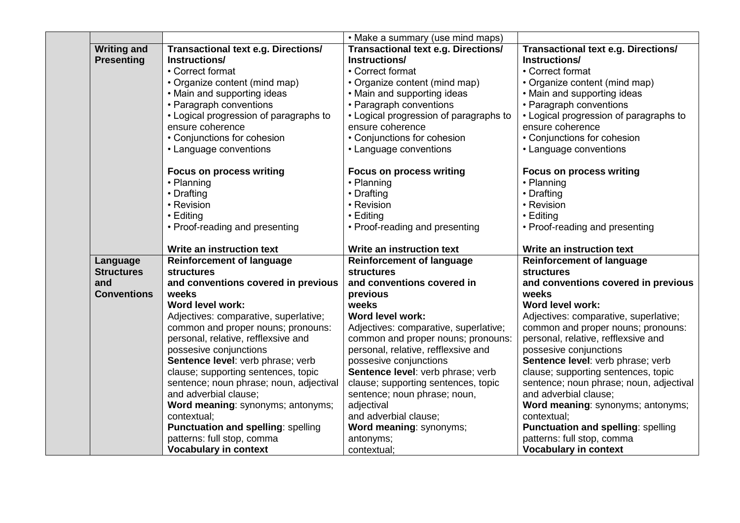|                    |                                            | • Make a summary (use mind maps)       |                                            |
|--------------------|--------------------------------------------|----------------------------------------|--------------------------------------------|
| <b>Writing and</b> | <b>Transactional text e.g. Directions/</b> | Transactional text e.g. Directions/    | <b>Transactional text e.g. Directions/</b> |
| <b>Presenting</b>  | Instructions/                              | Instructions/                          | Instructions/                              |
|                    | • Correct format                           | • Correct format                       | • Correct format                           |
|                    | • Organize content (mind map)              | • Organize content (mind map)          | • Organize content (mind map)              |
|                    | • Main and supporting ideas                | • Main and supporting ideas            | • Main and supporting ideas                |
|                    | • Paragraph conventions                    | • Paragraph conventions                | • Paragraph conventions                    |
|                    | • Logical progression of paragraphs to     | • Logical progression of paragraphs to | • Logical progression of paragraphs to     |
|                    | ensure coherence                           | ensure coherence                       | ensure coherence                           |
|                    | • Conjunctions for cohesion                | • Conjunctions for cohesion            | • Conjunctions for cohesion                |
|                    | • Language conventions                     | • Language conventions                 | • Language conventions                     |
|                    | <b>Focus on process writing</b>            | <b>Focus on process writing</b>        | <b>Focus on process writing</b>            |
|                    | • Planning                                 | • Planning                             | • Planning                                 |
|                    | • Drafting                                 | • Drafting                             | • Drafting                                 |
|                    | • Revision                                 | • Revision                             | • Revision                                 |
|                    | $\cdot$ Editing                            | • Editing                              | • Editing                                  |
|                    | • Proof-reading and presenting             | • Proof-reading and presenting         | • Proof-reading and presenting             |
|                    | Write an instruction text                  | Write an instruction text              | Write an instruction text                  |
| Language           | <b>Reinforcement of language</b>           | <b>Reinforcement of language</b>       | <b>Reinforcement of language</b>           |
| <b>Structures</b>  | <b>structures</b>                          | <b>structures</b>                      | <b>structures</b>                          |
| and                | and conventions covered in previous        | and conventions covered in             | and conventions covered in previous        |
| <b>Conventions</b> | weeks                                      | previous                               | weeks                                      |
|                    | Word level work:                           | weeks                                  | Word level work:                           |
|                    | Adjectives: comparative, superlative;      | Word level work:                       | Adjectives: comparative, superlative;      |
|                    | common and proper nouns; pronouns:         | Adjectives: comparative, superlative;  | common and proper nouns; pronouns:         |
|                    | personal, relative, refflexsive and        | common and proper nouns; pronouns:     | personal, relative, refflexsive and        |
|                    | possesive conjunctions                     | personal, relative, refflexsive and    | possesive conjunctions                     |
|                    | Sentence level: verb phrase; verb          | possesive conjunctions                 | Sentence level: verb phrase; verb          |
|                    | clause; supporting sentences, topic        | Sentence level: verb phrase; verb      | clause; supporting sentences, topic        |
|                    | sentence; noun phrase; noun, adjectival    | clause; supporting sentences, topic    | sentence; noun phrase; noun, adjectival    |
|                    | and adverbial clause;                      | sentence; noun phrase; noun,           | and adverbial clause;                      |
|                    | Word meaning: synonyms; antonyms;          | adjectival                             | Word meaning: synonyms; antonyms;          |
|                    | contextual;                                | and adverbial clause;                  | contextual;                                |
|                    | <b>Punctuation and spelling: spelling</b>  | Word meaning: synonyms;                | <b>Punctuation and spelling: spelling</b>  |
|                    | patterns: full stop, comma                 | antonyms;                              | patterns: full stop, comma                 |
|                    | <b>Vocabulary in context</b>               | contextual;                            | <b>Vocabulary in context</b>               |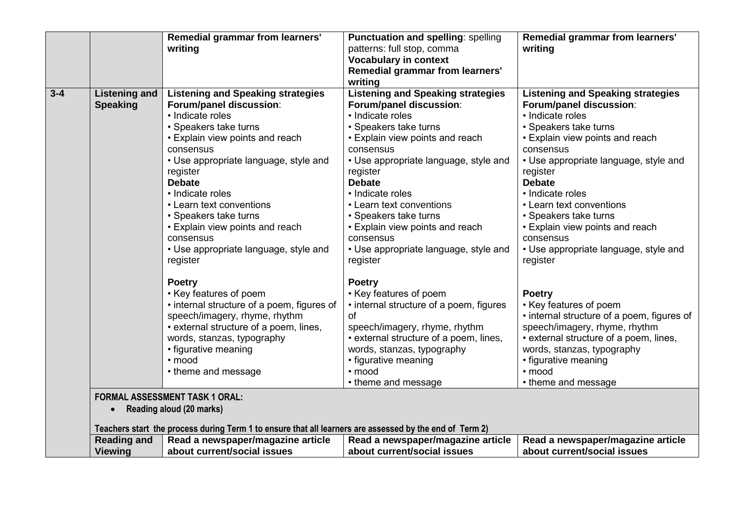|         |                      | Remedial grammar from learners'                                                                         | Punctuation and spelling: spelling       | Remedial grammar from learners'            |
|---------|----------------------|---------------------------------------------------------------------------------------------------------|------------------------------------------|--------------------------------------------|
|         |                      | writing                                                                                                 | patterns: full stop, comma               | writing                                    |
|         |                      |                                                                                                         | <b>Vocabulary in context</b>             |                                            |
|         |                      |                                                                                                         | <b>Remedial grammar from learners'</b>   |                                            |
|         |                      |                                                                                                         | writing                                  |                                            |
| $3 - 4$ | <b>Listening and</b> | <b>Listening and Speaking strategies</b>                                                                | <b>Listening and Speaking strategies</b> | <b>Listening and Speaking strategies</b>   |
|         | <b>Speaking</b>      | Forum/panel discussion:                                                                                 | Forum/panel discussion:                  | Forum/panel discussion:                    |
|         |                      | • Indicate roles                                                                                        | • Indicate roles                         | • Indicate roles                           |
|         |                      | • Speakers take turns                                                                                   | • Speakers take turns                    | • Speakers take turns                      |
|         |                      | • Explain view points and reach                                                                         | • Explain view points and reach          | • Explain view points and reach            |
|         |                      | consensus                                                                                               | consensus                                | consensus                                  |
|         |                      | • Use appropriate language, style and                                                                   | • Use appropriate language, style and    | • Use appropriate language, style and      |
|         |                      | register                                                                                                | register                                 | register                                   |
|         |                      | <b>Debate</b>                                                                                           | <b>Debate</b>                            | <b>Debate</b>                              |
|         |                      | • Indicate roles                                                                                        | • Indicate roles                         | • Indicate roles                           |
|         |                      | • Learn text conventions                                                                                | • Learn text conventions                 | • Learn text conventions                   |
|         |                      | • Speakers take turns                                                                                   | • Speakers take turns                    | • Speakers take turns                      |
|         |                      | • Explain view points and reach                                                                         | • Explain view points and reach          | • Explain view points and reach            |
|         |                      | consensus                                                                                               | consensus                                | consensus                                  |
|         |                      | • Use appropriate language, style and                                                                   | • Use appropriate language, style and    | • Use appropriate language, style and      |
|         |                      | register                                                                                                | register                                 | register                                   |
|         |                      | <b>Poetry</b>                                                                                           | <b>Poetry</b>                            |                                            |
|         |                      | • Key features of poem                                                                                  | • Key features of poem                   | <b>Poetry</b>                              |
|         |                      | • internal structure of a poem, figures of                                                              | • internal structure of a poem, figures  | • Key features of poem                     |
|         |                      | speech/imagery, rhyme, rhythm                                                                           | 0f                                       | • internal structure of a poem, figures of |
|         |                      | • external structure of a poem, lines,                                                                  | speech/imagery, rhyme, rhythm            | speech/imagery, rhyme, rhythm              |
|         |                      | words, stanzas, typography                                                                              | • external structure of a poem, lines,   | • external structure of a poem, lines,     |
|         |                      | • figurative meaning                                                                                    | words, stanzas, typography               | words, stanzas, typography                 |
|         |                      | · mood                                                                                                  | • figurative meaning                     | • figurative meaning                       |
|         |                      | • theme and message                                                                                     | · mood                                   | · mood                                     |
|         |                      |                                                                                                         | • theme and message                      | • theme and message                        |
|         |                      | <b>FORMAL ASSESSMENT TASK 1 ORAL:</b>                                                                   |                                          |                                            |
|         | $\bullet$            | Reading aloud (20 marks)                                                                                |                                          |                                            |
|         |                      | Teachers start the process during Term 1 to ensure that all learners are assessed by the end of Term 2) |                                          |                                            |
|         | <b>Reading and</b>   | Read a newspaper/magazine article                                                                       | Read a newspaper/magazine article        | Read a newspaper/magazine article          |
|         | <b>Viewing</b>       | about current/social issues                                                                             | about current/social issues              | about current/social issues                |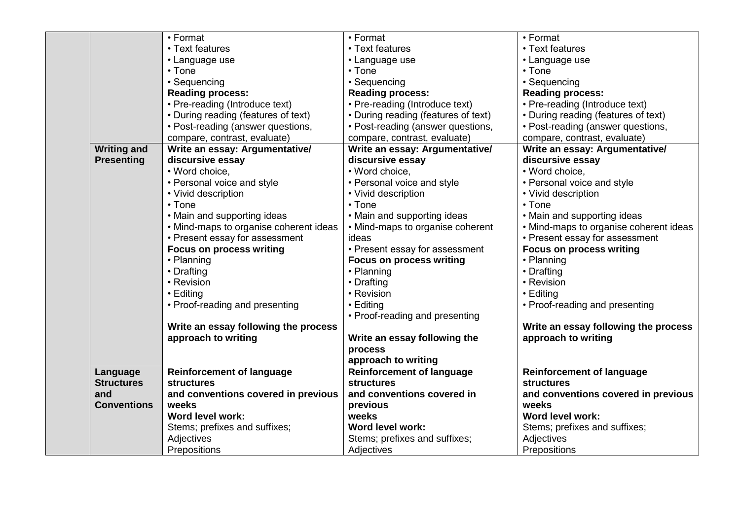|                    | • Format                               | • Format                            | • Format                               |
|--------------------|----------------------------------------|-------------------------------------|----------------------------------------|
|                    | • Text features                        | • Text features                     | • Text features                        |
|                    | • Language use                         | • Language use                      | • Language use                         |
|                    | • Tone                                 | $\cdot$ Tone                        | $\cdot$ Tone                           |
|                    | • Sequencing                           | • Sequencing                        | • Sequencing                           |
|                    | <b>Reading process:</b>                | <b>Reading process:</b>             | <b>Reading process:</b>                |
|                    | • Pre-reading (Introduce text)         | • Pre-reading (Introduce text)      | • Pre-reading (Introduce text)         |
|                    | • During reading (features of text)    | • During reading (features of text) | • During reading (features of text)    |
|                    | • Post-reading (answer questions,      | • Post-reading (answer questions,   | • Post-reading (answer questions,      |
|                    | compare, contrast, evaluate)           | compare, contrast, evaluate)        | compare, contrast, evaluate)           |
| <b>Writing and</b> | Write an essay: Argumentative/         | Write an essay: Argumentative/      | Write an essay: Argumentative/         |
| <b>Presenting</b>  | discursive essay                       | discursive essay                    | discursive essay                       |
|                    | • Word choice,                         | • Word choice,                      | • Word choice,                         |
|                    | • Personal voice and style             | • Personal voice and style          | • Personal voice and style             |
|                    | • Vivid description                    | • Vivid description                 | • Vivid description                    |
|                    | $\cdot$ Tone                           | $\cdot$ Tone                        | $\cdot$ Tone                           |
|                    | • Main and supporting ideas            | • Main and supporting ideas         | • Main and supporting ideas            |
|                    | • Mind-maps to organise coherent ideas | • Mind-maps to organise coherent    | • Mind-maps to organise coherent ideas |
|                    | • Present essay for assessment         | ideas                               | • Present essay for assessment         |
|                    | <b>Focus on process writing</b>        | • Present essay for assessment      | <b>Focus on process writing</b>        |
|                    | • Planning                             | <b>Focus on process writing</b>     | • Planning                             |
|                    | • Drafting                             | • Planning                          | • Drafting                             |
|                    | • Revision                             | • Drafting                          | • Revision                             |
|                    | • Editing                              | • Revision                          | • Editing                              |
|                    | • Proof-reading and presenting         | • Editing                           | • Proof-reading and presenting         |
|                    |                                        | • Proof-reading and presenting      |                                        |
|                    | Write an essay following the process   |                                     | Write an essay following the process   |
|                    | approach to writing                    | Write an essay following the        | approach to writing                    |
|                    |                                        | process                             |                                        |
|                    |                                        | approach to writing                 |                                        |
| Language           | <b>Reinforcement of language</b>       | <b>Reinforcement of language</b>    | <b>Reinforcement of language</b>       |
| <b>Structures</b>  | <b>structures</b>                      | <b>structures</b>                   | <b>structures</b>                      |
| and                | and conventions covered in previous    | and conventions covered in          | and conventions covered in previous    |
| <b>Conventions</b> | weeks                                  | previous                            | weeks                                  |
|                    | Word level work:                       | weeks                               | Word level work:                       |
|                    | Stems; prefixes and suffixes;          | Word level work:                    | Stems; prefixes and suffixes;          |
|                    | Adjectives                             | Stems; prefixes and suffixes;       | Adjectives                             |
|                    | Prepositions                           | Adjectives                          | Prepositions                           |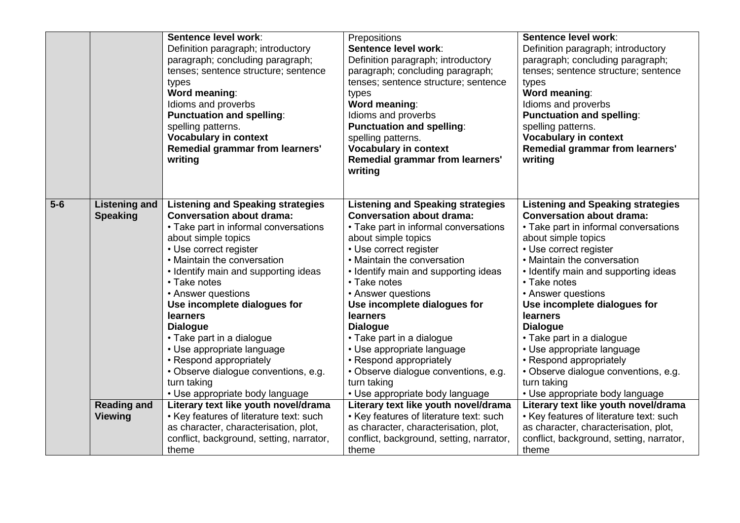|       |                      | Sentence level work:                                                         | Prepositions                                          | Sentence level work:                                  |
|-------|----------------------|------------------------------------------------------------------------------|-------------------------------------------------------|-------------------------------------------------------|
|       |                      | Definition paragraph; introductory                                           | Sentence level work:                                  | Definition paragraph; introductory                    |
|       |                      | paragraph; concluding paragraph;                                             | Definition paragraph; introductory                    | paragraph; concluding paragraph;                      |
|       |                      | tenses; sentence structure; sentence                                         | paragraph; concluding paragraph;                      | tenses; sentence structure; sentence                  |
|       |                      | types                                                                        | tenses; sentence structure; sentence                  | types                                                 |
|       |                      | <b>Word meaning:</b>                                                         | types                                                 | Word meaning:                                         |
|       |                      | Idioms and proverbs                                                          | Word meaning:                                         | Idioms and proverbs                                   |
|       |                      | <b>Punctuation and spelling:</b>                                             | Idioms and proverbs                                   | <b>Punctuation and spelling:</b>                      |
|       |                      | spelling patterns.                                                           | <b>Punctuation and spelling:</b>                      | spelling patterns.                                    |
|       |                      | <b>Vocabulary in context</b>                                                 | spelling patterns.                                    | <b>Vocabulary in context</b>                          |
|       |                      | <b>Remedial grammar from learners'</b>                                       | <b>Vocabulary in context</b>                          | Remedial grammar from learners'                       |
|       |                      | writing                                                                      | Remedial grammar from learners'                       | writing                                               |
|       |                      |                                                                              | writing                                               |                                                       |
|       |                      |                                                                              |                                                       |                                                       |
| $5-6$ |                      |                                                                              |                                                       |                                                       |
|       | <b>Listening and</b> | <b>Listening and Speaking strategies</b><br><b>Conversation about drama:</b> | <b>Listening and Speaking strategies</b>              | <b>Listening and Speaking strategies</b>              |
|       | <b>Speaking</b>      |                                                                              | <b>Conversation about drama:</b>                      | <b>Conversation about drama:</b>                      |
|       |                      | • Take part in informal conversations                                        | • Take part in informal conversations                 | • Take part in informal conversations                 |
|       |                      | about simple topics                                                          | about simple topics                                   | about simple topics                                   |
|       |                      | • Use correct register<br>• Maintain the conversation                        | • Use correct register<br>• Maintain the conversation | • Use correct register<br>• Maintain the conversation |
|       |                      |                                                                              |                                                       |                                                       |
|       |                      | • Identify main and supporting ideas<br>• Take notes                         | • Identify main and supporting ideas<br>• Take notes  | • Identify main and supporting ideas<br>• Take notes  |
|       |                      |                                                                              |                                                       |                                                       |
|       |                      | • Answer questions                                                           | • Answer questions                                    | • Answer questions                                    |
|       |                      | Use incomplete dialogues for<br>learners                                     | Use incomplete dialogues for<br>learners              | Use incomplete dialogues for<br>learners              |
|       |                      | <b>Dialogue</b>                                                              | <b>Dialogue</b>                                       | <b>Dialogue</b>                                       |
|       |                      | • Take part in a dialogue                                                    | • Take part in a dialogue                             | • Take part in a dialogue                             |
|       |                      | • Use appropriate language                                                   | • Use appropriate language                            | • Use appropriate language                            |
|       |                      | • Respond appropriately                                                      | • Respond appropriately                               | • Respond appropriately                               |
|       |                      | • Observe dialogue conventions, e.g.                                         | · Observe dialogue conventions, e.g.                  | · Observe dialogue conventions, e.g.                  |
|       |                      | turn taking                                                                  | turn taking                                           | turn taking                                           |
|       |                      | • Use appropriate body language                                              | • Use appropriate body language                       | • Use appropriate body language                       |
|       | <b>Reading and</b>   | Literary text like youth novel/drama                                         | Literary text like youth novel/drama                  | Literary text like youth novel/drama                  |
|       | <b>Viewing</b>       | • Key features of literature text: such                                      | • Key features of literature text: such               | • Key features of literature text: such               |
|       |                      | as character, characterisation, plot,                                        | as character, characterisation, plot,                 | as character, characterisation, plot,                 |
|       |                      | conflict, background, setting, narrator,                                     | conflict, background, setting, narrator,              | conflict, background, setting, narrator,              |
|       |                      | theme                                                                        | theme                                                 | theme                                                 |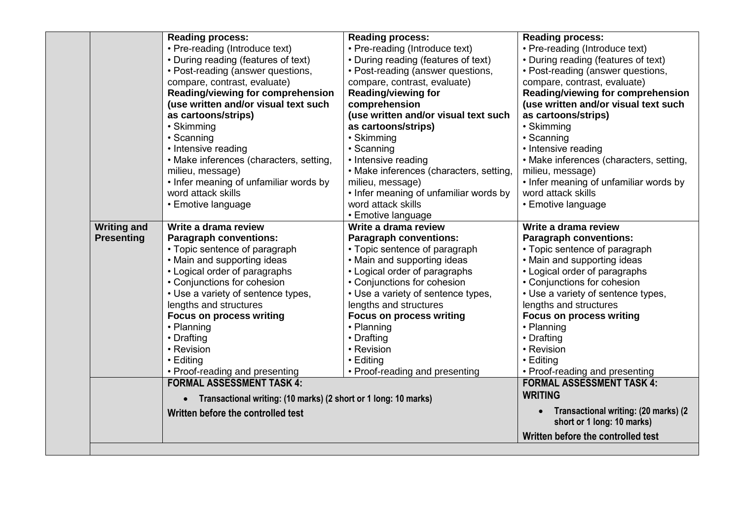|                    | <b>Reading process:</b>                                         | <b>Reading process:</b>                 | Reading process:                                                   |
|--------------------|-----------------------------------------------------------------|-----------------------------------------|--------------------------------------------------------------------|
|                    | • Pre-reading (Introduce text)                                  | • Pre-reading (Introduce text)          | • Pre-reading (Introduce text)                                     |
|                    | • During reading (features of text)                             | • During reading (features of text)     | • During reading (features of text)                                |
|                    | • Post-reading (answer questions,                               | • Post-reading (answer questions,       | • Post-reading (answer questions,                                  |
|                    | compare, contrast, evaluate)                                    | compare, contrast, evaluate)            | compare, contrast, evaluate)                                       |
|                    | <b>Reading/viewing for comprehension</b>                        | <b>Reading/viewing for</b>              | Reading/viewing for comprehension                                  |
|                    | (use written and/or visual text such                            | comprehension                           | (use written and/or visual text such                               |
|                    | as cartoons/strips)                                             | (use written and/or visual text such    | as cartoons/strips)                                                |
|                    | • Skimming                                                      | as cartoons/strips)                     | • Skimming                                                         |
|                    | • Scanning                                                      | • Skimming                              | • Scanning                                                         |
|                    | • Intensive reading                                             | • Scanning                              | • Intensive reading                                                |
|                    | • Make inferences (characters, setting,                         | • Intensive reading                     | • Make inferences (characters, setting,                            |
|                    | milieu, message)                                                | • Make inferences (characters, setting, | milieu, message)                                                   |
|                    | • Infer meaning of unfamiliar words by                          | milieu, message)                        | • Infer meaning of unfamiliar words by                             |
|                    | word attack skills                                              | • Infer meaning of unfamiliar words by  | word attack skills                                                 |
|                    | • Emotive language                                              | word attack skills                      | • Emotive language                                                 |
|                    |                                                                 | • Emotive language                      |                                                                    |
| <b>Writing and</b> | Write a drama review                                            | Write a drama review                    | Write a drama review                                               |
| <b>Presenting</b>  | <b>Paragraph conventions:</b>                                   | <b>Paragraph conventions:</b>           | <b>Paragraph conventions:</b>                                      |
|                    | • Topic sentence of paragraph                                   | • Topic sentence of paragraph           | • Topic sentence of paragraph                                      |
|                    | • Main and supporting ideas                                     | • Main and supporting ideas             | • Main and supporting ideas                                        |
|                    | • Logical order of paragraphs                                   | • Logical order of paragraphs           | • Logical order of paragraphs                                      |
|                    | • Conjunctions for cohesion                                     | • Conjunctions for cohesion             | • Conjunctions for cohesion                                        |
|                    | • Use a variety of sentence types,                              | • Use a variety of sentence types,      | • Use a variety of sentence types,                                 |
|                    | lengths and structures                                          | lengths and structures                  | lengths and structures                                             |
|                    | <b>Focus on process writing</b>                                 | <b>Focus on process writing</b>         | <b>Focus on process writing</b>                                    |
|                    | • Planning                                                      | • Planning                              | • Planning                                                         |
|                    | • Drafting                                                      | • Drafting                              | • Drafting                                                         |
|                    | • Revision                                                      | • Revision                              | • Revision                                                         |
|                    | • Editing                                                       | • Editing                               | • Editing                                                          |
|                    | • Proof-reading and presenting                                  | • Proof-reading and presenting          | • Proof-reading and presenting                                     |
|                    | <b>FORMAL ASSESSMENT TASK 4:</b>                                |                                         | <b>FORMAL ASSESSMENT TASK 4:</b>                                   |
|                    |                                                                 |                                         | <b>WRITING</b>                                                     |
|                    |                                                                 |                                         |                                                                    |
|                    | Transactional writing: (10 marks) (2 short or 1 long: 10 marks) |                                         | $\bullet$                                                          |
|                    | Written before the controlled test                              |                                         | Transactional writing: (20 marks) (2<br>short or 1 long: 10 marks) |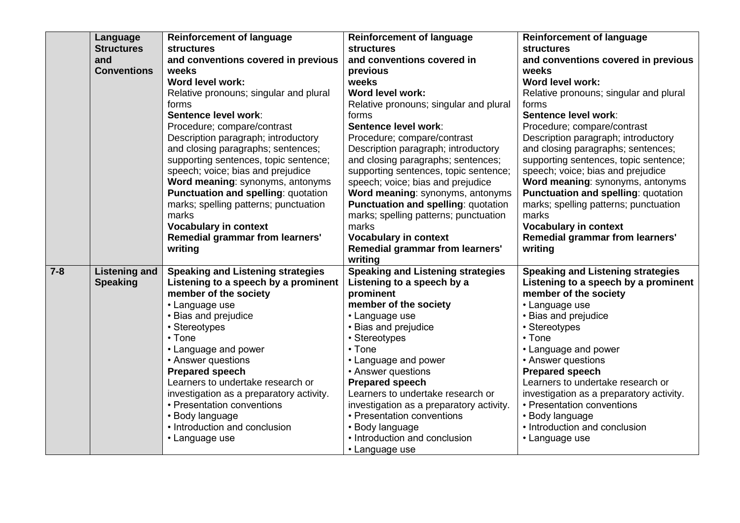|         | Language             | <b>Reinforcement of language</b>                 | <b>Reinforcement of language</b>         | <b>Reinforcement of language</b>                 |
|---------|----------------------|--------------------------------------------------|------------------------------------------|--------------------------------------------------|
|         | <b>Structures</b>    | <b>structures</b>                                | <b>structures</b>                        | <b>structures</b>                                |
|         | and                  | and conventions covered in previous              | and conventions covered in               | and conventions covered in previous              |
|         | <b>Conventions</b>   | weeks                                            | previous                                 | weeks                                            |
|         |                      | Word level work:                                 | weeks                                    | Word level work:                                 |
|         |                      | Relative pronouns; singular and plural           | Word level work:                         | Relative pronouns; singular and plural           |
|         |                      | forms                                            | Relative pronouns; singular and plural   | forms                                            |
|         |                      | Sentence level work:                             | forms                                    | Sentence level work:                             |
|         |                      | Procedure; compare/contrast                      | Sentence level work:                     | Procedure; compare/contrast                      |
|         |                      | Description paragraph; introductory              | Procedure; compare/contrast              | Description paragraph; introductory              |
|         |                      | and closing paragraphs; sentences;               | Description paragraph; introductory      | and closing paragraphs; sentences;               |
|         |                      | supporting sentences, topic sentence;            | and closing paragraphs; sentences;       | supporting sentences, topic sentence;            |
|         |                      | speech; voice; bias and prejudice                | supporting sentences, topic sentence;    | speech; voice; bias and prejudice                |
|         |                      | Word meaning: synonyms, antonyms                 | speech; voice; bias and prejudice        | Word meaning: synonyms, antonyms                 |
|         |                      | Punctuation and spelling: quotation              | Word meaning: synonyms, antonyms         | Punctuation and spelling: quotation              |
|         |                      | marks; spelling patterns; punctuation            | Punctuation and spelling: quotation      | marks; spelling patterns; punctuation            |
|         |                      | marks                                            | marks; spelling patterns; punctuation    | marks                                            |
|         |                      | <b>Vocabulary in context</b>                     | marks                                    | <b>Vocabulary in context</b>                     |
|         |                      | <b>Remedial grammar from learners'</b>           | <b>Vocabulary in context</b>             | Remedial grammar from learners'                  |
|         |                      | writing                                          | Remedial grammar from learners'          | writing                                          |
|         |                      |                                                  | writing                                  |                                                  |
| $7 - 8$ | <b>Listening and</b> | <b>Speaking and Listening strategies</b>         | <b>Speaking and Listening strategies</b> | <b>Speaking and Listening strategies</b>         |
|         | <b>Speaking</b>      | Listening to a speech by a prominent             | Listening to a speech by a               | Listening to a speech by a prominent             |
|         |                      | member of the society                            | prominent                                | member of the society                            |
|         |                      | • Language use                                   | member of the society                    | • Language use                                   |
|         |                      | • Bias and prejudice                             | • Language use                           | • Bias and prejudice                             |
|         |                      | • Stereotypes                                    | • Bias and prejudice                     | • Stereotypes                                    |
|         |                      | $\cdot$ Tone                                     | • Stereotypes                            | • Tone                                           |
|         |                      | • Language and power                             | • Tone                                   | • Language and power                             |
|         |                      | • Answer questions                               | • Language and power                     | • Answer questions                               |
|         |                      | <b>Prepared speech</b>                           | • Answer questions                       | <b>Prepared speech</b>                           |
|         |                      | Learners to undertake research or                | <b>Prepared speech</b>                   | Learners to undertake research or                |
|         |                      | investigation as a preparatory activity.         | Learners to undertake research or        | investigation as a preparatory activity.         |
|         |                      | • Presentation conventions                       | investigation as a preparatory activity. | • Presentation conventions                       |
|         |                      | • Body language<br>• Introduction and conclusion | • Presentation conventions               | • Body language<br>• Introduction and conclusion |
|         |                      |                                                  | • Body language                          |                                                  |
|         |                      | • Language use                                   | • Introduction and conclusion            | • Language use                                   |
|         |                      |                                                  | • Language use                           |                                                  |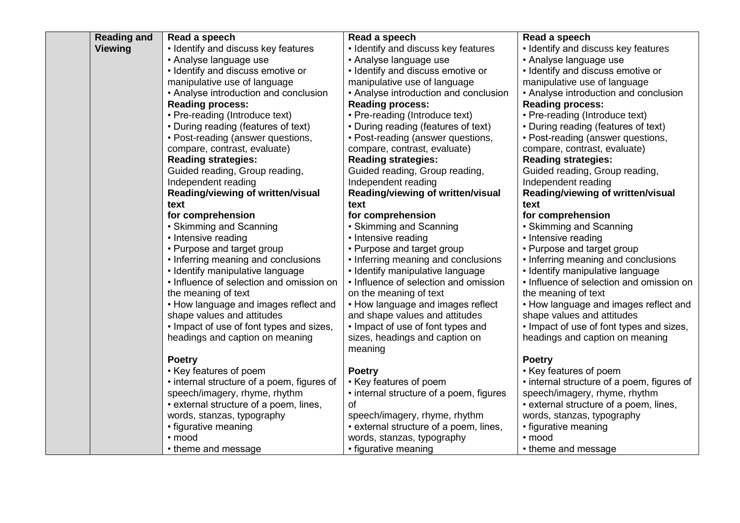| <b>Reading and</b> | Read a speech                                                        | Read a speech                           | Read a speech                                                        |
|--------------------|----------------------------------------------------------------------|-----------------------------------------|----------------------------------------------------------------------|
| <b>Viewing</b>     | • Identify and discuss key features                                  | • Identify and discuss key features     | • Identify and discuss key features                                  |
|                    | • Analyse language use                                               | • Analyse language use                  | • Analyse language use                                               |
|                    | • Identify and discuss emotive or                                    | • Identify and discuss emotive or       | • Identify and discuss emotive or                                    |
|                    | manipulative use of language                                         | manipulative use of language            | manipulative use of language                                         |
|                    | • Analyse introduction and conclusion                                | • Analyse introduction and conclusion   | • Analyse introduction and conclusion                                |
|                    | <b>Reading process:</b>                                              | <b>Reading process:</b>                 | <b>Reading process:</b>                                              |
|                    | • Pre-reading (Introduce text)                                       | • Pre-reading (Introduce text)          | • Pre-reading (Introduce text)                                       |
|                    | • During reading (features of text)                                  | • During reading (features of text)     | • During reading (features of text)                                  |
|                    | • Post-reading (answer questions,                                    | • Post-reading (answer questions,       | • Post-reading (answer questions,                                    |
|                    | compare, contrast, evaluate)                                         | compare, contrast, evaluate)            | compare, contrast, evaluate)                                         |
|                    | <b>Reading strategies:</b>                                           | <b>Reading strategies:</b>              | <b>Reading strategies:</b>                                           |
|                    | Guided reading, Group reading,                                       | Guided reading, Group reading,          | Guided reading, Group reading,                                       |
|                    | Independent reading                                                  | Independent reading                     | Independent reading                                                  |
|                    | Reading/viewing of written/visual                                    | Reading/viewing of written/visual       | Reading/viewing of written/visual                                    |
|                    | text                                                                 | text                                    | text                                                                 |
|                    | for comprehension                                                    | for comprehension                       | for comprehension                                                    |
|                    | • Skimming and Scanning                                              | • Skimming and Scanning                 | • Skimming and Scanning                                              |
|                    | • Intensive reading                                                  | • Intensive reading                     | • Intensive reading                                                  |
|                    | • Purpose and target group                                           | • Purpose and target group              | • Purpose and target group                                           |
|                    | • Inferring meaning and conclusions                                  | • Inferring meaning and conclusions     | • Inferring meaning and conclusions                                  |
|                    | • Identify manipulative language                                     | • Identify manipulative language        | • Identify manipulative language                                     |
|                    | • Influence of selection and omission on                             | • Influence of selection and omission   | • Influence of selection and omission on                             |
|                    | the meaning of text                                                  | on the meaning of text                  | the meaning of text                                                  |
|                    | • How language and images reflect and                                | • How language and images reflect       | • How language and images reflect and                                |
|                    | shape values and attitudes                                           | and shape values and attitudes          | shape values and attitudes                                           |
|                    | • Impact of use of font types and sizes,                             | • Impact of use of font types and       | • Impact of use of font types and sizes,                             |
|                    | headings and caption on meaning                                      | sizes, headings and caption on          | headings and caption on meaning                                      |
|                    |                                                                      | meaning                                 |                                                                      |
|                    | <b>Poetry</b>                                                        |                                         | <b>Poetry</b>                                                        |
|                    | • Key features of poem<br>• internal structure of a poem, figures of | <b>Poetry</b><br>• Key features of poem | • Key features of poem<br>• internal structure of a poem, figures of |
|                    | speech/imagery, rhyme, rhythm                                        | • internal structure of a poem, figures | speech/imagery, rhyme, rhythm                                        |
|                    | • external structure of a poem, lines,                               | of                                      | · external structure of a poem, lines,                               |
|                    | words, stanzas, typography                                           | speech/imagery, rhyme, rhythm           | words, stanzas, typography                                           |
|                    | • figurative meaning                                                 | • external structure of a poem, lines,  | • figurative meaning                                                 |
|                    | · mood                                                               | words, stanzas, typography              | · mood                                                               |
|                    | • theme and message                                                  | • figurative meaning                    | • theme and message                                                  |
|                    |                                                                      |                                         |                                                                      |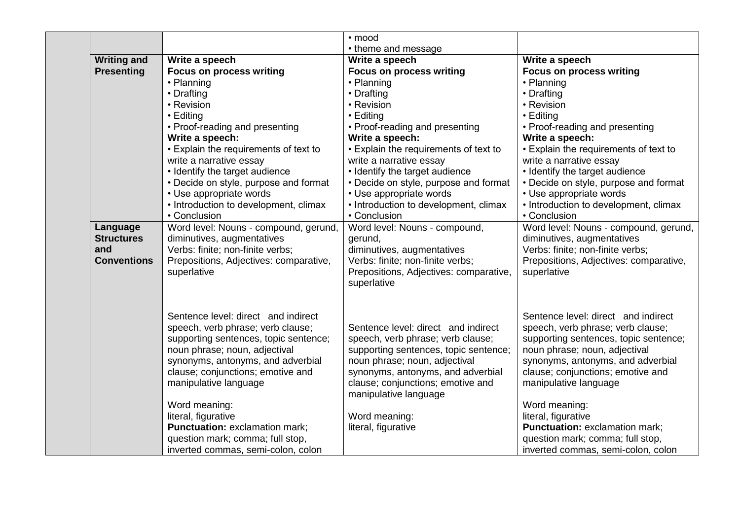|                    |                                        | • mood                                 |                                        |
|--------------------|----------------------------------------|----------------------------------------|----------------------------------------|
|                    |                                        | • theme and message                    |                                        |
| <b>Writing and</b> | Write a speech                         | Write a speech                         | Write a speech                         |
| <b>Presenting</b>  | <b>Focus on process writing</b>        | <b>Focus on process writing</b>        | <b>Focus on process writing</b>        |
|                    | • Planning                             | • Planning                             | • Planning                             |
|                    | • Drafting                             | • Drafting                             | • Drafting                             |
|                    | • Revision                             | • Revision                             | • Revision                             |
|                    | • Editing                              | • Editing                              | • Editing                              |
|                    | • Proof-reading and presenting         | • Proof-reading and presenting         | • Proof-reading and presenting         |
|                    | Write a speech:                        | Write a speech:                        | Write a speech:                        |
|                    | • Explain the requirements of text to  | • Explain the requirements of text to  | • Explain the requirements of text to  |
|                    | write a narrative essay                | write a narrative essay                | write a narrative essay                |
|                    | • Identify the target audience         | • Identify the target audience         | • Identify the target audience         |
|                    | • Decide on style, purpose and format  | • Decide on style, purpose and format  | • Decide on style, purpose and format  |
|                    | • Use appropriate words                | • Use appropriate words                | • Use appropriate words                |
|                    | • Introduction to development, climax  | • Introduction to development, climax  | • Introduction to development, climax  |
|                    | • Conclusion                           | • Conclusion                           | • Conclusion                           |
| Language           | Word level: Nouns - compound, gerund,  | Word level: Nouns - compound,          | Word level: Nouns - compound, gerund,  |
| <b>Structures</b>  | diminutives, augmentatives             | gerund,                                | diminutives, augmentatives             |
| and                | Verbs: finite; non-finite verbs;       | diminutives, augmentatives             | Verbs: finite; non-finite verbs;       |
| <b>Conventions</b> | Prepositions, Adjectives: comparative, | Verbs: finite; non-finite verbs;       | Prepositions, Adjectives: comparative, |
|                    | superlative                            | Prepositions, Adjectives: comparative, | superlative                            |
|                    |                                        | superlative                            |                                        |
|                    | Sentence level: direct and indirect    |                                        | Sentence level: direct and indirect    |
|                    | speech, verb phrase; verb clause;      | Sentence level: direct and indirect    | speech, verb phrase; verb clause;      |
|                    | supporting sentences, topic sentence;  | speech, verb phrase; verb clause;      | supporting sentences, topic sentence;  |
|                    | noun phrase; noun, adjectival          | supporting sentences, topic sentence;  | noun phrase; noun, adjectival          |
|                    | synonyms, antonyms, and adverbial      | noun phrase; noun, adjectival          | synonyms, antonyms, and adverbial      |
|                    | clause; conjunctions; emotive and      | synonyms, antonyms, and adverbial      | clause; conjunctions; emotive and      |
|                    | manipulative language                  | clause; conjunctions; emotive and      | manipulative language                  |
|                    |                                        | manipulative language                  |                                        |
|                    | Word meaning:                          |                                        | Word meaning:                          |
|                    | literal, figurative                    | Word meaning:                          | literal, figurative                    |
|                    | Punctuation: exclamation mark;         | literal, figurative                    | Punctuation: exclamation mark;         |
|                    | question mark; comma; full stop,       |                                        | question mark; comma; full stop,       |
|                    | inverted commas, semi-colon, colon     |                                        | inverted commas, semi-colon, colon     |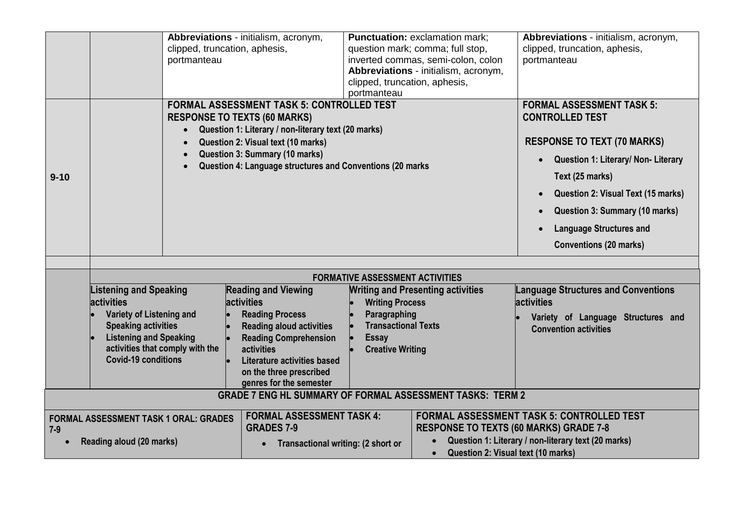|                                                                                   |                                                                                                                                                                                                                | clipped, truncation, aphesis,<br>portmanteau                                                | Abbreviations - initialism, acronym,                                                                                                                                                                                                                                                | clipped, truncation, aphesis,<br>portmanteau                                                                                                              | <b>Punctuation: exclamation mark:</b><br>question mark; comma; full stop,<br>inverted commas, semi-colon, colon<br>Abbreviations - initialism, acronym, | Abbreviations - initialism, acronym,<br>clipped, truncation, aphesis,<br>portmanteau                                                                                                                                                                                                                  |
|-----------------------------------------------------------------------------------|----------------------------------------------------------------------------------------------------------------------------------------------------------------------------------------------------------------|---------------------------------------------------------------------------------------------|-------------------------------------------------------------------------------------------------------------------------------------------------------------------------------------------------------------------------------------------------------------------------------------|-----------------------------------------------------------------------------------------------------------------------------------------------------------|---------------------------------------------------------------------------------------------------------------------------------------------------------|-------------------------------------------------------------------------------------------------------------------------------------------------------------------------------------------------------------------------------------------------------------------------------------------------------|
| $9 - 10$                                                                          |                                                                                                                                                                                                                |                                                                                             | <b>FORMAL ASSESSMENT TASK 5: CONTROLLED TEST</b><br><b>RESPONSE TO TEXTS (60 MARKS)</b><br>Question 1: Literary / non-literary text (20 marks)<br>Question 2: Visual text (10 marks)<br>Question 3: Summary (10 marks)<br>Question 4: Language structures and Conventions (20 marks |                                                                                                                                                           |                                                                                                                                                         | <b>FORMAL ASSESSMENT TASK 5:</b><br><b>CONTROLLED TEST</b><br><b>RESPONSE TO TEXT (70 MARKS)</b><br>Question 1: Literary/ Non- Literary<br>Text (25 marks)<br>Question 2: Visual Text (15 marks)<br>Question 3: Summary (10 marks)<br><b>Language Structures and</b><br><b>Conventions (20 marks)</b> |
|                                                                                   |                                                                                                                                                                                                                |                                                                                             |                                                                                                                                                                                                                                                                                     |                                                                                                                                                           |                                                                                                                                                         |                                                                                                                                                                                                                                                                                                       |
|                                                                                   | <b>Listening and Speaking</b><br><b>activities</b><br>Variety of Listening and<br><b>Speaking activities</b><br><b>Listening and Speaking</b><br>activities that comply with the<br><b>Covid-19 conditions</b> |                                                                                             | <b>Reading and Viewing</b><br><b>activities</b><br><b>Reading Process</b><br><b>Reading aloud activities</b><br><b>Reading Comprehension</b><br><b>activities</b><br>Literature activities based<br>on the three prescribed<br>genres for the semester                              | <b>FORMATIVE ASSESSMENT ACTIVITIES</b><br><b>Writing Process</b><br>Paragraphing<br><b>Transactional Texts</b><br><b>Essay</b><br><b>Creative Writing</b> | <b>Writing and Presenting activities</b>                                                                                                                | <b>Language Structures and Conventions</b><br>activities<br>Variety of Language Structures and<br><b>Convention activities</b>                                                                                                                                                                        |
|                                                                                   |                                                                                                                                                                                                                |                                                                                             | <b>GRADE 7 ENG HL SUMMARY OF FORMAL ASSESSMENT TASKS: TERM 2</b>                                                                                                                                                                                                                    |                                                                                                                                                           |                                                                                                                                                         |                                                                                                                                                                                                                                                                                                       |
| <b>FORMAL ASSESSMENT TASK 1 ORAL: GRADES</b><br>$7-9$<br>Reading aloud (20 marks) |                                                                                                                                                                                                                | <b>FORMAL ASSESSMENT TASK 4:</b><br><b>GRADES 7-9</b><br>Transactional writing: (2 short or |                                                                                                                                                                                                                                                                                     | <b>RESPONSE TO TEXTS (60 MARKS) GRADE 7-8</b><br>Question 2: Visual text (10 marks)<br>$\bullet$                                                          | <b>FORMAL ASSESSMENT TASK 5: CONTROLLED TEST</b><br>Question 1: Literary / non-literary text (20 marks)                                                 |                                                                                                                                                                                                                                                                                                       |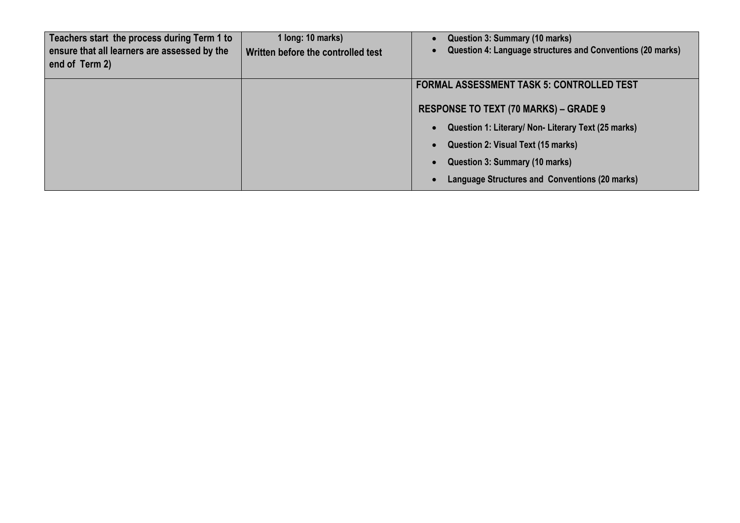| Teachers start the process during Term 1 to<br>ensure that all learners are assessed by the<br>end of Term 2) | 1 long: 10 marks)<br>Written before the controlled test | Question 3: Summary (10 marks)<br>Question 4: Language structures and Conventions (20 marks) |  |
|---------------------------------------------------------------------------------------------------------------|---------------------------------------------------------|----------------------------------------------------------------------------------------------|--|
|                                                                                                               |                                                         | <b>FORMAL ASSESSMENT TASK 5: CONTROLLED TEST</b>                                             |  |
|                                                                                                               |                                                         | <b>RESPONSE TO TEXT (70 MARKS) – GRADE 9</b>                                                 |  |
|                                                                                                               |                                                         | Question 1: Literary/ Non- Literary Text (25 marks)<br>$\bullet$                             |  |
|                                                                                                               |                                                         | Question 2: Visual Text (15 marks)<br>$\bullet$                                              |  |
|                                                                                                               |                                                         | Question 3: Summary (10 marks)<br>$\bullet$                                                  |  |
|                                                                                                               |                                                         | Language Structures and Conventions (20 marks)                                               |  |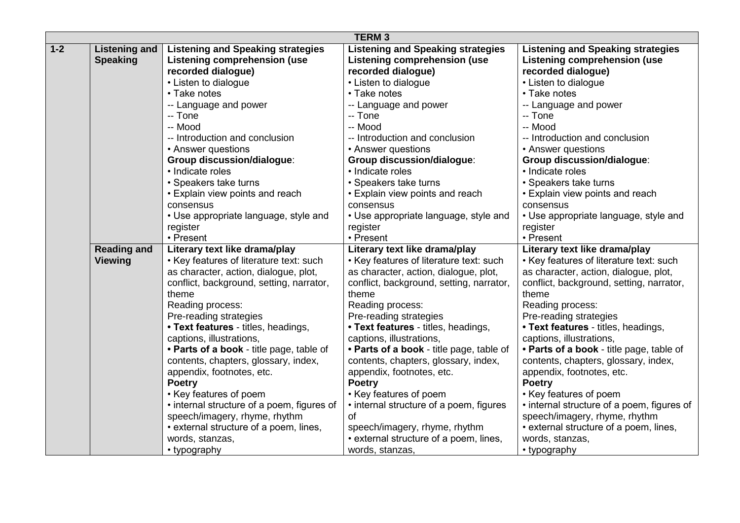|       | <b>TERM3</b>         |                                            |                                                           |                                            |  |
|-------|----------------------|--------------------------------------------|-----------------------------------------------------------|--------------------------------------------|--|
| $1-2$ | <b>Listening and</b> | <b>Listening and Speaking strategies</b>   | <b>Listening and Speaking strategies</b>                  | <b>Listening and Speaking strategies</b>   |  |
|       | <b>Speaking</b>      | <b>Listening comprehension (use</b>        | <b>Listening comprehension (use</b>                       | <b>Listening comprehension (use</b>        |  |
|       |                      | recorded dialogue)                         | recorded dialogue)                                        | recorded dialogue)                         |  |
|       |                      | • Listen to dialogue                       | • Listen to dialogue                                      | • Listen to dialogue                       |  |
|       |                      | • Take notes                               | • Take notes                                              | • Take notes                               |  |
|       |                      | -- Language and power                      | -- Language and power                                     | -- Language and power                      |  |
|       |                      | -- Tone                                    | -- Tone                                                   | -- Tone                                    |  |
|       |                      | -- Mood                                    | -- Mood                                                   | -- Mood                                    |  |
|       |                      | -- Introduction and conclusion             | -- Introduction and conclusion                            | -- Introduction and conclusion             |  |
|       |                      | • Answer questions                         | • Answer questions                                        | • Answer questions                         |  |
|       |                      | <b>Group discussion/dialogue:</b>          | <b>Group discussion/dialogue:</b>                         | <b>Group discussion/dialogue:</b>          |  |
|       |                      | · Indicate roles                           | • Indicate roles                                          | · Indicate roles                           |  |
|       |                      | • Speakers take turns                      | • Speakers take turns                                     | • Speakers take turns                      |  |
|       |                      | • Explain view points and reach            | • Explain view points and reach                           | • Explain view points and reach            |  |
|       |                      | consensus                                  | consensus                                                 | consensus                                  |  |
|       |                      | • Use appropriate language, style and      | • Use appropriate language, style and                     | • Use appropriate language, style and      |  |
|       |                      | register                                   | register                                                  | register                                   |  |
|       |                      | • Present                                  | • Present                                                 | • Present                                  |  |
|       |                      |                                            |                                                           |                                            |  |
|       | <b>Reading and</b>   | Literary text like drama/play              | Literary text like drama/play                             | Literary text like drama/play              |  |
|       | <b>Viewing</b>       | • Key features of literature text: such    | • Key features of literature text: such                   | • Key features of literature text: such    |  |
|       |                      | as character, action, dialogue, plot,      | as character, action, dialogue, plot,                     | as character, action, dialogue, plot,      |  |
|       |                      | conflict, background, setting, narrator,   | conflict, background, setting, narrator,                  | conflict, background, setting, narrator,   |  |
|       |                      | theme                                      | theme                                                     | theme                                      |  |
|       |                      | Reading process:                           | Reading process:                                          | Reading process:                           |  |
|       |                      | Pre-reading strategies                     | Pre-reading strategies                                    | Pre-reading strategies                     |  |
|       |                      | • Text features - titles, headings,        | • Text features - titles, headings,                       | • Text features - titles, headings,        |  |
|       |                      | captions, illustrations,                   | captions, illustrations,                                  | captions, illustrations,                   |  |
|       |                      | • Parts of a book - title page, table of   | • Parts of a book - title page, table of                  | • Parts of a book - title page, table of   |  |
|       |                      | contents, chapters, glossary, index,       | contents, chapters, glossary, index,                      | contents, chapters, glossary, index,       |  |
|       |                      | appendix, footnotes, etc.                  | appendix, footnotes, etc.                                 | appendix, footnotes, etc.                  |  |
|       |                      | <b>Poetry</b>                              | <b>Poetry</b>                                             | <b>Poetry</b>                              |  |
|       |                      | • Key features of poem                     | • Key features of poem                                    | • Key features of poem                     |  |
|       |                      | • internal structure of a poem, figures of | • internal structure of a poem, figures                   | • internal structure of a poem, figures of |  |
|       |                      | speech/imagery, rhyme, rhythm              | <b>of</b>                                                 | speech/imagery, rhyme, rhythm              |  |
|       |                      | • external structure of a poem, lines,     | speech/imagery, rhyme, rhythm                             | • external structure of a poem, lines,     |  |
|       |                      | words, stanzas,<br>• typography            | • external structure of a poem, lines,<br>words, stanzas, | words, stanzas,<br>• typography            |  |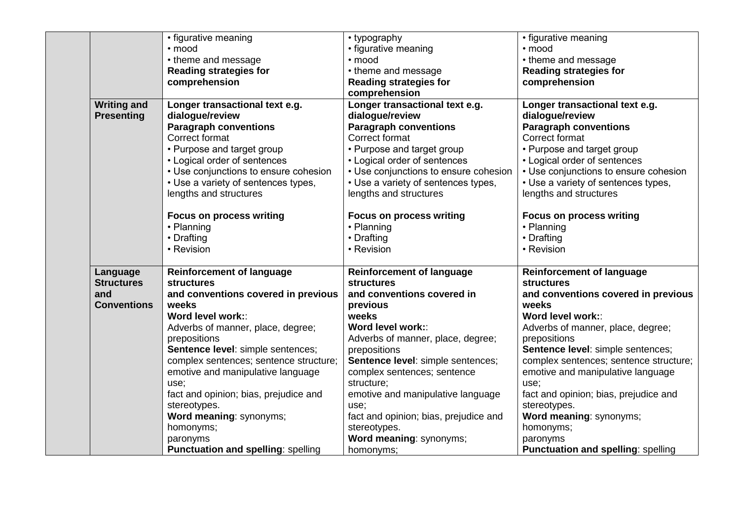|                    | • figurative meaning                      | • typography                          | • figurative meaning                      |
|--------------------|-------------------------------------------|---------------------------------------|-------------------------------------------|
|                    | · mood                                    | • figurative meaning                  | • mood                                    |
|                    | • theme and message                       | · mood                                | • theme and message                       |
|                    | <b>Reading strategies for</b>             | • theme and message                   | <b>Reading strategies for</b>             |
|                    | comprehension                             | <b>Reading strategies for</b>         | comprehension                             |
|                    |                                           | comprehension                         |                                           |
| <b>Writing and</b> | Longer transactional text e.g.            | Longer transactional text e.g.        | Longer transactional text e.g.            |
| <b>Presenting</b>  | dialogue/review                           | dialogue/review                       | dialogue/review                           |
|                    | <b>Paragraph conventions</b>              | <b>Paragraph conventions</b>          | <b>Paragraph conventions</b>              |
|                    | Correct format                            | Correct format                        | Correct format                            |
|                    | • Purpose and target group                | • Purpose and target group            | • Purpose and target group                |
|                    | • Logical order of sentences              | • Logical order of sentences          | • Logical order of sentences              |
|                    | • Use conjunctions to ensure cohesion     | • Use conjunctions to ensure cohesion | • Use conjunctions to ensure cohesion     |
|                    | • Use a variety of sentences types,       | • Use a variety of sentences types,   | • Use a variety of sentences types,       |
|                    | lengths and structures                    | lengths and structures                | lengths and structures                    |
|                    |                                           |                                       |                                           |
|                    | <b>Focus on process writing</b>           | <b>Focus on process writing</b>       | <b>Focus on process writing</b>           |
|                    | • Planning                                | • Planning                            | • Planning                                |
|                    | • Drafting                                | • Drafting                            | • Drafting                                |
|                    | • Revision                                | • Revision                            | • Revision                                |
|                    |                                           |                                       |                                           |
| Language           | <b>Reinforcement of language</b>          | <b>Reinforcement of language</b>      | <b>Reinforcement of language</b>          |
| <b>Structures</b>  | <b>structures</b>                         | <b>structures</b>                     | <b>structures</b>                         |
| and                | and conventions covered in previous       | and conventions covered in            | and conventions covered in previous       |
| <b>Conventions</b> | weeks                                     | previous                              | weeks                                     |
|                    | Word level work::                         | weeks                                 | Word level work::                         |
|                    |                                           | Word level work::                     |                                           |
|                    | Adverbs of manner, place, degree;         |                                       | Adverbs of manner, place, degree;         |
|                    | prepositions                              | Adverbs of manner, place, degree;     | prepositions                              |
|                    | Sentence level: simple sentences;         | prepositions                          | Sentence level: simple sentences;         |
|                    | complex sentences; sentence structure;    | Sentence level: simple sentences;     | complex sentences; sentence structure;    |
|                    | emotive and manipulative language         | complex sentences; sentence           | emotive and manipulative language         |
|                    | use;                                      | structure;                            | use;                                      |
|                    | fact and opinion; bias, prejudice and     | emotive and manipulative language     | fact and opinion; bias, prejudice and     |
|                    | stereotypes.                              | use;                                  | stereotypes.                              |
|                    | Word meaning: synonyms;                   | fact and opinion; bias, prejudice and | Word meaning: synonyms;                   |
|                    | homonyms;                                 | stereotypes.                          | homonyms;                                 |
|                    | paronyms                                  | Word meaning: synonyms;               | paronyms                                  |
|                    | <b>Punctuation and spelling: spelling</b> | homonyms;                             | <b>Punctuation and spelling: spelling</b> |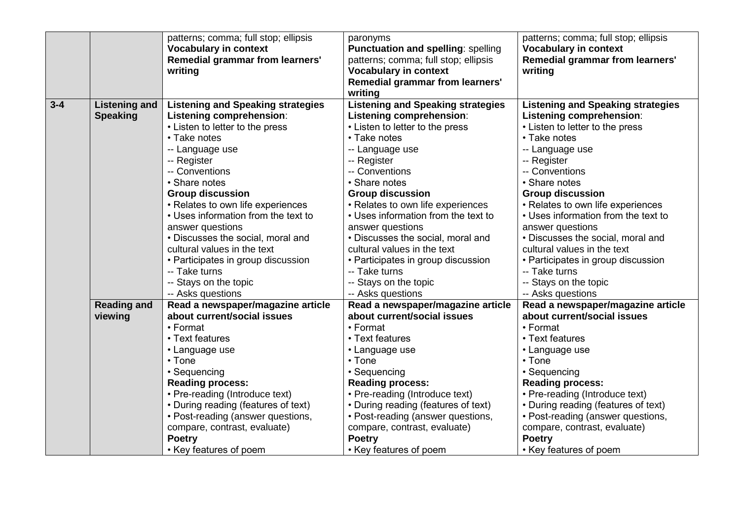|         |                      | patterns; comma; full stop; ellipsis<br><b>Vocabulary in context</b><br>Remedial grammar from learners'<br>writing | paronyms<br><b>Punctuation and spelling: spelling</b><br>patterns; comma; full stop; ellipsis<br><b>Vocabulary in context</b><br>Remedial grammar from learners'<br>writing | patterns; comma; full stop; ellipsis<br><b>Vocabulary in context</b><br>Remedial grammar from learners'<br>writing |
|---------|----------------------|--------------------------------------------------------------------------------------------------------------------|-----------------------------------------------------------------------------------------------------------------------------------------------------------------------------|--------------------------------------------------------------------------------------------------------------------|
| $3 - 4$ | <b>Listening and</b> | <b>Listening and Speaking strategies</b>                                                                           | <b>Listening and Speaking strategies</b>                                                                                                                                    | <b>Listening and Speaking strategies</b>                                                                           |
|         | <b>Speaking</b>      | Listening comprehension:                                                                                           | Listening comprehension:                                                                                                                                                    | Listening comprehension:                                                                                           |
|         |                      | • Listen to letter to the press                                                                                    | • Listen to letter to the press                                                                                                                                             | • Listen to letter to the press                                                                                    |
|         |                      | • Take notes                                                                                                       | • Take notes                                                                                                                                                                | • Take notes                                                                                                       |
|         |                      | -- Language use                                                                                                    | -- Language use                                                                                                                                                             | -- Language use                                                                                                    |
|         |                      | -- Register                                                                                                        | -- Register                                                                                                                                                                 | -- Register                                                                                                        |
|         |                      | -- Conventions                                                                                                     | -- Conventions                                                                                                                                                              | -- Conventions                                                                                                     |
|         |                      | • Share notes                                                                                                      | • Share notes                                                                                                                                                               | • Share notes                                                                                                      |
|         |                      | <b>Group discussion</b>                                                                                            | <b>Group discussion</b>                                                                                                                                                     | <b>Group discussion</b>                                                                                            |
|         |                      | • Relates to own life experiences                                                                                  | • Relates to own life experiences                                                                                                                                           | • Relates to own life experiences                                                                                  |
|         |                      | • Uses information from the text to                                                                                | • Uses information from the text to                                                                                                                                         | • Uses information from the text to                                                                                |
|         |                      | answer questions                                                                                                   | answer questions                                                                                                                                                            | answer questions                                                                                                   |
|         |                      | • Discusses the social, moral and                                                                                  | • Discusses the social, moral and                                                                                                                                           | • Discusses the social, moral and                                                                                  |
|         |                      | cultural values in the text                                                                                        | cultural values in the text                                                                                                                                                 | cultural values in the text                                                                                        |
|         |                      | • Participates in group discussion                                                                                 | • Participates in group discussion                                                                                                                                          | • Participates in group discussion                                                                                 |
|         |                      | -- Take turns                                                                                                      | -- Take turns                                                                                                                                                               | -- Take turns                                                                                                      |
|         |                      | -- Stays on the topic                                                                                              | -- Stays on the topic                                                                                                                                                       | -- Stays on the topic                                                                                              |
|         |                      | -- Asks questions                                                                                                  | -- Asks questions                                                                                                                                                           | -- Asks questions                                                                                                  |
|         | <b>Reading and</b>   | Read a newspaper/magazine article                                                                                  | Read a newspaper/magazine article                                                                                                                                           | Read a newspaper/magazine article                                                                                  |
|         | viewing              | about current/social issues                                                                                        | about current/social issues                                                                                                                                                 | about current/social issues                                                                                        |
|         |                      | $\cdot$ Format                                                                                                     | • Format                                                                                                                                                                    | • Format                                                                                                           |
|         |                      | • Text features                                                                                                    | • Text features                                                                                                                                                             | • Text features                                                                                                    |
|         |                      | • Language use                                                                                                     | • Language use                                                                                                                                                              | • Language use                                                                                                     |
|         |                      | • Tone                                                                                                             | • Tone                                                                                                                                                                      | • Tone                                                                                                             |
|         |                      | • Sequencing                                                                                                       | • Sequencing                                                                                                                                                                | • Sequencing                                                                                                       |
|         |                      | <b>Reading process:</b>                                                                                            | <b>Reading process:</b>                                                                                                                                                     | <b>Reading process:</b>                                                                                            |
|         |                      | • Pre-reading (Introduce text)                                                                                     | • Pre-reading (Introduce text)                                                                                                                                              | • Pre-reading (Introduce text)                                                                                     |
|         |                      | • During reading (features of text)                                                                                | • During reading (features of text)                                                                                                                                         | • During reading (features of text)                                                                                |
|         |                      | • Post-reading (answer questions,                                                                                  | • Post-reading (answer questions,                                                                                                                                           | • Post-reading (answer questions,                                                                                  |
|         |                      | compare, contrast, evaluate)                                                                                       | compare, contrast, evaluate)                                                                                                                                                | compare, contrast, evaluate)                                                                                       |
|         |                      | <b>Poetry</b>                                                                                                      | <b>Poetry</b>                                                                                                                                                               | <b>Poetry</b>                                                                                                      |
|         |                      | • Key features of poem                                                                                             | • Key features of poem                                                                                                                                                      | • Key features of poem                                                                                             |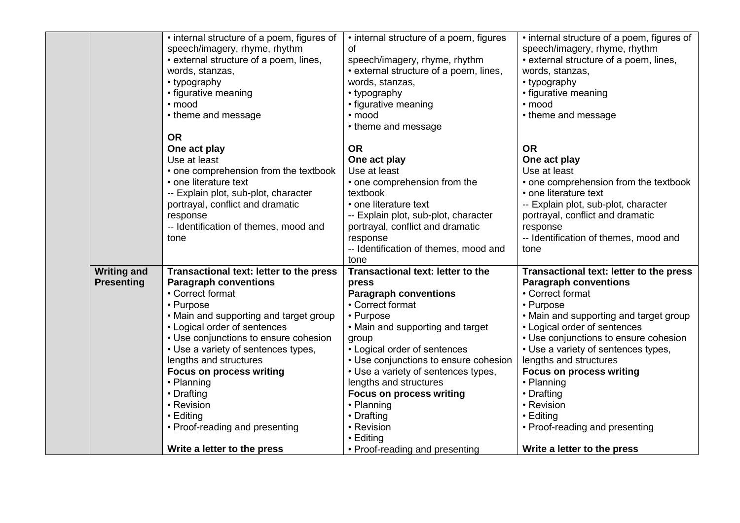|                    | • internal structure of a poem, figures of | • internal structure of a poem, figures | • internal structure of a poem, figures of |
|--------------------|--------------------------------------------|-----------------------------------------|--------------------------------------------|
|                    | speech/imagery, rhyme, rhythm              | οf                                      | speech/imagery, rhyme, rhythm              |
|                    | • external structure of a poem, lines,     | speech/imagery, rhyme, rhythm           | • external structure of a poem, lines,     |
|                    | words, stanzas,                            | • external structure of a poem, lines,  | words, stanzas,                            |
|                    | • typography                               | words, stanzas,                         | • typography                               |
|                    | • figurative meaning                       | • typography                            | • figurative meaning                       |
|                    | • mood                                     | • figurative meaning                    | · mood                                     |
|                    | • theme and message                        | • mood                                  | • theme and message                        |
|                    |                                            | • theme and message                     |                                            |
|                    | <b>OR</b>                                  |                                         |                                            |
|                    | One act play                               | <b>OR</b>                               | <b>OR</b>                                  |
|                    | Use at least                               | One act play                            | One act play                               |
|                    | • one comprehension from the textbook      | Use at least                            | Use at least                               |
|                    | • one literature text                      | • one comprehension from the            | • one comprehension from the textbook      |
|                    | -- Explain plot, sub-plot, character       | textbook                                | • one literature text                      |
|                    | portrayal, conflict and dramatic           | • one literature text                   | -- Explain plot, sub-plot, character       |
|                    | response                                   | -- Explain plot, sub-plot, character    | portrayal, conflict and dramatic           |
|                    | -- Identification of themes, mood and      | portrayal, conflict and dramatic        | response                                   |
|                    | tone                                       | response                                | -- Identification of themes, mood and      |
|                    |                                            | -- Identification of themes, mood and   | tone                                       |
|                    |                                            | tone                                    |                                            |
| <b>Writing and</b> | Transactional text: letter to the press    | Transactional text: letter to the       | Transactional text: letter to the press    |
| <b>Presenting</b>  | <b>Paragraph conventions</b>               | press                                   | <b>Paragraph conventions</b>               |
|                    | • Correct format                           | <b>Paragraph conventions</b>            | • Correct format                           |
|                    | • Purpose                                  | • Correct format                        | • Purpose                                  |
|                    | • Main and supporting and target group     | • Purpose                               | • Main and supporting and target group     |
|                    | • Logical order of sentences               | • Main and supporting and target        | • Logical order of sentences               |
|                    | • Use conjunctions to ensure cohesion      | group                                   | • Use conjunctions to ensure cohesion      |
|                    | • Use a variety of sentences types,        | • Logical order of sentences            | • Use a variety of sentences types,        |
|                    | lengths and structures                     | • Use conjunctions to ensure cohesion   | lengths and structures                     |
|                    | <b>Focus on process writing</b>            | • Use a variety of sentences types,     | <b>Focus on process writing</b>            |
|                    | • Planning                                 | lengths and structures                  | • Planning                                 |
|                    | • Drafting                                 | <b>Focus on process writing</b>         | • Drafting                                 |
|                    | • Revision                                 | • Planning                              | • Revision                                 |
|                    | $\cdot$ Editing                            | • Drafting                              | • Editing                                  |
|                    | • Proof-reading and presenting             | • Revision                              | • Proof-reading and presenting             |
|                    |                                            | $\cdot$ Editing                         |                                            |
|                    | Write a letter to the press                | • Proof-reading and presenting          | Write a letter to the press                |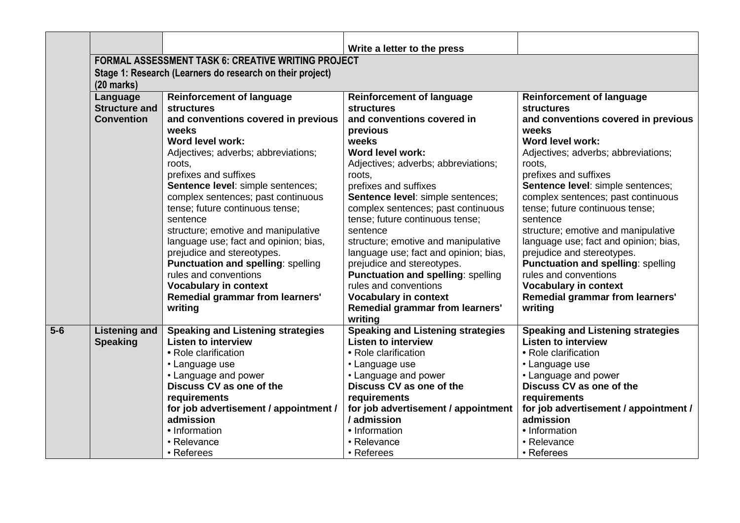|       |                                  |                                                           | Write a letter to the press                         |                                          |  |  |  |  |
|-------|----------------------------------|-----------------------------------------------------------|-----------------------------------------------------|------------------------------------------|--|--|--|--|
|       |                                  | <b>FORMAL ASSESSMENT TASK 6: CREATIVE WRITING PROJECT</b> |                                                     |                                          |  |  |  |  |
|       |                                  | Stage 1: Research (Learners do research on their project) |                                                     |                                          |  |  |  |  |
|       | $(20$ marks)                     | <b>Reinforcement of language</b>                          | <b>Reinforcement of language</b>                    | <b>Reinforcement of language</b>         |  |  |  |  |
|       | Language<br><b>Structure and</b> | <b>structures</b>                                         | <b>structures</b>                                   | <b>structures</b>                        |  |  |  |  |
|       | <b>Convention</b>                | and conventions covered in previous                       | and conventions covered in                          | and conventions covered in previous      |  |  |  |  |
|       |                                  | weeks                                                     | previous                                            | weeks                                    |  |  |  |  |
|       |                                  | Word level work:                                          | weeks                                               | Word level work:                         |  |  |  |  |
|       |                                  | Adjectives; adverbs; abbreviations;                       | Word level work:                                    | Adjectives; adverbs; abbreviations;      |  |  |  |  |
|       |                                  | roots.                                                    | Adjectives; adverbs; abbreviations;                 | roots.                                   |  |  |  |  |
|       |                                  | prefixes and suffixes                                     | roots.                                              | prefixes and suffixes                    |  |  |  |  |
|       |                                  | Sentence level: simple sentences;                         | prefixes and suffixes                               | Sentence level: simple sentences;        |  |  |  |  |
|       |                                  | complex sentences; past continuous                        | Sentence level: simple sentences;                   | complex sentences; past continuous       |  |  |  |  |
|       |                                  | tense; future continuous tense;                           | complex sentences; past continuous                  | tense; future continuous tense;          |  |  |  |  |
|       |                                  | sentence                                                  | tense; future continuous tense;                     | sentence                                 |  |  |  |  |
|       |                                  | structure; emotive and manipulative                       | sentence                                            | structure; emotive and manipulative      |  |  |  |  |
|       |                                  | language use; fact and opinion; bias,                     | structure; emotive and manipulative                 | language use; fact and opinion; bias,    |  |  |  |  |
|       |                                  | prejudice and stereotypes.                                | language use; fact and opinion; bias,               | prejudice and stereotypes.               |  |  |  |  |
|       |                                  | <b>Punctuation and spelling: spelling</b>                 | prejudice and stereotypes.                          | Punctuation and spelling: spelling       |  |  |  |  |
|       |                                  | rules and conventions                                     | <b>Punctuation and spelling: spelling</b>           | rules and conventions                    |  |  |  |  |
|       |                                  | <b>Vocabulary in context</b>                              | rules and conventions                               | <b>Vocabulary in context</b>             |  |  |  |  |
|       |                                  | <b>Remedial grammar from learners'</b>                    | <b>Vocabulary in context</b>                        | Remedial grammar from learners'          |  |  |  |  |
|       |                                  | writing                                                   | Remedial grammar from learners'                     | writing                                  |  |  |  |  |
| $5-6$ | <b>Listening and</b>             | <b>Speaking and Listening strategies</b>                  | writing<br><b>Speaking and Listening strategies</b> | <b>Speaking and Listening strategies</b> |  |  |  |  |
|       | <b>Speaking</b>                  | <b>Listen to interview</b>                                | <b>Listen to interview</b>                          | <b>Listen to interview</b>               |  |  |  |  |
|       |                                  | • Role clarification                                      | • Role clarification                                | • Role clarification                     |  |  |  |  |
|       |                                  | • Language use                                            | • Language use                                      | • Language use                           |  |  |  |  |
|       |                                  | • Language and power                                      | • Language and power                                | • Language and power                     |  |  |  |  |
|       |                                  | Discuss CV as one of the                                  | Discuss CV as one of the                            | Discuss CV as one of the                 |  |  |  |  |
|       |                                  | requirements                                              | requirements                                        | requirements                             |  |  |  |  |
|       |                                  | for job advertisement / appointment /                     | for job advertisement / appointment                 | for job advertisement / appointment /    |  |  |  |  |
|       |                                  | admission                                                 | / admission                                         | admission                                |  |  |  |  |
|       |                                  | • Information                                             | • Information                                       | • Information                            |  |  |  |  |
|       |                                  | • Relevance                                               | • Relevance                                         | • Relevance                              |  |  |  |  |
|       |                                  | • Referees                                                | • Referees                                          | • Referees                               |  |  |  |  |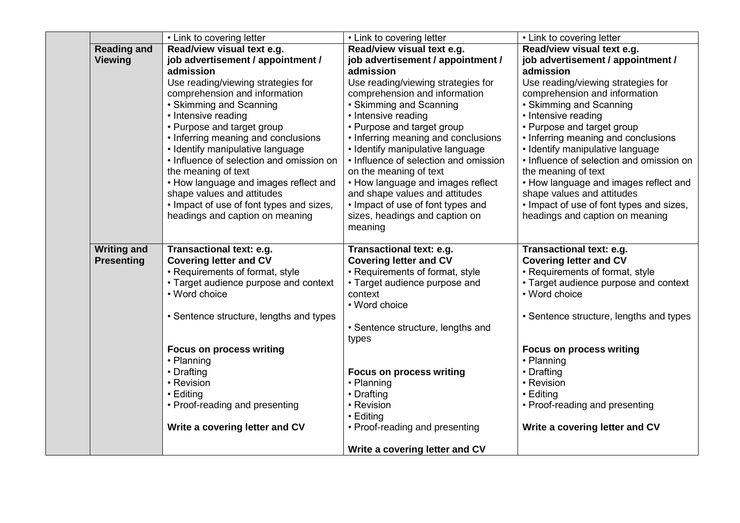|                    | • Link to covering letter                | • Link to covering letter             | • Link to covering letter                |
|--------------------|------------------------------------------|---------------------------------------|------------------------------------------|
| <b>Reading and</b> | Read/view visual text e.g.               | Read/view visual text e.g.            | Read/view visual text e.g.               |
| <b>Viewing</b>     | job advertisement / appointment /        | job advertisement / appointment /     | job advertisement / appointment /        |
|                    | admission                                | admission                             | admission                                |
|                    | Use reading/viewing strategies for       | Use reading/viewing strategies for    | Use reading/viewing strategies for       |
|                    | comprehension and information            | comprehension and information         | comprehension and information            |
|                    | • Skimming and Scanning                  | • Skimming and Scanning               | • Skimming and Scanning                  |
|                    | • Intensive reading                      | • Intensive reading                   | • Intensive reading                      |
|                    | • Purpose and target group               | • Purpose and target group            | • Purpose and target group               |
|                    | • Inferring meaning and conclusions      | • Inferring meaning and conclusions   | • Inferring meaning and conclusions      |
|                    | • Identify manipulative language         | · Identify manipulative language      | • Identify manipulative language         |
|                    | • Influence of selection and omission on | • Influence of selection and omission | • Influence of selection and omission on |
|                    | the meaning of text                      | on the meaning of text                | the meaning of text                      |
|                    | • How language and images reflect and    | • How language and images reflect     | • How language and images reflect and    |
|                    | shape values and attitudes               | and shape values and attitudes        | shape values and attitudes               |
|                    | • Impact of use of font types and sizes, | • Impact of use of font types and     | • Impact of use of font types and sizes, |
|                    | headings and caption on meaning          | sizes, headings and caption on        | headings and caption on meaning          |
|                    |                                          | meaning                               |                                          |
| <b>Writing and</b> | Transactional text: e.g.                 | Transactional text: e.g.              | Transactional text: e.g.                 |
| <b>Presenting</b>  | <b>Covering letter and CV</b>            | <b>Covering letter and CV</b>         | <b>Covering letter and CV</b>            |
|                    | • Requirements of format, style          | • Requirements of format, style       | • Requirements of format, style          |
|                    | • Target audience purpose and context    | • Target audience purpose and         | • Target audience purpose and context    |
|                    | • Word choice                            | context                               | • Word choice                            |
|                    |                                          | • Word choice                         |                                          |
|                    | • Sentence structure, lengths and types  |                                       | • Sentence structure, lengths and types  |
|                    |                                          | • Sentence structure, lengths and     |                                          |
|                    |                                          | types                                 |                                          |
|                    | <b>Focus on process writing</b>          |                                       | <b>Focus on process writing</b>          |
|                    | • Planning                               |                                       | • Planning                               |
|                    | • Drafting                               | <b>Focus on process writing</b>       | • Drafting                               |
|                    | • Revision                               | • Planning                            | • Revision                               |
|                    | • Editing                                | • Drafting                            | • Editing                                |
|                    | • Proof-reading and presenting           | • Revision                            | • Proof-reading and presenting           |
|                    |                                          | • Editing                             |                                          |
|                    | Write a covering letter and CV           | • Proof-reading and presenting        | Write a covering letter and CV           |
|                    |                                          | Write a covering letter and CV        |                                          |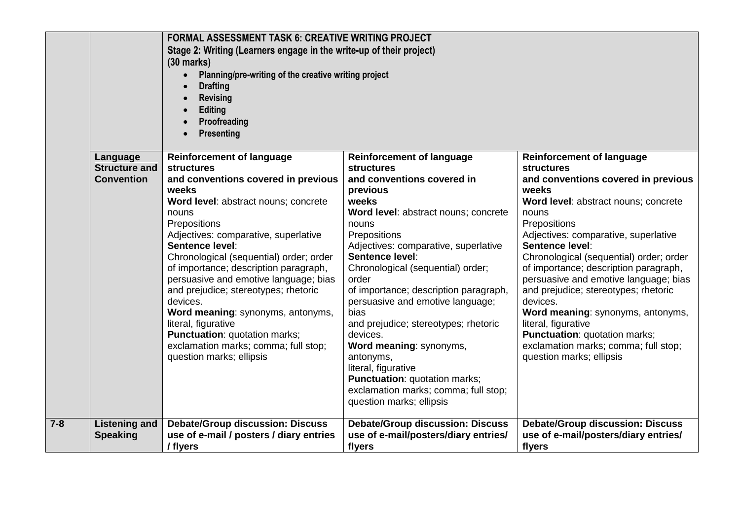|         |                                                       | <b>FORMAL ASSESSMENT TASK 6: CREATIVE WRITING PROJECT</b><br>Stage 2: Writing (Learners engage in the write-up of their project)<br>$(30 \text{ marks})$<br>Planning/pre-writing of the creative writing project<br>$\bullet$<br><b>Drafting</b><br>$\bullet$<br><b>Revising</b><br>Editing<br>$\bullet$<br>Proofreading<br>$\bullet$<br><b>Presenting</b><br>$\bullet$                                                                                                                                                                                                                    |                                                                                                                                                                                                                                                                                                                                                                                                                                                                                                                                                                                                        |                                                                                                                                                                                                                                                                                                                                                                                                                                                                                                                                                                                            |
|---------|-------------------------------------------------------|--------------------------------------------------------------------------------------------------------------------------------------------------------------------------------------------------------------------------------------------------------------------------------------------------------------------------------------------------------------------------------------------------------------------------------------------------------------------------------------------------------------------------------------------------------------------------------------------|--------------------------------------------------------------------------------------------------------------------------------------------------------------------------------------------------------------------------------------------------------------------------------------------------------------------------------------------------------------------------------------------------------------------------------------------------------------------------------------------------------------------------------------------------------------------------------------------------------|--------------------------------------------------------------------------------------------------------------------------------------------------------------------------------------------------------------------------------------------------------------------------------------------------------------------------------------------------------------------------------------------------------------------------------------------------------------------------------------------------------------------------------------------------------------------------------------------|
|         | Language<br><b>Structure and</b><br><b>Convention</b> | <b>Reinforcement of language</b><br><b>structures</b><br>and conventions covered in previous<br>weeks<br>Word level: abstract nouns; concrete<br>nouns<br>Prepositions<br>Adjectives: comparative, superlative<br>Sentence level:<br>Chronological (sequential) order; order<br>of importance; description paragraph,<br>persuasive and emotive language; bias<br>and prejudice; stereotypes; rhetoric<br>devices.<br>Word meaning: synonyms, antonyms,<br>literal, figurative<br><b>Punctuation: quotation marks;</b><br>exclamation marks; comma; full stop;<br>question marks; ellipsis | <b>Reinforcement of language</b><br><b>structures</b><br>and conventions covered in<br>previous<br>weeks<br>Word level: abstract nouns; concrete<br>nouns<br>Prepositions<br>Adjectives: comparative, superlative<br>Sentence level:<br>Chronological (sequential) order;<br>order<br>of importance; description paragraph,<br>persuasive and emotive language;<br>bias<br>and prejudice; stereotypes; rhetoric<br>devices.<br>Word meaning: synonyms,<br>antonyms,<br>literal, figurative<br><b>Punctuation: quotation marks;</b><br>exclamation marks; comma; full stop;<br>question marks; ellipsis | <b>Reinforcement of language</b><br><b>structures</b><br>and conventions covered in previous<br>weeks<br>Word level: abstract nouns; concrete<br>nouns<br>Prepositions<br>Adjectives: comparative, superlative<br>Sentence level:<br>Chronological (sequential) order; order<br>of importance; description paragraph,<br>persuasive and emotive language; bias<br>and prejudice; stereotypes; rhetoric<br>devices.<br>Word meaning: synonyms, antonyms,<br>literal, figurative<br><b>Punctuation: quotation marks;</b><br>exclamation marks; comma; full stop;<br>question marks; ellipsis |
| $7 - 8$ | <b>Listening and</b><br><b>Speaking</b>               | <b>Debate/Group discussion: Discuss</b><br>use of e-mail / posters / diary entries<br>/ flyers                                                                                                                                                                                                                                                                                                                                                                                                                                                                                             | <b>Debate/Group discussion: Discuss</b><br>use of e-mail/posters/diary entries/<br>flyers                                                                                                                                                                                                                                                                                                                                                                                                                                                                                                              | <b>Debate/Group discussion: Discuss</b><br>use of e-mail/posters/diary entries/<br>flyers                                                                                                                                                                                                                                                                                                                                                                                                                                                                                                  |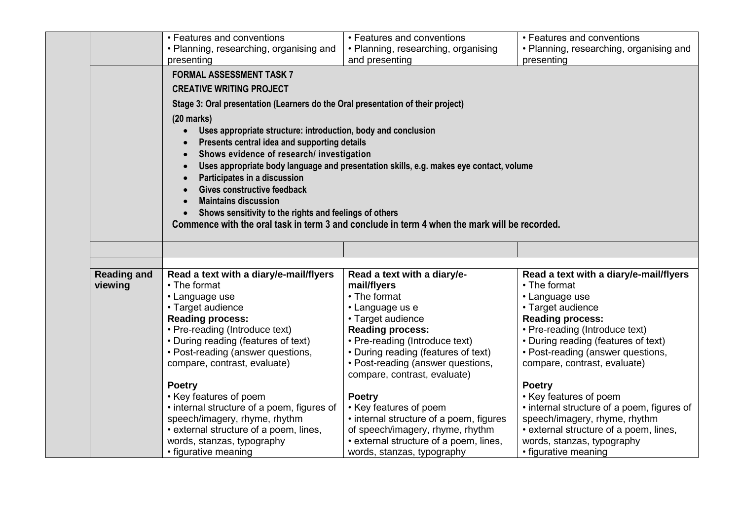|                    | • Features and conventions                                                                                                                                                                                                                                                                                                                                                 | • Features and conventions                                                                   | • Features and conventions                 |
|--------------------|----------------------------------------------------------------------------------------------------------------------------------------------------------------------------------------------------------------------------------------------------------------------------------------------------------------------------------------------------------------------------|----------------------------------------------------------------------------------------------|--------------------------------------------|
|                    | • Planning, researching, organising and                                                                                                                                                                                                                                                                                                                                    | • Planning, researching, organising                                                          | • Planning, researching, organising and    |
|                    | presenting                                                                                                                                                                                                                                                                                                                                                                 | and presenting                                                                               | presenting                                 |
|                    | <b>FORMAL ASSESSMENT TASK 7</b><br><b>CREATIVE WRITING PROJECT</b><br>Stage 3: Oral presentation (Learners do the Oral presentation of their project)<br>$(20$ marks)<br>Uses appropriate structure: introduction, body and conclusion<br>$\bullet$<br>Presents central idea and supporting details<br>Shows evidence of research/ investigation<br>$\bullet$<br>$\bullet$ | Uses appropriate body language and presentation skills, e.g. makes eye contact, volume       |                                            |
|                    | Participates in a discussion<br>$\bullet$<br>Gives constructive feedback<br><b>Maintains discussion</b><br>Shows sensitivity to the rights and feelings of others                                                                                                                                                                                                          | Commence with the oral task in term 3 and conclude in term 4 when the mark will be recorded. |                                            |
|                    |                                                                                                                                                                                                                                                                                                                                                                            |                                                                                              |                                            |
| <b>Reading and</b> | Read a text with a diary/e-mail/flyers                                                                                                                                                                                                                                                                                                                                     | Read a text with a diary/e-                                                                  | Read a text with a diary/e-mail/flyers     |
| viewing            | • The format                                                                                                                                                                                                                                                                                                                                                               | mail/flyers                                                                                  | • The format                               |
|                    | • Language use                                                                                                                                                                                                                                                                                                                                                             | • The format                                                                                 | • Language use                             |
|                    | • Target audience                                                                                                                                                                                                                                                                                                                                                          | • Language us e                                                                              | • Target audience                          |
|                    | <b>Reading process:</b>                                                                                                                                                                                                                                                                                                                                                    | • Target audience                                                                            | <b>Reading process:</b>                    |
|                    | • Pre-reading (Introduce text)                                                                                                                                                                                                                                                                                                                                             | <b>Reading process:</b>                                                                      | • Pre-reading (Introduce text)             |
|                    | • During reading (features of text)                                                                                                                                                                                                                                                                                                                                        | • Pre-reading (Introduce text)                                                               | • During reading (features of text)        |
|                    | • Post-reading (answer questions,                                                                                                                                                                                                                                                                                                                                          | • During reading (features of text)                                                          | • Post-reading (answer questions,          |
|                    | compare, contrast, evaluate)                                                                                                                                                                                                                                                                                                                                               | • Post-reading (answer questions,<br>compare, contrast, evaluate)                            | compare, contrast, evaluate)               |
|                    | <b>Poetry</b>                                                                                                                                                                                                                                                                                                                                                              |                                                                                              | <b>Poetry</b>                              |
|                    | • Key features of poem                                                                                                                                                                                                                                                                                                                                                     | Poetry                                                                                       | • Key features of poem                     |
|                    | • internal structure of a poem, figures of                                                                                                                                                                                                                                                                                                                                 | • Key features of poem                                                                       | • internal structure of a poem, figures of |
|                    | speech/imagery, rhyme, rhythm                                                                                                                                                                                                                                                                                                                                              | • internal structure of a poem, figures                                                      | speech/imagery, rhyme, rhythm              |
|                    | • external structure of a poem, lines,                                                                                                                                                                                                                                                                                                                                     | of speech/imagery, rhyme, rhythm                                                             | • external structure of a poem, lines,     |
|                    | words, stanzas, typography                                                                                                                                                                                                                                                                                                                                                 | • external structure of a poem, lines,                                                       | words, stanzas, typography                 |
|                    | • figurative meaning                                                                                                                                                                                                                                                                                                                                                       | words, stanzas, typography                                                                   | • figurative meaning                       |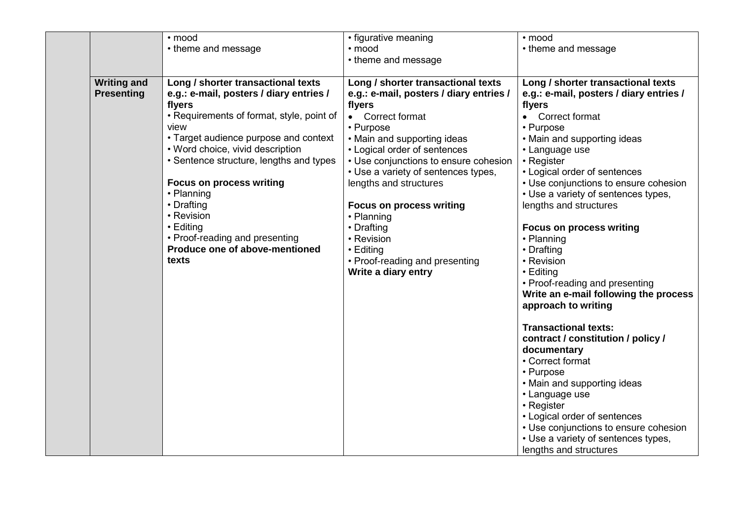|                    | • mood                                    | • figurative meaning                    | • mood                                  |
|--------------------|-------------------------------------------|-----------------------------------------|-----------------------------------------|
|                    | • theme and message                       | $\cdot$ mood                            | • theme and message                     |
|                    |                                           | • theme and message                     |                                         |
|                    |                                           |                                         |                                         |
| <b>Writing and</b> | Long / shorter transactional texts        | Long / shorter transactional texts      | Long / shorter transactional texts      |
| <b>Presenting</b>  | e.g.: e-mail, posters / diary entries /   | e.g.: e-mail, posters / diary entries / | e.g.: e-mail, posters / diary entries / |
|                    | flyers                                    | flyers                                  | flyers                                  |
|                    | • Requirements of format, style, point of | • Correct format                        | • Correct format                        |
|                    | view                                      | • Purpose                               | • Purpose                               |
|                    | • Target audience purpose and context     | • Main and supporting ideas             | • Main and supporting ideas             |
|                    | • Word choice, vivid description          | • Logical order of sentences            | • Language use                          |
|                    | • Sentence structure, lengths and types   | • Use conjunctions to ensure cohesion   | • Register                              |
|                    |                                           | • Use a variety of sentences types,     | • Logical order of sentences            |
|                    | <b>Focus on process writing</b>           | lengths and structures                  | • Use conjunctions to ensure cohesion   |
|                    | • Planning                                |                                         | • Use a variety of sentences types,     |
|                    | • Drafting                                | <b>Focus on process writing</b>         | lengths and structures                  |
|                    | • Revision                                | • Planning                              |                                         |
|                    | $\cdot$ Editing                           |                                         |                                         |
|                    | • Proof-reading and presenting            | • Drafting                              | <b>Focus on process writing</b>         |
|                    | Produce one of above-mentioned            | • Revision                              | • Planning                              |
|                    |                                           | $\cdot$ Editing                         | • Drafting                              |
|                    | texts                                     | • Proof-reading and presenting          | • Revision                              |
|                    |                                           | Write a diary entry                     | $\cdot$ Editing                         |
|                    |                                           |                                         | • Proof-reading and presenting          |
|                    |                                           |                                         | Write an e-mail following the process   |
|                    |                                           |                                         | approach to writing                     |
|                    |                                           |                                         |                                         |
|                    |                                           |                                         | <b>Transactional texts:</b>             |
|                    |                                           |                                         | contract / constitution / policy /      |
|                    |                                           |                                         | documentary                             |
|                    |                                           |                                         | • Correct format                        |
|                    |                                           |                                         | • Purpose                               |
|                    |                                           |                                         | • Main and supporting ideas             |
|                    |                                           |                                         | • Language use                          |
|                    |                                           |                                         | • Register                              |
|                    |                                           |                                         | • Logical order of sentences            |
|                    |                                           |                                         | • Use conjunctions to ensure cohesion   |
|                    |                                           |                                         | • Use a variety of sentences types,     |
|                    |                                           |                                         | lengths and structures                  |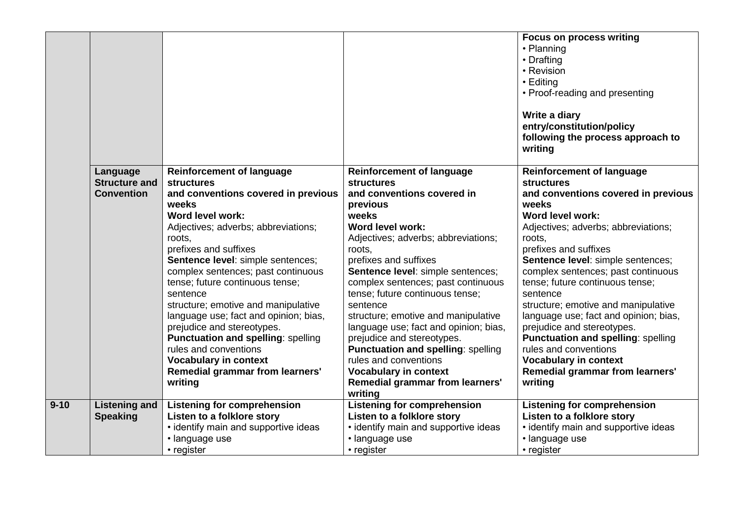|          |                      |                                                   |                                                                 | <b>Focus on process writing</b><br>• Planning<br>• Drafting<br>• Revision<br>• Editing<br>• Proof-reading and presenting |
|----------|----------------------|---------------------------------------------------|-----------------------------------------------------------------|--------------------------------------------------------------------------------------------------------------------------|
|          |                      |                                                   |                                                                 | Write a diary<br>entry/constitution/policy<br>following the process approach to<br>writing                               |
|          | Language             | <b>Reinforcement of language</b>                  | <b>Reinforcement of language</b>                                | <b>Reinforcement of language</b>                                                                                         |
|          | <b>Structure and</b> | <b>structures</b>                                 | <b>structures</b>                                               | <b>structures</b>                                                                                                        |
|          | <b>Convention</b>    | and conventions covered in previous<br>weeks      | and conventions covered in<br>previous                          | and conventions covered in previous<br>weeks                                                                             |
|          |                      | Word level work:                                  | weeks                                                           | Word level work:                                                                                                         |
|          |                      | Adjectives; adverbs; abbreviations;               | Word level work:                                                | Adjectives; adverbs; abbreviations;                                                                                      |
|          |                      | roots.                                            | Adjectives; adverbs; abbreviations;                             | roots.                                                                                                                   |
|          |                      | prefixes and suffixes                             | roots,                                                          | prefixes and suffixes                                                                                                    |
|          |                      | Sentence level: simple sentences;                 | prefixes and suffixes                                           | Sentence level: simple sentences;                                                                                        |
|          |                      | complex sentences; past continuous                | Sentence level: simple sentences;                               | complex sentences; past continuous                                                                                       |
|          |                      | tense; future continuous tense;                   | complex sentences; past continuous                              | tense; future continuous tense;                                                                                          |
|          |                      | sentence                                          | tense; future continuous tense;                                 | sentence                                                                                                                 |
|          |                      | structure; emotive and manipulative               | sentence                                                        | structure; emotive and manipulative                                                                                      |
|          |                      | language use; fact and opinion; bias,             | structure; emotive and manipulative                             | language use; fact and opinion; bias,                                                                                    |
|          |                      | prejudice and stereotypes.                        | language use; fact and opinion; bias,                           | prejudice and stereotypes.                                                                                               |
|          |                      | <b>Punctuation and spelling: spelling</b>         | prejudice and stereotypes.                                      | <b>Punctuation and spelling: spelling</b>                                                                                |
|          |                      | rules and conventions                             | <b>Punctuation and spelling: spelling</b>                       | rules and conventions                                                                                                    |
|          |                      | <b>Vocabulary in context</b>                      | rules and conventions                                           | <b>Vocabulary in context</b>                                                                                             |
|          |                      | <b>Remedial grammar from learners'</b><br>writing | <b>Vocabulary in context</b><br>Remedial grammar from learners' | Remedial grammar from learners'<br>writing                                                                               |
|          |                      |                                                   | writing                                                         |                                                                                                                          |
| $9 - 10$ | <b>Listening and</b> | <b>Listening for comprehension</b>                | <b>Listening for comprehension</b>                              | <b>Listening for comprehension</b>                                                                                       |
|          | <b>Speaking</b>      | Listen to a folklore story                        | Listen to a folklore story                                      | Listen to a folklore story                                                                                               |
|          |                      | • identify main and supportive ideas              | · identify main and supportive ideas                            | • identify main and supportive ideas                                                                                     |
|          |                      | · language use                                    | · language use                                                  | · language use                                                                                                           |
|          |                      | • register                                        | • register                                                      | • register                                                                                                               |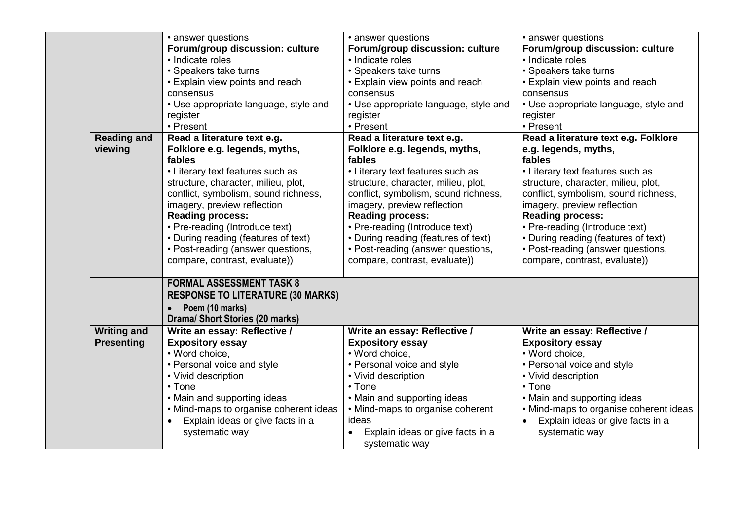|                    | • answer questions                       | • answer questions                    | • answer questions                            |
|--------------------|------------------------------------------|---------------------------------------|-----------------------------------------------|
|                    | Forum/group discussion: culture          | Forum/group discussion: culture       | Forum/group discussion: culture               |
|                    | • Indicate roles                         | • Indicate roles                      | • Indicate roles                              |
|                    | • Speakers take turns                    | • Speakers take turns                 | • Speakers take turns                         |
|                    | • Explain view points and reach          | • Explain view points and reach       | • Explain view points and reach               |
|                    | consensus                                | consensus                             | consensus                                     |
|                    | • Use appropriate language, style and    | • Use appropriate language, style and | • Use appropriate language, style and         |
|                    | register                                 | register                              | register                                      |
|                    | • Present                                | • Present                             | • Present                                     |
| <b>Reading and</b> | Read a literature text e.g.              | Read a literature text e.g.           | Read a literature text e.g. Folklore          |
| viewing            | Folklore e.g. legends, myths,            | Folklore e.g. legends, myths,         | e.g. legends, myths,                          |
|                    | fables                                   | fables                                | fables                                        |
|                    | • Literary text features such as         | • Literary text features such as      | • Literary text features such as              |
|                    | structure, character, milieu, plot,      | structure, character, milieu, plot,   | structure, character, milieu, plot,           |
|                    | conflict, symbolism, sound richness,     | conflict, symbolism, sound richness,  | conflict, symbolism, sound richness,          |
|                    | imagery, preview reflection              | imagery, preview reflection           | imagery, preview reflection                   |
|                    | <b>Reading process:</b>                  | <b>Reading process:</b>               | <b>Reading process:</b>                       |
|                    | • Pre-reading (Introduce text)           | • Pre-reading (Introduce text)        | • Pre-reading (Introduce text)                |
|                    | • During reading (features of text)      | • During reading (features of text)   | • During reading (features of text)           |
|                    | • Post-reading (answer questions,        | • Post-reading (answer questions,     | • Post-reading (answer questions,             |
|                    | compare, contrast, evaluate))            | compare, contrast, evaluate))         | compare, contrast, evaluate))                 |
|                    |                                          |                                       |                                               |
|                    | <b>FORMAL ASSESSMENT TASK 8</b>          |                                       |                                               |
|                    | <b>RESPONSE TO LITERATURE (30 MARKS)</b> |                                       |                                               |
|                    | Poem (10 marks)                          |                                       |                                               |
|                    | <b>Drama/ Short Stories (20 marks)</b>   |                                       |                                               |
| <b>Writing and</b> | Write an essay: Reflective /             | Write an essay: Reflective /          | Write an essay: Reflective /                  |
| <b>Presenting</b>  | <b>Expository essay</b>                  | <b>Expository essay</b>               | <b>Expository essay</b>                       |
|                    | • Word choice,                           | • Word choice,                        | • Word choice,                                |
|                    | • Personal voice and style               | • Personal voice and style            | • Personal voice and style                    |
|                    | • Vivid description                      | • Vivid description                   | • Vivid description                           |
|                    | $\cdot$ Tone                             | $\cdot$ Tone                          | $\cdot$ Tone                                  |
|                    | • Main and supporting ideas              | • Main and supporting ideas           | • Main and supporting ideas                   |
|                    | • Mind-maps to organise coherent ideas   | • Mind-maps to organise coherent      | • Mind-maps to organise coherent ideas        |
|                    | • Explain ideas or give facts in a       | ideas                                 | Explain ideas or give facts in a<br>$\bullet$ |
|                    | systematic way                           | Explain ideas or give facts in a      | systematic way                                |
|                    |                                          | systematic way                        |                                               |
|                    |                                          |                                       |                                               |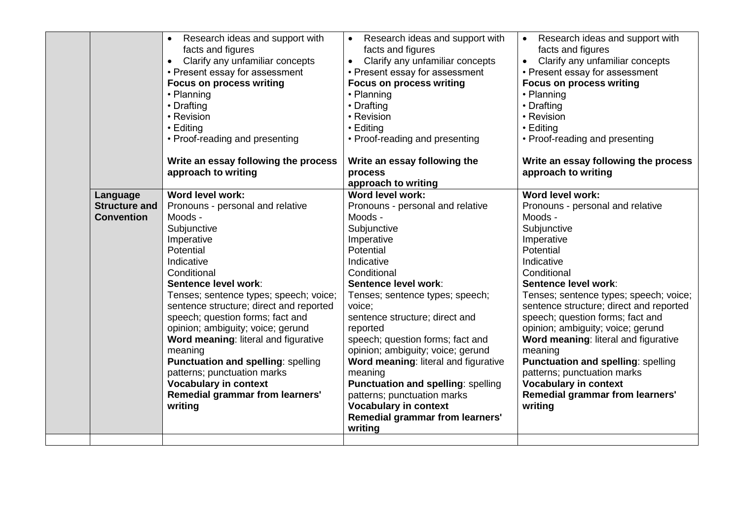|                      | Research ideas and support with<br>$\bullet$ | Research ideas and support with<br>$\bullet$ | Research ideas and support with<br>$\bullet$ |
|----------------------|----------------------------------------------|----------------------------------------------|----------------------------------------------|
|                      | facts and figures                            | facts and figures                            | facts and figures                            |
|                      | Clarify any unfamiliar concepts<br>$\bullet$ | Clarify any unfamiliar concepts<br>$\bullet$ | Clarify any unfamiliar concepts<br>$\bullet$ |
|                      | • Present essay for assessment               | • Present essay for assessment               | • Present essay for assessment               |
|                      | <b>Focus on process writing</b>              | <b>Focus on process writing</b>              | <b>Focus on process writing</b>              |
|                      | • Planning                                   | • Planning                                   | • Planning                                   |
|                      | • Drafting                                   | • Drafting                                   | • Drafting                                   |
|                      | • Revision                                   | • Revision                                   | • Revision                                   |
|                      | • Editing                                    | • Editing                                    | • Editing                                    |
|                      | • Proof-reading and presenting               | • Proof-reading and presenting               | • Proof-reading and presenting               |
|                      | Write an essay following the process         | Write an essay following the                 | Write an essay following the process         |
|                      | approach to writing                          | process                                      | approach to writing                          |
|                      |                                              | approach to writing                          |                                              |
| Language             | <b>Word level work:</b>                      | Word level work:                             | Word level work:                             |
| <b>Structure and</b> | Pronouns - personal and relative             | Pronouns - personal and relative             | Pronouns - personal and relative             |
| <b>Convention</b>    | Moods -                                      | Moods -                                      | Moods -                                      |
|                      | Subjunctive                                  | Subjunctive                                  | Subjunctive                                  |
|                      | Imperative                                   | Imperative                                   | Imperative                                   |
|                      | Potential                                    | Potential                                    | Potential                                    |
|                      | Indicative                                   | Indicative                                   | Indicative                                   |
|                      | Conditional                                  | Conditional                                  | Conditional                                  |
|                      | Sentence level work:                         | Sentence level work:                         | Sentence level work:                         |
|                      | Tenses; sentence types; speech; voice;       | Tenses; sentence types; speech;              | Tenses; sentence types; speech; voice;       |
|                      | sentence structure; direct and reported      | voice;                                       | sentence structure; direct and reported      |
|                      | speech; question forms; fact and             | sentence structure; direct and               | speech; question forms; fact and             |
|                      | opinion; ambiguity; voice; gerund            | reported                                     | opinion; ambiguity; voice; gerund            |
|                      | Word meaning: literal and figurative         | speech; question forms; fact and             | Word meaning: literal and figurative         |
|                      | meaning                                      | opinion; ambiguity; voice; gerund            | meaning                                      |
|                      | Punctuation and spelling: spelling           | Word meaning: literal and figurative         | <b>Punctuation and spelling: spelling</b>    |
|                      | patterns; punctuation marks                  | meaning                                      | patterns; punctuation marks                  |
|                      | <b>Vocabulary in context</b>                 | <b>Punctuation and spelling: spelling</b>    | <b>Vocabulary in context</b>                 |
|                      | <b>Remedial grammar from learners'</b>       | patterns; punctuation marks                  | Remedial grammar from learners'              |
|                      | writing                                      | <b>Vocabulary in context</b>                 | writing                                      |
|                      |                                              | Remedial grammar from learners'              |                                              |
|                      |                                              |                                              |                                              |
|                      |                                              | writing                                      |                                              |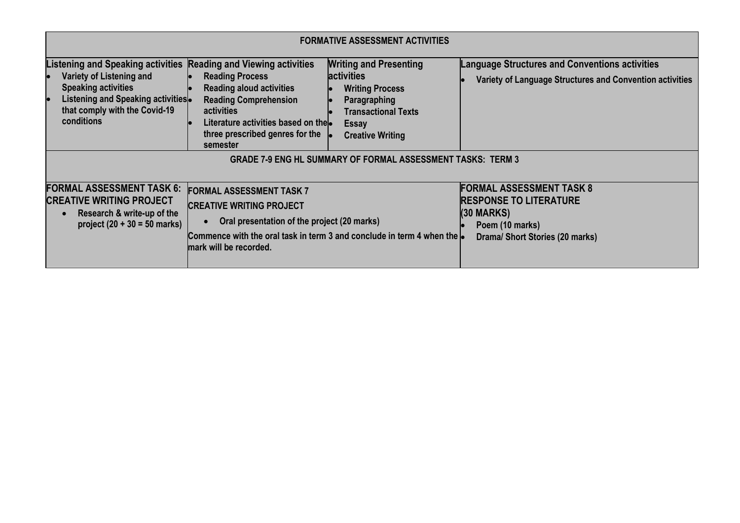|                                                                                                                                                                                                                                                                                                                                                                                                                                      | <b>FORMATIVE ASSESSMENT ACTIVITIES</b>                                                                                                                                                                                                |                                                                                                                                                                       |                                                                                                                                        |  |  |  |
|--------------------------------------------------------------------------------------------------------------------------------------------------------------------------------------------------------------------------------------------------------------------------------------------------------------------------------------------------------------------------------------------------------------------------------------|---------------------------------------------------------------------------------------------------------------------------------------------------------------------------------------------------------------------------------------|-----------------------------------------------------------------------------------------------------------------------------------------------------------------------|----------------------------------------------------------------------------------------------------------------------------------------|--|--|--|
| <b>Listening and Speaking activities</b><br>Variety of Listening and<br><b>Speaking activities</b><br>Listening and Speaking activities.<br>that comply with the Covid-19<br>conditions                                                                                                                                                                                                                                              | <b>Reading and Viewing activities</b><br><b>Reading Process</b><br><b>Reading aloud activities</b><br><b>Reading Comprehension</b><br>activities<br>Literature activities based on the<br>three prescribed genres for the<br>semester | <b>Writing and Presenting</b><br><b>activities</b><br><b>Writing Process</b><br>Paragraphing<br><b>Transactional Texts</b><br><b>Essay</b><br><b>Creative Writing</b> | <b>Language Structures and Conventions activities</b><br>Variety of Language Structures and Convention activities                      |  |  |  |
| <b>GRADE 7-9 ENG HL SUMMARY OF FORMAL ASSESSMENT TASKS: TERM 3</b><br><b>FORMAL ASSESSMENT TASK 6:</b><br><b>FORMAL ASSESSMENT TASK 7</b><br><b>CREATIVE WRITING PROJECT</b><br><b>CREATIVE WRITING PROJECT</b><br>Research & write-up of the<br>Oral presentation of the project (20 marks)<br>project $(20 + 30 = 50$ marks)<br>Commence with the oral task in term 3 and conclude in term 4 when the lo<br>mark will be recorded. |                                                                                                                                                                                                                                       |                                                                                                                                                                       | <b>FORMAL ASSESSMENT TASK 8</b><br><b>RESPONSE TO LITERATURE</b><br>$(30$ MARKS)<br>Poem (10 marks)<br>Drama/ Short Stories (20 marks) |  |  |  |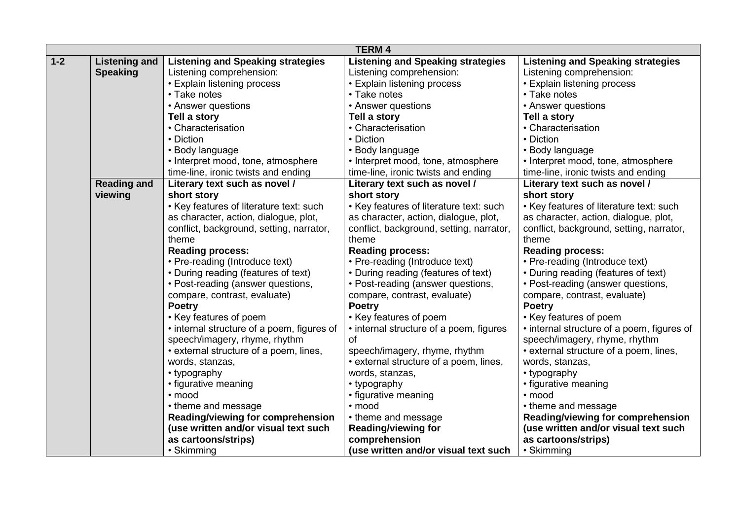|         |                      |                                            | <b>TERM 4</b>                            |                                            |
|---------|----------------------|--------------------------------------------|------------------------------------------|--------------------------------------------|
| $1 - 2$ | <b>Listening and</b> | <b>Listening and Speaking strategies</b>   | <b>Listening and Speaking strategies</b> | <b>Listening and Speaking strategies</b>   |
|         | <b>Speaking</b>      | Listening comprehension:                   | Listening comprehension:                 | Listening comprehension:                   |
|         |                      | • Explain listening process                | • Explain listening process              | • Explain listening process                |
|         |                      | • Take notes                               | • Take notes                             | • Take notes                               |
|         |                      | • Answer questions                         | • Answer questions                       | • Answer questions                         |
|         |                      | Tell a story                               | Tell a story                             | Tell a story                               |
|         |                      | • Characterisation                         | • Characterisation                       | • Characterisation                         |
|         |                      | • Diction                                  | • Diction                                | • Diction                                  |
|         |                      | • Body language                            | • Body language                          | • Body language                            |
|         |                      | • Interpret mood, tone, atmosphere         | • Interpret mood, tone, atmosphere       | • Interpret mood, tone, atmosphere         |
|         |                      | time-line, ironic twists and ending        | time-line, ironic twists and ending      | time-line, ironic twists and ending        |
|         | <b>Reading and</b>   | Literary text such as novel /              | Literary text such as novel /            | Literary text such as novel /              |
|         | viewing              | short story                                | short story                              | short story                                |
|         |                      | • Key features of literature text: such    | • Key features of literature text: such  | • Key features of literature text: such    |
|         |                      | as character, action, dialogue, plot,      | as character, action, dialogue, plot,    | as character, action, dialogue, plot,      |
|         |                      | conflict, background, setting, narrator,   | conflict, background, setting, narrator, | conflict, background, setting, narrator,   |
|         |                      | theme                                      | theme                                    | theme                                      |
|         |                      | <b>Reading process:</b>                    | <b>Reading process:</b>                  | <b>Reading process:</b>                    |
|         |                      | • Pre-reading (Introduce text)             | • Pre-reading (Introduce text)           | • Pre-reading (Introduce text)             |
|         |                      | • During reading (features of text)        | • During reading (features of text)      | • During reading (features of text)        |
|         |                      | • Post-reading (answer questions,          | • Post-reading (answer questions,        | • Post-reading (answer questions,          |
|         |                      | compare, contrast, evaluate)               | compare, contrast, evaluate)             | compare, contrast, evaluate)               |
|         |                      | <b>Poetry</b>                              | <b>Poetry</b>                            | <b>Poetry</b>                              |
|         |                      | • Key features of poem                     | • Key features of poem                   | • Key features of poem                     |
|         |                      | • internal structure of a poem, figures of | • internal structure of a poem, figures  | • internal structure of a poem, figures of |
|         |                      | speech/imagery, rhyme, rhythm              | οf                                       | speech/imagery, rhyme, rhythm              |
|         |                      | • external structure of a poem, lines,     | speech/imagery, rhyme, rhythm            | • external structure of a poem, lines,     |
|         |                      | words, stanzas,                            | • external structure of a poem, lines,   | words, stanzas,                            |
|         |                      | • typography                               | words, stanzas,                          | • typography                               |
|         |                      | • figurative meaning                       | • typography                             | • figurative meaning                       |
|         |                      | • mood                                     | • figurative meaning                     | • mood                                     |
|         |                      | • theme and message                        | • mood                                   | • theme and message                        |
|         |                      | Reading/viewing for comprehension          | • theme and message                      | Reading/viewing for comprehension          |
|         |                      | (use written and/or visual text such       | Reading/viewing for                      | (use written and/or visual text such       |
|         |                      | as cartoons/strips)                        | comprehension                            | as cartoons/strips)                        |
|         |                      | • Skimming                                 | (use written and/or visual text such     | • Skimming                                 |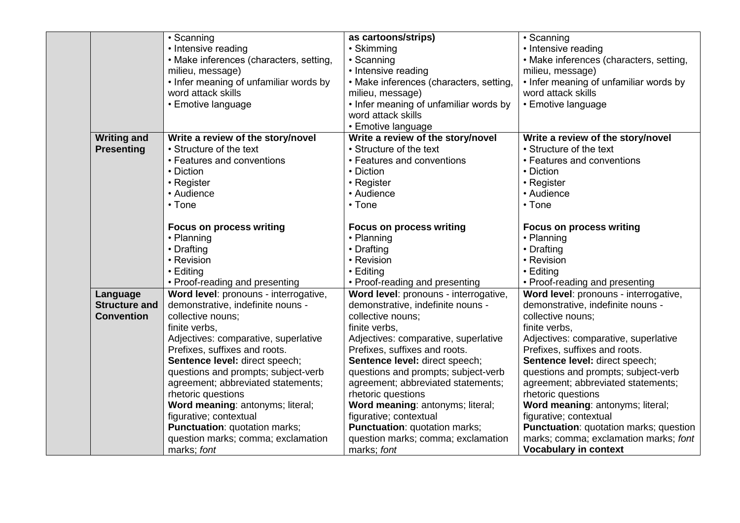|                      | • Scanning                              | as cartoons/strips)                     | • Scanning                              |
|----------------------|-----------------------------------------|-----------------------------------------|-----------------------------------------|
|                      | • Intensive reading                     | • Skimming                              | • Intensive reading                     |
|                      | • Make inferences (characters, setting, | • Scanning                              | • Make inferences (characters, setting, |
|                      | milieu, message)                        | • Intensive reading                     | milieu, message)                        |
|                      | • Infer meaning of unfamiliar words by  | • Make inferences (characters, setting, | • Infer meaning of unfamiliar words by  |
|                      | word attack skills                      | milieu, message)                        | word attack skills                      |
|                      | • Emotive language                      | • Infer meaning of unfamiliar words by  | • Emotive language                      |
|                      |                                         | word attack skills                      |                                         |
|                      |                                         | • Emotive language                      |                                         |
| <b>Writing and</b>   | Write a review of the story/novel       | Write a review of the story/novel       | Write a review of the story/novel       |
| <b>Presenting</b>    | • Structure of the text                 | • Structure of the text                 | • Structure of the text                 |
|                      | • Features and conventions              | • Features and conventions              | • Features and conventions              |
|                      | • Diction                               | • Diction                               | • Diction                               |
|                      | • Register                              | • Register                              | • Register                              |
|                      | • Audience                              | • Audience                              | • Audience                              |
|                      | $\cdot$ Tone                            | $\cdot$ Tone                            | $\cdot$ Tone                            |
|                      | <b>Focus on process writing</b>         | <b>Focus on process writing</b>         | <b>Focus on process writing</b>         |
|                      | • Planning                              | • Planning                              | • Planning                              |
|                      | • Drafting                              | • Drafting                              | • Drafting                              |
|                      | • Revision                              | • Revision                              | • Revision                              |
|                      | • Editing                               | • Editing                               | $\cdot$ Editing                         |
|                      | • Proof-reading and presenting          | • Proof-reading and presenting          | • Proof-reading and presenting          |
| Language             | Word level: pronouns - interrogative,   | Word level: pronouns - interrogative,   | Word level: pronouns - interrogative,   |
| <b>Structure and</b> | demonstrative, indefinite nouns -       | demonstrative, indefinite nouns -       | demonstrative, indefinite nouns -       |
| <b>Convention</b>    | collective nouns;                       | collective nouns;                       | collective nouns;                       |
|                      | finite verbs,                           | finite verbs,                           | finite verbs,                           |
|                      | Adjectives: comparative, superlative    | Adjectives: comparative, superlative    | Adjectives: comparative, superlative    |
|                      | Prefixes, suffixes and roots.           | Prefixes, suffixes and roots.           | Prefixes, suffixes and roots.           |
|                      | Sentence level: direct speech;          | Sentence level: direct speech;          | Sentence level: direct speech;          |
|                      | questions and prompts; subject-verb     | questions and prompts; subject-verb     | questions and prompts; subject-verb     |
|                      | agreement; abbreviated statements;      | agreement; abbreviated statements;      | agreement; abbreviated statements;      |
|                      | rhetoric questions                      | rhetoric questions                      | rhetoric questions                      |
|                      | Word meaning: antonyms; literal;        | Word meaning: antonyms; literal;        | Word meaning: antonyms; literal;        |
|                      | figurative; contextual                  | figurative; contextual                  | figurative; contextual                  |
|                      | <b>Punctuation: quotation marks;</b>    | Punctuation: quotation marks;           | Punctuation: quotation marks; question  |
|                      | question marks; comma; exclamation      | question marks; comma; exclamation      | marks; comma; exclamation marks; font   |
|                      |                                         |                                         |                                         |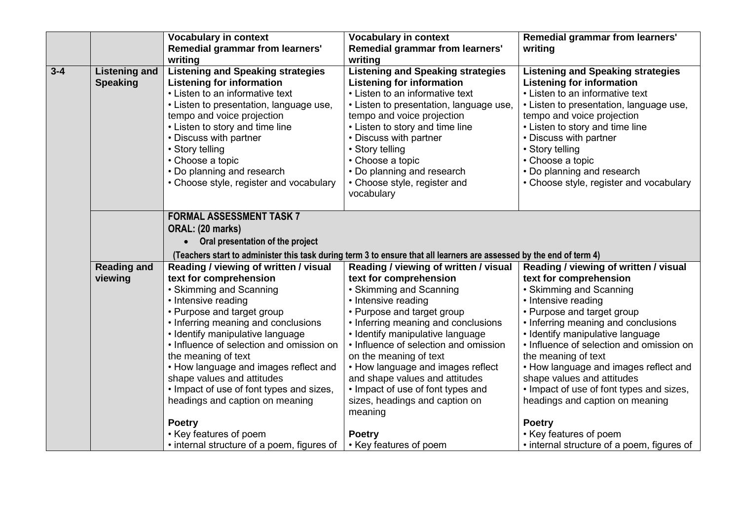| Remedial grammar from learners'<br><b>Vocabulary in context</b><br><b>Vocabulary in context</b>                         |                                            |
|-------------------------------------------------------------------------------------------------------------------------|--------------------------------------------|
| Remedial grammar from learners'<br><b>Remedial grammar from learners'</b><br>writing                                    |                                            |
| writing<br>writing                                                                                                      |                                            |
| $3 - 4$<br><b>Listening and Speaking strategies</b><br><b>Listening and Speaking strategies</b><br><b>Listening and</b> | <b>Listening and Speaking strategies</b>   |
| <b>Speaking</b><br><b>Listening for information</b><br><b>Listening for information</b>                                 | <b>Listening for information</b>           |
| • Listen to an informative text<br>• Listen to an informative text                                                      | • Listen to an informative text            |
| • Listen to presentation, language use,<br>• Listen to presentation, language use,                                      | • Listen to presentation, language use,    |
| tempo and voice projection<br>tempo and voice projection                                                                | tempo and voice projection                 |
| • Listen to story and time line<br>• Listen to story and time line                                                      | • Listen to story and time line            |
| • Discuss with partner<br>• Discuss with partner                                                                        | • Discuss with partner                     |
| • Story telling<br>• Story telling                                                                                      | • Story telling                            |
| • Choose a topic<br>• Choose a topic                                                                                    | • Choose a topic                           |
| • Do planning and research<br>• Do planning and research                                                                | • Do planning and research                 |
| • Choose style, register and vocabulary<br>• Choose style, register and                                                 | • Choose style, register and vocabulary    |
| vocabulary                                                                                                              |                                            |
|                                                                                                                         |                                            |
| <b>FORMAL ASSESSMENT TASK 7</b>                                                                                         |                                            |
| ORAL: (20 marks)                                                                                                        |                                            |
| • Oral presentation of the project                                                                                      |                                            |
| (Teachers start to administer this task during term 3 to ensure that all learners are assessed by the end of term 4)    |                                            |
| <b>Reading and</b><br>Reading / viewing of written / visual<br>Reading / viewing of written / visual                    | Reading / viewing of written / visual      |
| text for comprehension<br>text for comprehension<br>viewing                                                             | text for comprehension                     |
| • Skimming and Scanning<br>• Skimming and Scanning                                                                      | • Skimming and Scanning                    |
| • Intensive reading<br>• Intensive reading                                                                              | • Intensive reading                        |
| • Purpose and target group<br>• Purpose and target group                                                                | • Purpose and target group                 |
| • Inferring meaning and conclusions<br>• Inferring meaning and conclusions                                              | • Inferring meaning and conclusions        |
| • Identify manipulative language<br>• Identify manipulative language                                                    | • Identify manipulative language           |
| • Influence of selection and omission on<br>• Influence of selection and omission                                       | • Influence of selection and omission on   |
| the meaning of text<br>on the meaning of text                                                                           | the meaning of text                        |
| • How language and images reflect and<br>• How language and images reflect                                              | • How language and images reflect and      |
| shape values and attitudes<br>and shape values and attitudes                                                            | shape values and attitudes                 |
| . Impact of use of font types and sizes,<br>• Impact of use of font types and                                           | • Impact of use of font types and sizes,   |
| headings and caption on meaning<br>sizes, headings and caption on                                                       | headings and caption on meaning            |
| meaning<br><b>Poetry</b><br><b>Poetry</b>                                                                               |                                            |
| • Key features of poem<br><b>Poetry</b>                                                                                 | • Key features of poem                     |
| • internal structure of a poem, figures of<br>• Key features of poem                                                    | • internal structure of a poem, figures of |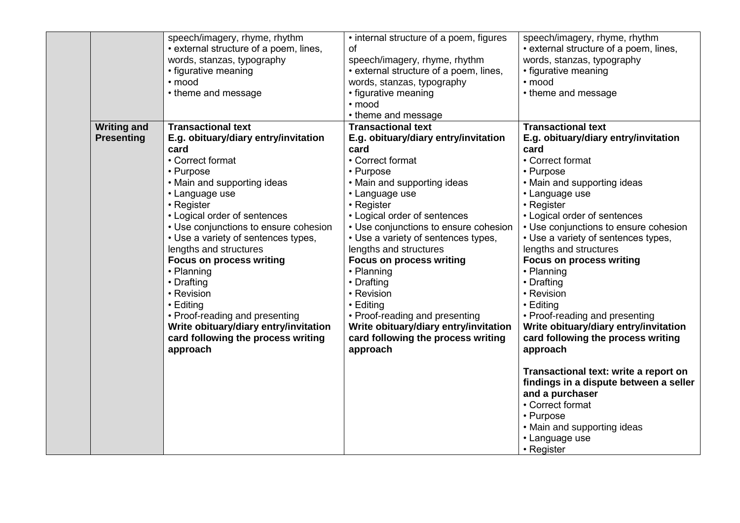|                    | speech/imagery, rhyme, rhythm          | • internal structure of a poem, figures | speech/imagery, rhyme, rhythm          |
|--------------------|----------------------------------------|-----------------------------------------|----------------------------------------|
|                    | • external structure of a poem, lines, | οf                                      | • external structure of a poem, lines, |
|                    | words, stanzas, typography             | speech/imagery, rhyme, rhythm           | words, stanzas, typography             |
|                    | • figurative meaning                   | • external structure of a poem, lines,  | • figurative meaning                   |
|                    | · mood                                 | words, stanzas, typography              | • mood                                 |
|                    | • theme and message                    | • figurative meaning                    | • theme and message                    |
|                    |                                        | · mood                                  |                                        |
|                    |                                        | • theme and message                     |                                        |
| <b>Writing and</b> | <b>Transactional text</b>              | <b>Transactional text</b>               | <b>Transactional text</b>              |
| <b>Presenting</b>  | E.g. obituary/diary entry/invitation   | E.g. obituary/diary entry/invitation    | E.g. obituary/diary entry/invitation   |
|                    | card                                   | card                                    | card                                   |
|                    | • Correct format                       | • Correct format                        | • Correct format                       |
|                    | • Purpose                              | • Purpose                               | • Purpose                              |
|                    | • Main and supporting ideas            | • Main and supporting ideas             | • Main and supporting ideas            |
|                    | • Language use                         | • Language use                          | • Language use                         |
|                    | • Register                             | • Register                              | • Register                             |
|                    | • Logical order of sentences           | • Logical order of sentences            | • Logical order of sentences           |
|                    | • Use conjunctions to ensure cohesion  | • Use conjunctions to ensure cohesion   | • Use conjunctions to ensure cohesion  |
|                    | • Use a variety of sentences types,    | • Use a variety of sentences types,     | • Use a variety of sentences types,    |
|                    | lengths and structures                 | lengths and structures                  | lengths and structures                 |
|                    | <b>Focus on process writing</b>        | <b>Focus on process writing</b>         | <b>Focus on process writing</b>        |
|                    | • Planning                             | • Planning                              | • Planning                             |
|                    | • Drafting                             | • Drafting                              | • Drafting                             |
|                    | • Revision                             | • Revision                              | • Revision                             |
|                    | • Editing                              | • Editing                               | $\cdot$ Editing                        |
|                    | • Proof-reading and presenting         | • Proof-reading and presenting          | • Proof-reading and presenting         |
|                    | Write obituary/diary entry/invitation  | Write obituary/diary entry/invitation   | Write obituary/diary entry/invitation  |
|                    | card following the process writing     | card following the process writing      | card following the process writing     |
|                    | approach                               | approach                                | approach                               |
|                    |                                        |                                         |                                        |
|                    |                                        |                                         | Transactional text: write a report on  |
|                    |                                        |                                         | findings in a dispute between a seller |
|                    |                                        |                                         | and a purchaser                        |
|                    |                                        |                                         | • Correct format                       |
|                    |                                        |                                         | • Purpose                              |
|                    |                                        |                                         | • Main and supporting ideas            |
|                    |                                        |                                         |                                        |
|                    |                                        |                                         | • Language use                         |
|                    |                                        |                                         | • Register                             |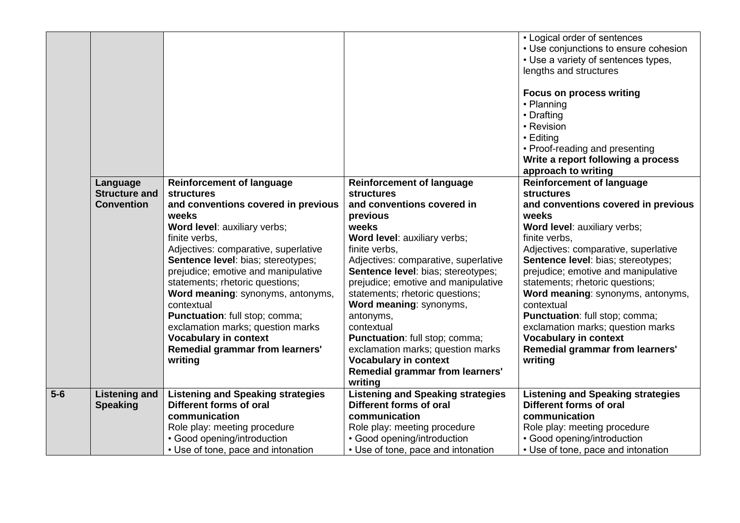|         |                      |                                          |                                          | • Logical order of sentences             |
|---------|----------------------|------------------------------------------|------------------------------------------|------------------------------------------|
|         |                      |                                          |                                          | • Use conjunctions to ensure cohesion    |
|         |                      |                                          |                                          | • Use a variety of sentences types,      |
|         |                      |                                          |                                          | lengths and structures                   |
|         |                      |                                          |                                          |                                          |
|         |                      |                                          |                                          | <b>Focus on process writing</b>          |
|         |                      |                                          |                                          | • Planning                               |
|         |                      |                                          |                                          | • Drafting                               |
|         |                      |                                          |                                          | • Revision                               |
|         |                      |                                          |                                          | • Editing                                |
|         |                      |                                          |                                          | • Proof-reading and presenting           |
|         |                      |                                          |                                          | Write a report following a process       |
|         |                      |                                          |                                          | approach to writing                      |
|         | Language             | <b>Reinforcement of language</b>         | <b>Reinforcement of language</b>         | <b>Reinforcement of language</b>         |
|         | <b>Structure and</b> | <b>structures</b>                        | <b>structures</b>                        | <b>structures</b>                        |
|         | <b>Convention</b>    | and conventions covered in previous      | and conventions covered in               | and conventions covered in previous      |
|         |                      | weeks                                    | previous                                 | weeks                                    |
|         |                      | Word level: auxiliary verbs;             | weeks                                    | Word level: auxiliary verbs;             |
|         |                      | finite verbs,                            | Word level: auxiliary verbs;             | finite verbs,                            |
|         |                      | Adjectives: comparative, superlative     | finite verbs.                            | Adjectives: comparative, superlative     |
|         |                      | Sentence level: bias; stereotypes;       | Adjectives: comparative, superlative     | Sentence level: bias; stereotypes;       |
|         |                      | prejudice; emotive and manipulative      | Sentence level: bias; stereotypes;       | prejudice; emotive and manipulative      |
|         |                      | statements; rhetoric questions;          | prejudice; emotive and manipulative      | statements; rhetoric questions;          |
|         |                      | Word meaning: synonyms, antonyms,        | statements; rhetoric questions;          | Word meaning: synonyms, antonyms,        |
|         |                      | contextual                               | Word meaning: synonyms,                  | contextual                               |
|         |                      | Punctuation: full stop; comma;           | antonyms,                                | Punctuation: full stop; comma;           |
|         |                      | exclamation marks; question marks        | contextual                               | exclamation marks; question marks        |
|         |                      | <b>Vocabulary in context</b>             | Punctuation: full stop; comma;           | <b>Vocabulary in context</b>             |
|         |                      | Remedial grammar from learners'          | exclamation marks; question marks        | <b>Remedial grammar from learners'</b>   |
|         |                      | writing                                  | <b>Vocabulary in context</b>             | writing                                  |
|         |                      |                                          | Remedial grammar from learners'          |                                          |
|         |                      |                                          | writing                                  |                                          |
| $5 - 6$ | <b>Listening and</b> | <b>Listening and Speaking strategies</b> | <b>Listening and Speaking strategies</b> | <b>Listening and Speaking strategies</b> |
|         | <b>Speaking</b>      | Different forms of oral                  | Different forms of oral                  | Different forms of oral                  |
|         |                      | communication                            | communication                            | communication                            |
|         |                      | Role play: meeting procedure             | Role play: meeting procedure             | Role play: meeting procedure             |
|         |                      | • Good opening/introduction              | • Good opening/introduction              | • Good opening/introduction              |
|         |                      | • Use of tone, pace and intonation       | • Use of tone, pace and intonation       | • Use of tone, pace and intonation       |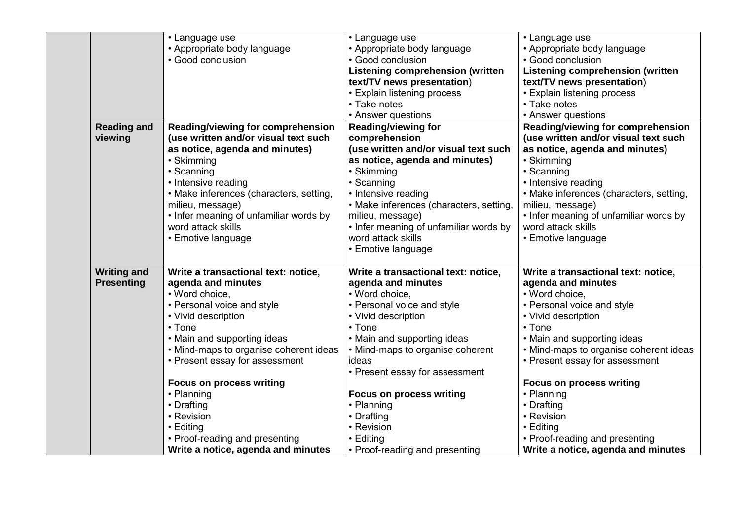| • Language use<br>• Language use<br>• Language use<br>• Appropriate body language<br>• Appropriate body language<br>• Appropriate body language<br>· Good conclusion<br>• Good conclusion<br>• Good conclusion<br><b>Listening comprehension (written</b><br><b>Listening comprehension (written</b><br>text/TV news presentation)<br>text/TV news presentation)<br>• Explain listening process<br>• Explain listening process<br>• Take notes<br>• Take notes<br>• Answer questions<br>• Answer questions<br><b>Reading and</b><br>Reading/viewing for comprehension<br><b>Reading/viewing for</b> |                                        |
|-----------------------------------------------------------------------------------------------------------------------------------------------------------------------------------------------------------------------------------------------------------------------------------------------------------------------------------------------------------------------------------------------------------------------------------------------------------------------------------------------------------------------------------------------------------------------------------------------------|----------------------------------------|
|                                                                                                                                                                                                                                                                                                                                                                                                                                                                                                                                                                                                     |                                        |
|                                                                                                                                                                                                                                                                                                                                                                                                                                                                                                                                                                                                     |                                        |
|                                                                                                                                                                                                                                                                                                                                                                                                                                                                                                                                                                                                     |                                        |
|                                                                                                                                                                                                                                                                                                                                                                                                                                                                                                                                                                                                     |                                        |
|                                                                                                                                                                                                                                                                                                                                                                                                                                                                                                                                                                                                     |                                        |
|                                                                                                                                                                                                                                                                                                                                                                                                                                                                                                                                                                                                     |                                        |
|                                                                                                                                                                                                                                                                                                                                                                                                                                                                                                                                                                                                     |                                        |
|                                                                                                                                                                                                                                                                                                                                                                                                                                                                                                                                                                                                     |                                        |
|                                                                                                                                                                                                                                                                                                                                                                                                                                                                                                                                                                                                     | Reading/viewing for comprehension      |
| (use written and/or visual text such<br>comprehension<br>(use written and/or visual text such<br>viewing                                                                                                                                                                                                                                                                                                                                                                                                                                                                                            |                                        |
| as notice, agenda and minutes)<br>(use written and/or visual text such<br>as notice, agenda and minutes)                                                                                                                                                                                                                                                                                                                                                                                                                                                                                            |                                        |
| • Skimming<br>• Skimming<br>as notice, agenda and minutes)                                                                                                                                                                                                                                                                                                                                                                                                                                                                                                                                          |                                        |
| • Skimming<br>• Scanning<br>• Scanning                                                                                                                                                                                                                                                                                                                                                                                                                                                                                                                                                              |                                        |
| • Intensive reading<br>• Scanning<br>• Intensive reading                                                                                                                                                                                                                                                                                                                                                                                                                                                                                                                                            |                                        |
| • Make inferences (characters, setting,<br>• Intensive reading<br>• Make inferences (characters, setting,                                                                                                                                                                                                                                                                                                                                                                                                                                                                                           |                                        |
| milieu, message)<br>• Make inferences (characters, setting,<br>milieu, message)                                                                                                                                                                                                                                                                                                                                                                                                                                                                                                                     |                                        |
| • Infer meaning of unfamiliar words by<br>milieu, message)<br>• Infer meaning of unfamiliar words by                                                                                                                                                                                                                                                                                                                                                                                                                                                                                                |                                        |
| word attack skills<br>• Infer meaning of unfamiliar words by<br>word attack skills                                                                                                                                                                                                                                                                                                                                                                                                                                                                                                                  |                                        |
| word attack skills<br>• Emotive language<br>• Emotive language                                                                                                                                                                                                                                                                                                                                                                                                                                                                                                                                      |                                        |
| • Emotive language                                                                                                                                                                                                                                                                                                                                                                                                                                                                                                                                                                                  |                                        |
|                                                                                                                                                                                                                                                                                                                                                                                                                                                                                                                                                                                                     |                                        |
| <b>Writing and</b><br>Write a transactional text: notice,<br>Write a transactional text: notice,<br>Write a transactional text: notice,                                                                                                                                                                                                                                                                                                                                                                                                                                                             |                                        |
| <b>Presenting</b><br>agenda and minutes<br>agenda and minutes<br>agenda and minutes                                                                                                                                                                                                                                                                                                                                                                                                                                                                                                                 |                                        |
| • Word choice,<br>• Word choice,<br>• Word choice,                                                                                                                                                                                                                                                                                                                                                                                                                                                                                                                                                  |                                        |
| • Personal voice and style<br>• Personal voice and style<br>• Personal voice and style                                                                                                                                                                                                                                                                                                                                                                                                                                                                                                              |                                        |
| • Vivid description<br>• Vivid description<br>• Vivid description                                                                                                                                                                                                                                                                                                                                                                                                                                                                                                                                   |                                        |
| • Tone<br>$\cdot$ Tone<br>$\cdot$ Tone                                                                                                                                                                                                                                                                                                                                                                                                                                                                                                                                                              |                                        |
| • Main and supporting ideas<br>• Main and supporting ideas<br>• Main and supporting ideas                                                                                                                                                                                                                                                                                                                                                                                                                                                                                                           |                                        |
| • Mind-maps to organise coherent ideas<br>• Mind-maps to organise coherent                                                                                                                                                                                                                                                                                                                                                                                                                                                                                                                          | • Mind-maps to organise coherent ideas |
| • Present essay for assessment<br>• Present essay for assessment<br>ideas                                                                                                                                                                                                                                                                                                                                                                                                                                                                                                                           |                                        |
| • Present essay for assessment                                                                                                                                                                                                                                                                                                                                                                                                                                                                                                                                                                      |                                        |
| <b>Focus on process writing</b><br><b>Focus on process writing</b>                                                                                                                                                                                                                                                                                                                                                                                                                                                                                                                                  |                                        |
| • Planning<br><b>Focus on process writing</b><br>• Planning                                                                                                                                                                                                                                                                                                                                                                                                                                                                                                                                         |                                        |
|                                                                                                                                                                                                                                                                                                                                                                                                                                                                                                                                                                                                     |                                        |
|                                                                                                                                                                                                                                                                                                                                                                                                                                                                                                                                                                                                     |                                        |
| • Planning<br>• Drafting<br>• Drafting<br>• Revision<br>• Drafting<br>• Revision                                                                                                                                                                                                                                                                                                                                                                                                                                                                                                                    |                                        |
| • Revision                                                                                                                                                                                                                                                                                                                                                                                                                                                                                                                                                                                          |                                        |
| • Editing<br>$\cdot$ Editing<br>• Proof-reading and presenting<br>• Proof-reading and presenting<br>• Editing                                                                                                                                                                                                                                                                                                                                                                                                                                                                                       |                                        |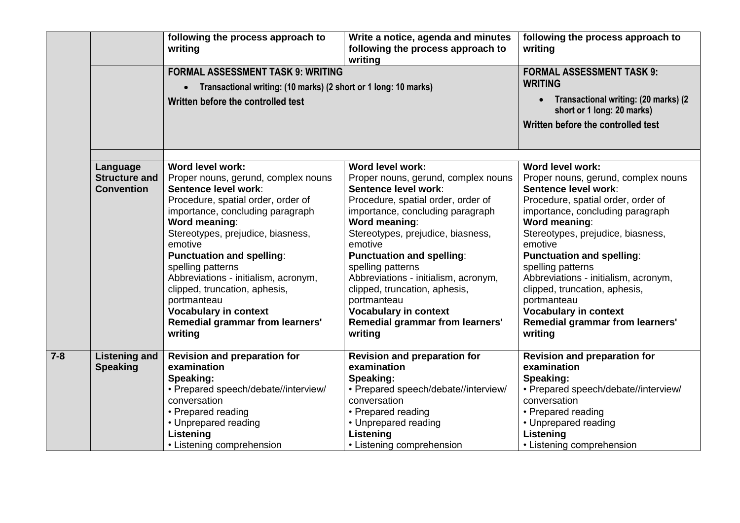|         |                                           | following the process approach to<br>writing                                 | Write a notice, agenda and minutes<br>following the process approach to<br>writing | following the process approach to<br>writing                                    |
|---------|-------------------------------------------|------------------------------------------------------------------------------|------------------------------------------------------------------------------------|---------------------------------------------------------------------------------|
|         |                                           | <b>FORMAL ASSESSMENT TASK 9: WRITING</b>                                     |                                                                                    | <b>FORMAL ASSESSMENT TASK 9:</b>                                                |
|         |                                           | Transactional writing: (10 marks) (2 short or 1 long: 10 marks)<br>$\bullet$ |                                                                                    | <b>WRITING</b>                                                                  |
|         |                                           | Written before the controlled test                                           |                                                                                    | Transactional writing: (20 marks) (2<br>$\bullet$<br>short or 1 long: 20 marks) |
|         |                                           |                                                                              |                                                                                    | Written before the controlled test                                              |
|         |                                           |                                                                              |                                                                                    |                                                                                 |
|         | Language                                  | Word level work:                                                             | Word level work:                                                                   | Word level work:                                                                |
|         | <b>Structure and</b><br><b>Convention</b> | Proper nouns, gerund, complex nouns<br>Sentence level work:                  | Proper nouns, gerund, complex nouns<br>Sentence level work:                        | Proper nouns, gerund, complex nouns<br>Sentence level work:                     |
|         |                                           | Procedure, spatial order, order of                                           | Procedure, spatial order, order of                                                 | Procedure, spatial order, order of                                              |
|         |                                           | importance, concluding paragraph<br>Word meaning:                            | importance, concluding paragraph<br>Word meaning:                                  | importance, concluding paragraph<br>Word meaning:                               |
|         |                                           | Stereotypes, prejudice, biasness,                                            | Stereotypes, prejudice, biasness,                                                  | Stereotypes, prejudice, biasness,                                               |
|         |                                           | emotive                                                                      | emotive                                                                            | emotive                                                                         |
|         |                                           | <b>Punctuation and spelling:</b>                                             | <b>Punctuation and spelling:</b>                                                   | <b>Punctuation and spelling:</b>                                                |
|         |                                           | spelling patterns                                                            | spelling patterns                                                                  | spelling patterns                                                               |
|         |                                           | Abbreviations - initialism, acronym,                                         | Abbreviations - initialism, acronym,                                               | Abbreviations - initialism, acronym,                                            |
|         |                                           | clipped, truncation, aphesis,                                                | clipped, truncation, aphesis,                                                      | clipped, truncation, aphesis,                                                   |
|         |                                           | portmanteau                                                                  | portmanteau                                                                        | portmanteau                                                                     |
|         |                                           | <b>Vocabulary in context</b>                                                 | <b>Vocabulary in context</b>                                                       | <b>Vocabulary in context</b>                                                    |
|         |                                           | <b>Remedial grammar from learners'</b>                                       | Remedial grammar from learners'                                                    | <b>Remedial grammar from learners'</b>                                          |
|         |                                           | writing                                                                      | writing                                                                            | writing                                                                         |
| $7 - 8$ | <b>Listening and</b>                      | <b>Revision and preparation for</b>                                          | <b>Revision and preparation for</b>                                                | <b>Revision and preparation for</b>                                             |
|         | <b>Speaking</b>                           | examination                                                                  | examination                                                                        | examination                                                                     |
|         |                                           | Speaking:                                                                    | Speaking:                                                                          | Speaking:                                                                       |
|         |                                           | • Prepared speech/debate//interview/                                         | • Prepared speech/debate//interview/                                               | • Prepared speech/debate//interview/                                            |
|         |                                           | conversation                                                                 | conversation                                                                       | conversation                                                                    |
|         |                                           | • Prepared reading                                                           | • Prepared reading                                                                 | • Prepared reading                                                              |
|         |                                           | • Unprepared reading                                                         | • Unprepared reading                                                               | • Unprepared reading                                                            |
|         |                                           | Listening                                                                    | Listening                                                                          | Listening                                                                       |
|         |                                           | • Listening comprehension                                                    | • Listening comprehension                                                          | • Listening comprehension                                                       |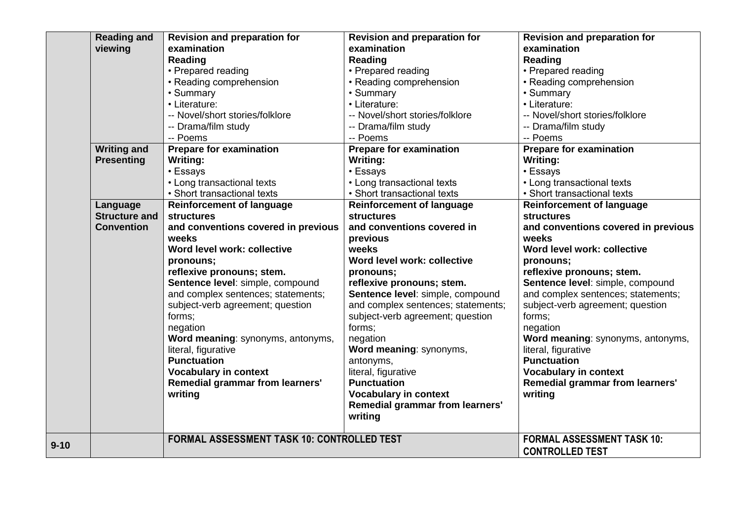|          | <b>Reading and</b>   | <b>Revision and preparation for</b>               | <b>Revision and preparation for</b> | <b>Revision and preparation for</b> |
|----------|----------------------|---------------------------------------------------|-------------------------------------|-------------------------------------|
|          | viewing              | examination                                       | examination                         | examination                         |
|          |                      | <b>Reading</b>                                    | Reading                             | Reading                             |
|          |                      | • Prepared reading                                | • Prepared reading                  | • Prepared reading                  |
|          |                      | • Reading comprehension                           | • Reading comprehension             | • Reading comprehension             |
|          |                      | • Summary                                         | • Summary                           | • Summary                           |
|          |                      | • Literature:                                     | • Literature:                       | • Literature:                       |
|          |                      | -- Novel/short stories/folklore                   | -- Novel/short stories/folklore     | -- Novel/short stories/folklore     |
|          |                      | -- Drama/film study                               | -- Drama/film study                 | -- Drama/film study                 |
|          |                      | -- Poems                                          | -- Poems                            | -- Poems                            |
|          | <b>Writing and</b>   | <b>Prepare for examination</b>                    | <b>Prepare for examination</b>      | <b>Prepare for examination</b>      |
|          | <b>Presenting</b>    | <b>Writing:</b>                                   | Writing:                            | Writing:                            |
|          |                      | • Essays                                          | • Essays                            | • Essays                            |
|          |                      | • Long transactional texts                        | • Long transactional texts          | • Long transactional texts          |
|          |                      | • Short transactional texts                       | • Short transactional texts         | • Short transactional texts         |
|          | Language             | <b>Reinforcement of language</b>                  | <b>Reinforcement of language</b>    | <b>Reinforcement of language</b>    |
|          | <b>Structure and</b> | <b>structures</b>                                 | <b>structures</b>                   | <b>structures</b>                   |
|          | <b>Convention</b>    | and conventions covered in previous               | and conventions covered in          | and conventions covered in previous |
|          |                      | weeks                                             | previous                            | weeks                               |
|          |                      | Word level work: collective                       | weeks                               | Word level work: collective         |
|          |                      | pronouns;                                         | Word level work: collective         | pronouns;                           |
|          |                      | reflexive pronouns; stem.                         | pronouns;                           | reflexive pronouns; stem.           |
|          |                      | Sentence level: simple, compound                  | reflexive pronouns; stem.           | Sentence level: simple, compound    |
|          |                      | and complex sentences; statements;                | Sentence level: simple, compound    | and complex sentences; statements;  |
|          |                      | subject-verb agreement; question                  | and complex sentences; statements;  | subject-verb agreement; question    |
|          |                      | forms;                                            | subject-verb agreement; question    | forms;                              |
|          |                      | negation                                          | forms;                              | negation                            |
|          |                      | Word meaning: synonyms, antonyms,                 | negation                            | Word meaning: synonyms, antonyms,   |
|          |                      | literal, figurative                               | Word meaning: synonyms,             | literal, figurative                 |
|          |                      | <b>Punctuation</b>                                | antonyms,                           | <b>Punctuation</b>                  |
|          |                      | <b>Vocabulary in context</b>                      | literal, figurative                 | <b>Vocabulary in context</b>        |
|          |                      | <b>Remedial grammar from learners'</b>            | <b>Punctuation</b>                  | Remedial grammar from learners'     |
|          |                      | writing                                           | <b>Vocabulary in context</b>        | writing                             |
|          |                      |                                                   | Remedial grammar from learners'     |                                     |
|          |                      |                                                   | writing                             |                                     |
|          |                      | <b>FORMAL ASSESSMENT TASK 10: CONTROLLED TEST</b> |                                     | <b>FORMAL ASSESSMENT TASK 10:</b>   |
| $9 - 10$ |                      |                                                   |                                     | <b>CONTROLLED TEST</b>              |
|          |                      |                                                   |                                     |                                     |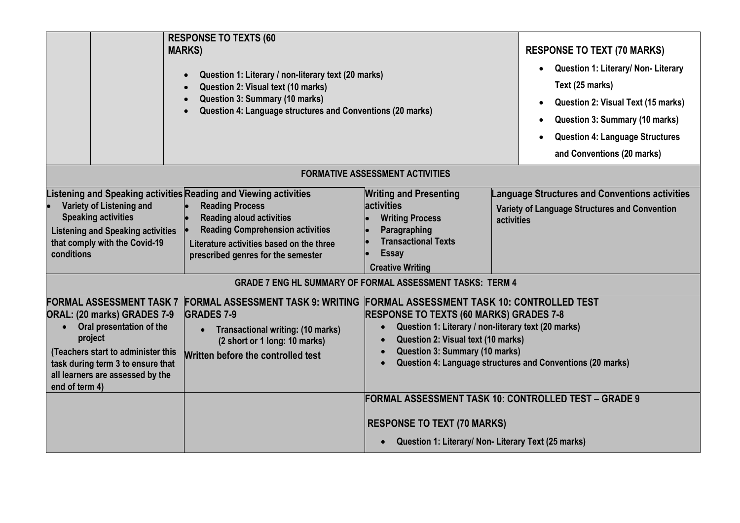|                                                                                                                                                                                                                                        | <b>RESPONSE TO TEXTS (60</b><br><b>MARKS)</b><br>Question 1: Literary / non-literary text (20 marks)<br>Question 2: Visual text (10 marks)<br>Question 3: Summary (10 marks)<br>Question 4: Language structures and Conventions (20 marks)                 |                                                                                                                                                                                   | <b>RESPONSE TO TEXT (70 MARKS)</b><br>Question 1: Literary/ Non- Literary<br>$\bullet$<br>Text (25 marks)<br>Question 2: Visual Text (15 marks)<br>$\bullet$<br>Question 3: Summary (10 marks)<br><b>Question 4: Language Structures</b><br>and Conventions (20 marks) |
|----------------------------------------------------------------------------------------------------------------------------------------------------------------------------------------------------------------------------------------|------------------------------------------------------------------------------------------------------------------------------------------------------------------------------------------------------------------------------------------------------------|-----------------------------------------------------------------------------------------------------------------------------------------------------------------------------------|------------------------------------------------------------------------------------------------------------------------------------------------------------------------------------------------------------------------------------------------------------------------|
|                                                                                                                                                                                                                                        |                                                                                                                                                                                                                                                            | <b>FORMATIVE ASSESSMENT ACTIVITIES</b>                                                                                                                                            |                                                                                                                                                                                                                                                                        |
| Variety of Listening and<br><b>Speaking activities</b><br><b>Listening and Speaking activities</b><br>that comply with the Covid-19<br>conditions                                                                                      | Listening and Speaking activities Reading and Viewing activities<br><b>Reading Process</b><br><b>Reading aloud activities</b><br><b>Reading Comprehension activities</b><br>Literature activities based on the three<br>prescribed genres for the semester | <b>Writing and Presenting</b><br>activities<br><b>Writing Process</b><br>Paragraphing<br><b>Transactional Texts</b><br><b>Essay</b><br><b>Creative Writing</b>                    | <b>Language Structures and Conventions activities</b><br>Variety of Language Structures and Convention<br>activities                                                                                                                                                   |
|                                                                                                                                                                                                                                        |                                                                                                                                                                                                                                                            | <b>GRADE 7 ENG HL SUMMARY OF FORMAL ASSESSMENT TASKS: TERM 4</b>                                                                                                                  |                                                                                                                                                                                                                                                                        |
| <b>FORMAL ASSESSMENT TASK 7</b><br>ORAL: (20 marks) GRADES 7-9<br>Oral presentation of the<br>project<br>(Teachers start to administer this<br>task during term 3 to ensure that<br>all learners are assessed by the<br>end of term 4) | FORMAL ASSESSMENT TASK 9: WRITING FORMAL ASSESSMENT TASK 10: CONTROLLED TEST<br><b>GRADES 7-9</b><br><b>Transactional writing: (10 marks)</b><br>(2 short or 1 long: 10 marks)<br>Written before the controlled test                                       | <b>RESPONSE TO TEXTS (60 MARKS) GRADES 7-8</b><br>$\bullet$<br>Question 2: Visual text (10 marks)<br>$\bullet$<br><b>Question 3: Summary (10 marks)</b><br>$\bullet$<br>$\bullet$ | Question 1: Literary / non-literary text (20 marks)<br>Question 4: Language structures and Conventions (20 marks)                                                                                                                                                      |
|                                                                                                                                                                                                                                        |                                                                                                                                                                                                                                                            |                                                                                                                                                                                   | FORMAL ASSESSMENT TASK 10: CONTROLLED TEST – GRADE 9                                                                                                                                                                                                                   |
|                                                                                                                                                                                                                                        |                                                                                                                                                                                                                                                            | <b>RESPONSE TO TEXT (70 MARKS)</b>                                                                                                                                                | Question 1: Literary/ Non- Literary Text (25 marks)                                                                                                                                                                                                                    |
|                                                                                                                                                                                                                                        |                                                                                                                                                                                                                                                            | $\bullet$                                                                                                                                                                         |                                                                                                                                                                                                                                                                        |